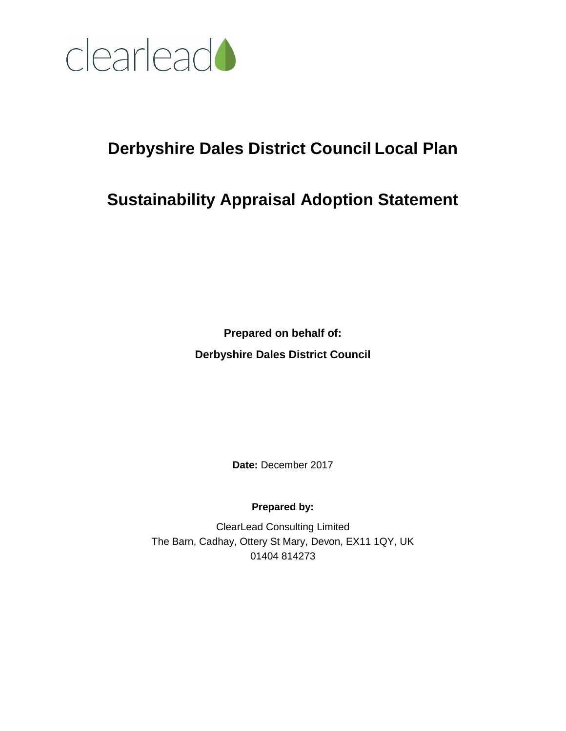

# **Derbyshire Dales District Council Local Plan**

# **Sustainability Appraisal Adoption Statement**

**Prepared on behalf of: Derbyshire Dales District Council**

**Date:** December 2017

**Prepared by:**

ClearLead Consulting Limited The Barn, Cadhay, Ottery St Mary, Devon, EX11 1QY, UK 01404 814273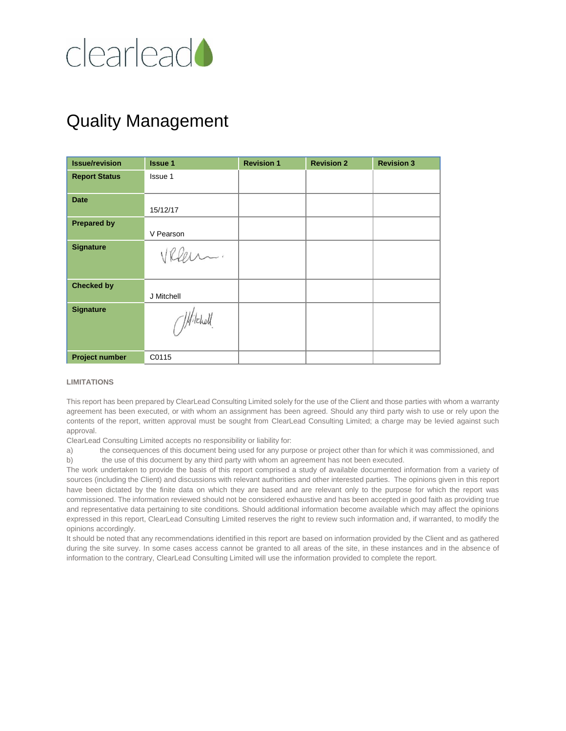

# Quality Management

| <b>Issue/revision</b> | <b>Issue 1</b> | <b>Revision 1</b> | <b>Revision 2</b> | <b>Revision 3</b> |
|-----------------------|----------------|-------------------|-------------------|-------------------|
| <b>Report Status</b>  | Issue 1        |                   |                   |                   |
| <b>Date</b>           |                |                   |                   |                   |
|                       | 15/12/17       |                   |                   |                   |
| <b>Prepared by</b>    |                |                   |                   |                   |
|                       | V Pearson      |                   |                   |                   |
| <b>Signature</b>      | VReen.         |                   |                   |                   |
| <b>Checked by</b>     |                |                   |                   |                   |
|                       | J Mitchell     |                   |                   |                   |
| <b>Signature</b>      | J.Hitchell     |                   |                   |                   |
| <b>Project number</b> | C0115          |                   |                   |                   |

#### **LIMITATIONS**

This report has been prepared by ClearLead Consulting Limited solely for the use of the Client and those parties with whom a warranty agreement has been executed, or with whom an assignment has been agreed. Should any third party wish to use or rely upon the contents of the report, written approval must be sought from ClearLead Consulting Limited; a charge may be levied against such approval.

ClearLead Consulting Limited accepts no responsibility or liability for:

a) the consequences of this document being used for any purpose or project other than for which it was commissioned, and b) the use of this document by any third party with whom an agreement has not been executed.

The work undertaken to provide the basis of this report comprised a study of available documented information from a variety of sources (including the Client) and discussions with relevant authorities and other interested parties. The opinions given in this report have been dictated by the finite data on which they are based and are relevant only to the purpose for which the report was commissioned. The information reviewed should not be considered exhaustive and has been accepted in good faith as providing true and representative data pertaining to site conditions. Should additional information become available which may affect the opinions expressed in this report, ClearLead Consulting Limited reserves the right to review such information and, if warranted, to modify the opinions accordingly.

It should be noted that any recommendations identified in this report are based on information provided by the Client and as gathered during the site survey. In some cases access cannot be granted to all areas of the site, in these instances and in the absence of information to the contrary, ClearLead Consulting Limited will use the information provided to complete the report.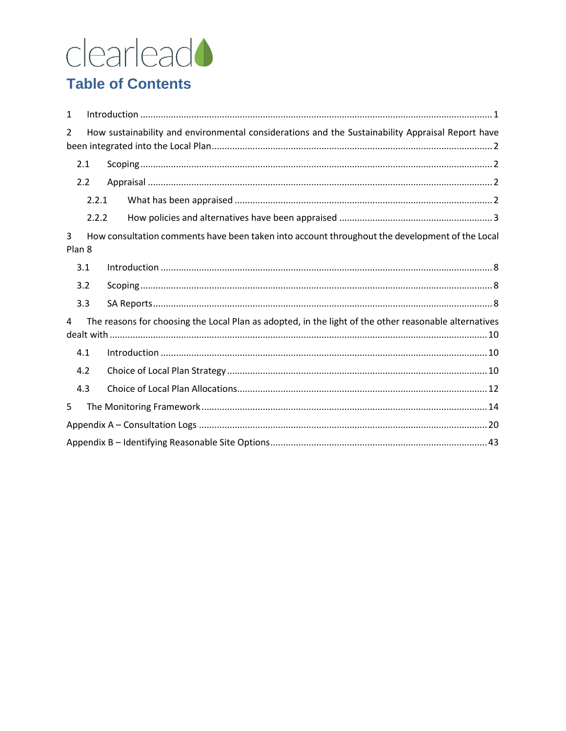# clearlead<sup>1</sup>

# **Table of Contents**

| $\mathbf{1}$  |                                                                                                       |
|---------------|-------------------------------------------------------------------------------------------------------|
| $\mathcal{L}$ | How sustainability and environmental considerations and the Sustainability Appraisal Report have      |
| 2.1           |                                                                                                       |
| 2.2           |                                                                                                       |
|               | 2.2.1                                                                                                 |
|               | 2.2.2                                                                                                 |
| 3<br>Plan 8   | How consultation comments have been taken into account throughout the development of the Local        |
| 3.1           |                                                                                                       |
| 3.2           |                                                                                                       |
| 3.3           |                                                                                                       |
| 4             | The reasons for choosing the Local Plan as adopted, in the light of the other reasonable alternatives |
| 4.1           |                                                                                                       |
| 4.2           |                                                                                                       |
| 4.3           |                                                                                                       |
| 5             |                                                                                                       |
|               |                                                                                                       |
|               |                                                                                                       |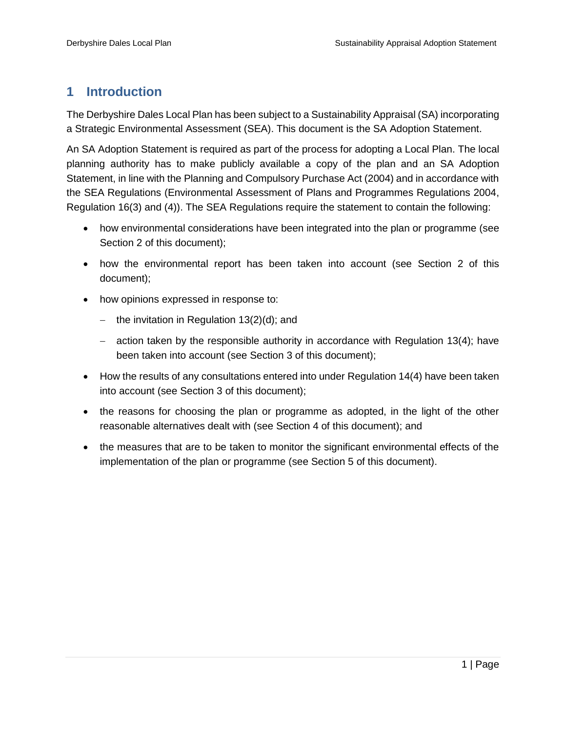## <span id="page-3-0"></span>**1 Introduction**

The Derbyshire Dales Local Plan has been subject to a Sustainability Appraisal (SA) incorporating a Strategic Environmental Assessment (SEA). This document is the SA Adoption Statement.

An SA Adoption Statement is required as part of the process for adopting a Local Plan. The local planning authority has to make publicly available a copy of the plan and an SA Adoption Statement, in line with the Planning and Compulsory Purchase Act (2004) and in accordance with the SEA Regulations (Environmental Assessment of Plans and Programmes Regulations 2004, Regulation 16(3) and (4)). The SEA Regulations require the statement to contain the following:

- how environmental considerations have been integrated into the plan or programme (see Section 2 of this document);
- how the environmental report has been taken into account (see Section 2 of this document);
- how opinions expressed in response to:
	- the invitation in Regulation  $13(2)(d)$ ; and
	- $-$  action taken by the responsible authority in accordance with Regulation 13(4); have been taken into account (see Section 3 of this document);
- How the results of any consultations entered into under Regulation 14(4) have been taken into account (see Section 3 of this document);
- the reasons for choosing the plan or programme as adopted, in the light of the other reasonable alternatives dealt with (see Section 4 of this document); and
- the measures that are to be taken to monitor the significant environmental effects of the implementation of the plan or programme (see Section 5 of this document).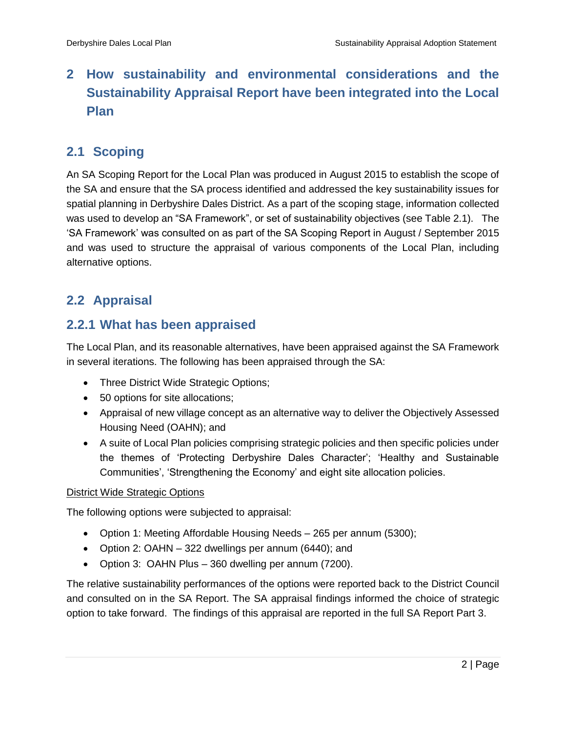# <span id="page-4-0"></span>**2 How sustainability and environmental considerations and the Sustainability Appraisal Report have been integrated into the Local Plan**

## <span id="page-4-1"></span>**2.1 Scoping**

An SA Scoping Report for the Local Plan was produced in August 2015 to establish the scope of the SA and ensure that the SA process identified and addressed the key sustainability issues for spatial planning in Derbyshire Dales District. As a part of the scoping stage, information collected was used to develop an "SA Framework", or set of sustainability objectives (see Table 2.1). The 'SA Framework' was consulted on as part of the SA Scoping Report in August / September 2015 and was used to structure the appraisal of various components of the Local Plan, including alternative options.

## <span id="page-4-2"></span>**2.2 Appraisal**

## <span id="page-4-3"></span>**2.2.1 What has been appraised**

The Local Plan, and its reasonable alternatives, have been appraised against the SA Framework in several iterations. The following has been appraised through the SA:

- Three District Wide Strategic Options;
- 50 options for site allocations;
- Appraisal of new village concept as an alternative way to deliver the Objectively Assessed Housing Need (OAHN); and
- A suite of Local Plan policies comprising strategic policies and then specific policies under the themes of 'Protecting Derbyshire Dales Character'; 'Healthy and Sustainable Communities', 'Strengthening the Economy' and eight site allocation policies.

#### District Wide Strategic Options

The following options were subjected to appraisal:

- Option 1: Meeting Affordable Housing Needs 265 per annum (5300);
- Option 2: OAHN 322 dwellings per annum (6440); and
- Option 3: OAHN Plus 360 dwelling per annum (7200).

The relative sustainability performances of the options were reported back to the District Council and consulted on in the SA Report. The SA appraisal findings informed the choice of strategic option to take forward. The findings of this appraisal are reported in the full SA Report Part 3.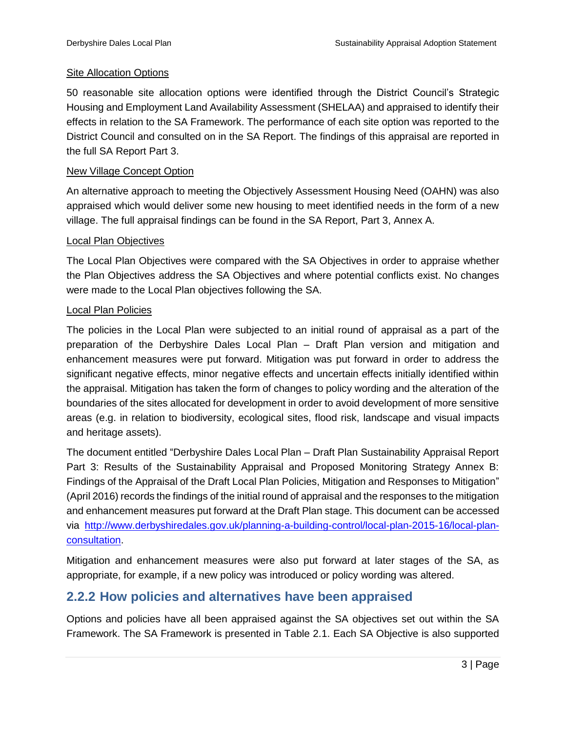#### Site Allocation Options

50 reasonable site allocation options were identified through the District Council's Strategic Housing and Employment Land Availability Assessment (SHELAA) and appraised to identify their effects in relation to the SA Framework. The performance of each site option was reported to the District Council and consulted on in the SA Report. The findings of this appraisal are reported in the full SA Report Part 3.

#### New Village Concept Option

An alternative approach to meeting the Objectively Assessment Housing Need (OAHN) was also appraised which would deliver some new housing to meet identified needs in the form of a new village. The full appraisal findings can be found in the SA Report, Part 3, Annex A.

#### Local Plan Objectives

The Local Plan Objectives were compared with the SA Objectives in order to appraise whether the Plan Objectives address the SA Objectives and where potential conflicts exist. No changes were made to the Local Plan objectives following the SA.

#### Local Plan Policies

The policies in the Local Plan were subjected to an initial round of appraisal as a part of the preparation of the Derbyshire Dales Local Plan – Draft Plan version and mitigation and enhancement measures were put forward. Mitigation was put forward in order to address the significant negative effects, minor negative effects and uncertain effects initially identified within the appraisal. Mitigation has taken the form of changes to policy wording and the alteration of the boundaries of the sites allocated for development in order to avoid development of more sensitive areas (e.g. in relation to biodiversity, ecological sites, flood risk, landscape and visual impacts and heritage assets).

The document entitled "Derbyshire Dales Local Plan – Draft Plan Sustainability Appraisal Report Part 3: Results of the Sustainability Appraisal and Proposed Monitoring Strategy Annex B: Findings of the Appraisal of the Draft Local Plan Policies, Mitigation and Responses to Mitigation" (April 2016) records the findings of the initial round of appraisal and the responses to the mitigation and enhancement measures put forward at the Draft Plan stage. This document can be accessed via [http://www.derbyshiredales.gov.uk/planning-a-building-control/local-plan-2015-16/local-plan](http://www.derbyshiredales.gov.uk/planning-a-building-control/local-plan-2015-16/local-plan-consultation)[consultation.](http://www.derbyshiredales.gov.uk/planning-a-building-control/local-plan-2015-16/local-plan-consultation)

Mitigation and enhancement measures were also put forward at later stages of the SA, as appropriate, for example, if a new policy was introduced or policy wording was altered.

## <span id="page-5-0"></span>**2.2.2 How policies and alternatives have been appraised**

Options and policies have all been appraised against the SA objectives set out within the SA Framework. The SA Framework is presented in Table 2.1. Each SA Objective is also supported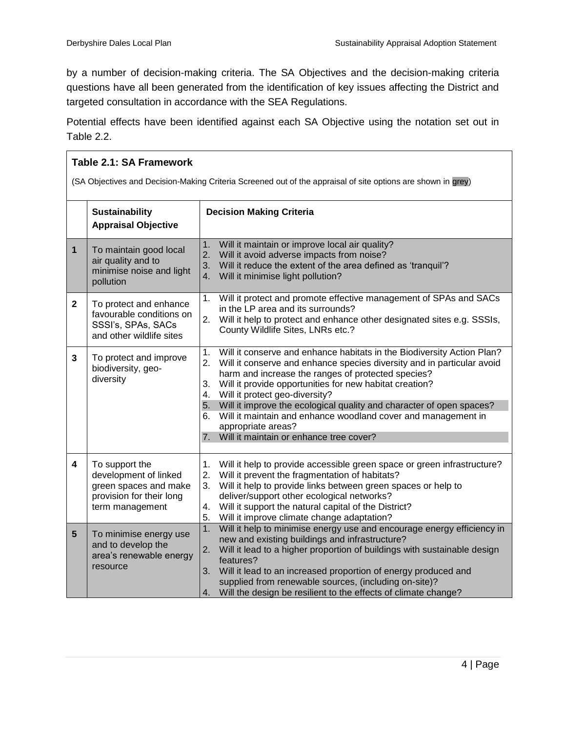by a number of decision-making criteria. The SA Objectives and the decision-making criteria questions have all been generated from the identification of key issues affecting the District and targeted consultation in accordance with the SEA Regulations.

Potential effects have been identified against each SA Objective using the notation set out in Table 2.2.

| Table 2.1: SA Framework |                                                                                                                 |                                                                                                                                                                                                                                                                                                                                                                                                                                                                                                                                                      |  |
|-------------------------|-----------------------------------------------------------------------------------------------------------------|------------------------------------------------------------------------------------------------------------------------------------------------------------------------------------------------------------------------------------------------------------------------------------------------------------------------------------------------------------------------------------------------------------------------------------------------------------------------------------------------------------------------------------------------------|--|
|                         |                                                                                                                 | (SA Objectives and Decision-Making Criteria Screened out of the appraisal of site options are shown in grey)                                                                                                                                                                                                                                                                                                                                                                                                                                         |  |
|                         | <b>Sustainability</b><br><b>Appraisal Objective</b>                                                             | <b>Decision Making Criteria</b>                                                                                                                                                                                                                                                                                                                                                                                                                                                                                                                      |  |
| $\mathbf{1}$            | To maintain good local<br>air quality and to<br>minimise noise and light<br>pollution                           | Will it maintain or improve local air quality?<br>1.<br>2.<br>Will it avoid adverse impacts from noise?<br>Will it reduce the extent of the area defined as 'tranquil'?<br>3.<br>4.<br>Will it minimise light pollution?                                                                                                                                                                                                                                                                                                                             |  |
| $\mathbf{2}$            | To protect and enhance<br>favourable conditions on<br>SSSI's, SPAs, SACs<br>and other wildlife sites            | Will it protect and promote effective management of SPAs and SACs<br>1.<br>in the LP area and its surrounds?<br>2.<br>Will it help to protect and enhance other designated sites e.g. SSSIs,<br>County Wildlife Sites, LNRs etc.?                                                                                                                                                                                                                                                                                                                    |  |
| 3                       | To protect and improve<br>biodiversity, geo-<br>diversity                                                       | 1.<br>Will it conserve and enhance habitats in the Biodiversity Action Plan?<br>2.<br>Will it conserve and enhance species diversity and in particular avoid<br>harm and increase the ranges of protected species?<br>3.<br>Will it provide opportunities for new habitat creation?<br>Will it protect geo-diversity?<br>4.<br>5. Will it improve the ecological quality and character of open spaces?<br>Will it maintain and enhance woodland cover and management in<br>6.<br>appropriate areas?<br>Will it maintain or enhance tree cover?<br>7. |  |
| 4                       | To support the<br>development of linked<br>green spaces and make<br>provision for their long<br>term management | 1.<br>Will it help to provide accessible green space or green infrastructure?<br>2.<br>Will it prevent the fragmentation of habitats?<br>Will it help to provide links between green spaces or help to<br>3.<br>deliver/support other ecological networks?<br>Will it support the natural capital of the District?<br>4.<br>Will it improve climate change adaptation?<br>5.                                                                                                                                                                         |  |
| 5 <sup>5</sup>          | To minimise energy use<br>and to develop the<br>area's renewable energy<br>resource                             | 1.<br>Will it help to minimise energy use and encourage energy efficiency in<br>new and existing buildings and infrastructure?<br>Will it lead to a higher proportion of buildings with sustainable design<br>2.<br>features?<br>Will it lead to an increased proportion of energy produced and<br>3.<br>supplied from renewable sources, (including on-site)?<br>Will the design be resilient to the effects of climate change?<br>4.                                                                                                               |  |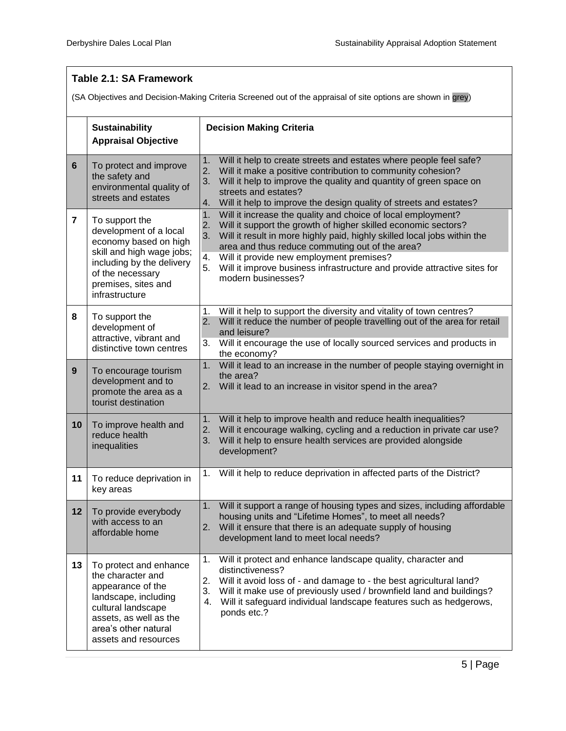|                |                                                                                                                                                                                          | Table 2.1: SA Framework                                                                                                                                                                                                                                                                                                                                                                                                                   |  |  |  |
|----------------|------------------------------------------------------------------------------------------------------------------------------------------------------------------------------------------|-------------------------------------------------------------------------------------------------------------------------------------------------------------------------------------------------------------------------------------------------------------------------------------------------------------------------------------------------------------------------------------------------------------------------------------------|--|--|--|
|                | (SA Objectives and Decision-Making Criteria Screened out of the appraisal of site options are shown in grey)                                                                             |                                                                                                                                                                                                                                                                                                                                                                                                                                           |  |  |  |
|                | <b>Sustainability</b><br><b>Appraisal Objective</b>                                                                                                                                      | <b>Decision Making Criteria</b>                                                                                                                                                                                                                                                                                                                                                                                                           |  |  |  |
| 6              | To protect and improve<br>the safety and<br>environmental quality of<br>streets and estates                                                                                              | Will it help to create streets and estates where people feel safe?<br>1.<br>2.<br>Will it make a positive contribution to community cohesion?<br>3.<br>Will it help to improve the quality and quantity of green space on<br>streets and estates?<br>Will it help to improve the design quality of streets and estates?<br>4.                                                                                                             |  |  |  |
| $\overline{7}$ | To support the<br>development of a local<br>economy based on high<br>skill and high wage jobs;<br>including by the delivery<br>of the necessary<br>premises, sites and<br>infrastructure | Will it increase the quality and choice of local employment?<br>1.<br>Will it support the growth of higher skilled economic sectors?<br>2.<br>Will it result in more highly paid, highly skilled local jobs within the<br>3.<br>area and thus reduce commuting out of the area?<br>Will it provide new employment premises?<br>4.<br>Will it improve business infrastructure and provide attractive sites for<br>5.<br>modern businesses? |  |  |  |
| 8              | To support the<br>development of<br>attractive, vibrant and<br>distinctive town centres                                                                                                  | Will it help to support the diversity and vitality of town centres?<br>1.<br>Will it reduce the number of people travelling out of the area for retail<br>2.<br>and leisure?<br>Will it encourage the use of locally sourced services and products in<br>3.<br>the economy?                                                                                                                                                               |  |  |  |
| 9              | To encourage tourism<br>development and to<br>promote the area as a<br>tourist destination                                                                                               | Will it lead to an increase in the number of people staying overnight in<br>1.<br>the area?<br>Will it lead to an increase in visitor spend in the area?<br>2.                                                                                                                                                                                                                                                                            |  |  |  |
| 10             | To improve health and<br>reduce health<br>inequalities                                                                                                                                   | Will it help to improve health and reduce health inequalities?<br>1.<br>Will it encourage walking, cycling and a reduction in private car use?<br>2.<br>Will it help to ensure health services are provided alongside<br>3.<br>development?                                                                                                                                                                                               |  |  |  |
| 11             | To reduce deprivation in<br>key areas                                                                                                                                                    | 1. Will it help to reduce deprivation in affected parts of the District?                                                                                                                                                                                                                                                                                                                                                                  |  |  |  |
| 12             | To provide everybody<br>with access to an<br>affordable home                                                                                                                             | Will it support a range of housing types and sizes, including affordable<br>1.<br>housing units and "Lifetime Homes", to meet all needs?<br>2.<br>Will it ensure that there is an adequate supply of housing<br>development land to meet local needs?                                                                                                                                                                                     |  |  |  |
| 13             | To protect and enhance<br>the character and<br>appearance of the<br>landscape, including<br>cultural landscape<br>assets, as well as the<br>area's other natural<br>assets and resources | Will it protect and enhance landscape quality, character and<br>1.<br>distinctiveness?<br>2.<br>Will it avoid loss of - and damage to - the best agricultural land?<br>3.<br>Will it make use of previously used / brownfield land and buildings?<br>Will it safeguard individual landscape features such as hedgerows,<br>4.<br>ponds etc.?                                                                                              |  |  |  |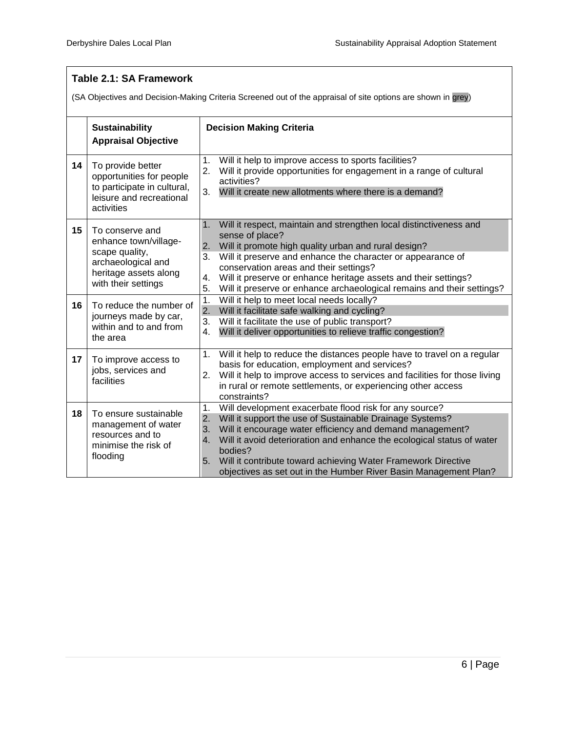#### **Table 2.1: SA Framework**  (SA Objectives and Decision-Making Criteria Screened out of the appraisal of site options are shown in grey) **Sustainability Appraisal Objective Decision Making Criteria**  14 | To provide better opportunities for people to participate in cultural, leisure and recreational activities 1. Will it help to improve access to sports facilities? 2. Will it provide opportunities for engagement in a range of cultural activities? 3. Will it create new allotments where there is a demand? **15** To conserve and enhance town/villagescape quality, archaeological and heritage assets along with their settings 1. Will it respect, maintain and strengthen local distinctiveness and sense of place? 2. Will it promote high quality urban and rural design? 3. Will it preserve and enhance the character or appearance of conservation areas and their settings? 4. Will it preserve or enhance heritage assets and their settings? 5. Will it preserve or enhance archaeological remains and their settings? **16** To reduce the number of journeys made by car, within and to and from the area 1. Will it help to meet local needs locally? 2. Will it facilitate safe walking and cycling? 3. Will it facilitate the use of public transport? 4. Will it deliver opportunities to relieve traffic congestion? **17** To improve access to jobs, services and facilities 1. Will it help to reduce the distances people have to travel on a regular basis for education, employment and services? 2. Will it help to improve access to services and facilities for those living in rural or remote settlements, or experiencing other access constraints? 18 To ensure sustainable management of water resources and to minimise the risk of flooding 1. Will development exacerbate flood risk for any source? 2. Will it support the use of Sustainable Drainage Systems? 3. Will it encourage water efficiency and demand management? 4. Will it avoid deterioration and enhance the ecological status of water bodies? 5. Will it contribute toward achieving Water Framework Directive objectives as set out in the Humber River Basin Management Plan?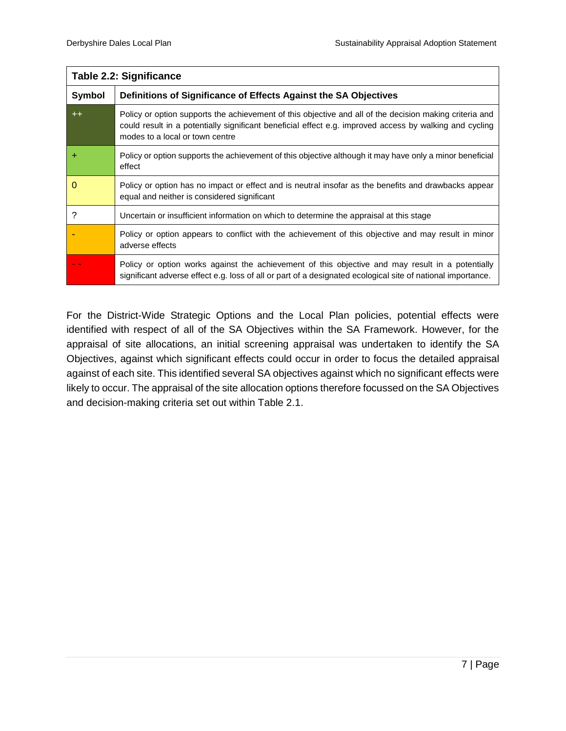|               | Table 2.2: Significance                                                                                                                                                                                                                               |  |  |
|---------------|-------------------------------------------------------------------------------------------------------------------------------------------------------------------------------------------------------------------------------------------------------|--|--|
| <b>Symbol</b> | Definitions of Significance of Effects Against the SA Objectives                                                                                                                                                                                      |  |  |
| $++$          | Policy or option supports the achievement of this objective and all of the decision making criteria and<br>could result in a potentially significant beneficial effect e.g. improved access by walking and cycling<br>modes to a local or town centre |  |  |
| ٠             | Policy or option supports the achievement of this objective although it may have only a minor beneficial<br>effect                                                                                                                                    |  |  |
| 0             | Policy or option has no impact or effect and is neutral insofar as the benefits and drawbacks appear<br>equal and neither is considered significant                                                                                                   |  |  |
| 2             | Uncertain or insufficient information on which to determine the appraisal at this stage                                                                                                                                                               |  |  |
|               | Policy or option appears to conflict with the achievement of this objective and may result in minor<br>adverse effects                                                                                                                                |  |  |
|               | Policy or option works against the achievement of this objective and may result in a potentially<br>significant adverse effect e.g. loss of all or part of a designated ecological site of national importance.                                       |  |  |

For the District-Wide Strategic Options and the Local Plan policies, potential effects were identified with respect of all of the SA Objectives within the SA Framework. However, for the appraisal of site allocations, an initial screening appraisal was undertaken to identify the SA Objectives, against which significant effects could occur in order to focus the detailed appraisal against of each site. This identified several SA objectives against which no significant effects were likely to occur. The appraisal of the site allocation options therefore focussed on the SA Objectives and decision-making criteria set out within Table 2.1.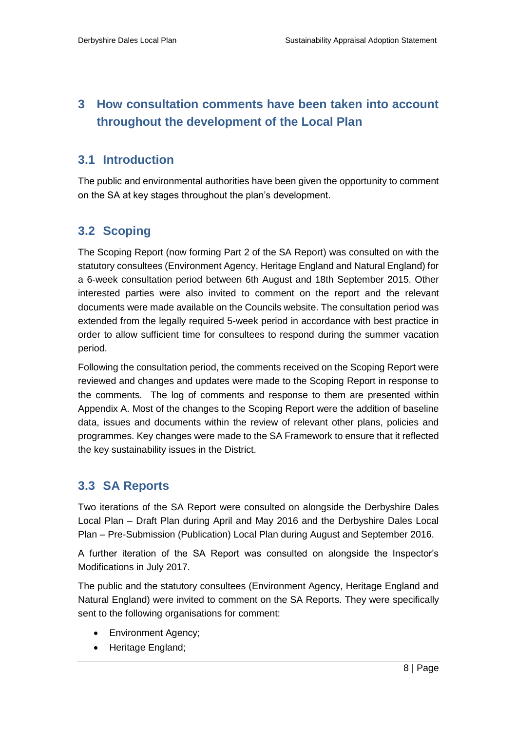## <span id="page-10-1"></span><span id="page-10-0"></span>**3 How consultation comments have been taken into account throughout the development of the Local Plan**

## <span id="page-10-2"></span>**3.1 Introduction**

The public and environmental authorities have been given the opportunity to comment on the SA at key stages throughout the plan's development.

## **3.2 Scoping**

The Scoping Report (now forming Part 2 of the SA Report) was consulted on with the statutory consultees (Environment Agency, Heritage England and Natural England) for a 6-week consultation period between 6th August and 18th September 2015. Other interested parties were also invited to comment on the report and the relevant documents were made available on the Councils website. The consultation period was extended from the legally required 5-week period in accordance with best practice in order to allow sufficient time for consultees to respond during the summer vacation period.

<span id="page-10-3"></span>Following the consultation period, the comments received on the Scoping Report were reviewed and changes and updates were made to the Scoping Report in response to the comments. The log of comments and response to them are presented within Appendix A. Most of the changes to the Scoping Report were the addition of baseline data, issues and documents within the review of relevant other plans, policies and programmes. Key changes were made to the SA Framework to ensure that it reflected the key sustainability issues in the District.

## **3.3 SA Reports**

Two iterations of the SA Report were consulted on alongside the Derbyshire Dales Local Plan – Draft Plan during April and May 2016 and the Derbyshire Dales Local Plan – Pre-Submission (Publication) Local Plan during August and September 2016.

A further iteration of the SA Report was consulted on alongside the Inspector's Modifications in July 2017.

The public and the statutory consultees (Environment Agency, Heritage England and Natural England) were invited to comment on the SA Reports. They were specifically sent to the following organisations for comment:

- Environment Agency;
- Heritage England;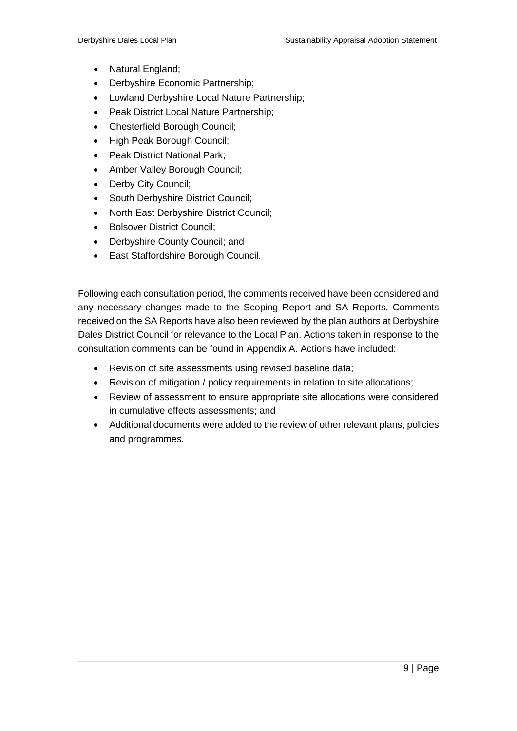- Natural England;
- Derbyshire Economic Partnership;
- Lowland Derbyshire Local Nature Partnership;
- Peak District Local Nature Partnership;
- Chesterfield Borough Council;
- High Peak Borough Council:
- Peak District National Park;
- Amber Valley Borough Council;
- Derby City Council;
- South Derbyshire District Council;
- North East Derbyshire District Council;
- Bolsover District Council;
- Derbyshire County Council; and
- East Staffordshire Borough Council.

Following each consultation period, the comments received have been considered and any necessary changes made to the Scoping Report and SA Reports. Comments received on the SA Reports have also been reviewed by the plan authors at Derbyshire Dales District Council for relevance to the Local Plan. Actions taken in response to the consultation comments can be found in Appendix A. Actions have included:

- Revision of site assessments using revised baseline data;
- Revision of mitigation / policy requirements in relation to site allocations;
- Review of assessment to ensure appropriate site allocations were considered in cumulative effects assessments; and
- Additional documents were added to the review of other relevant plans, policies and programmes.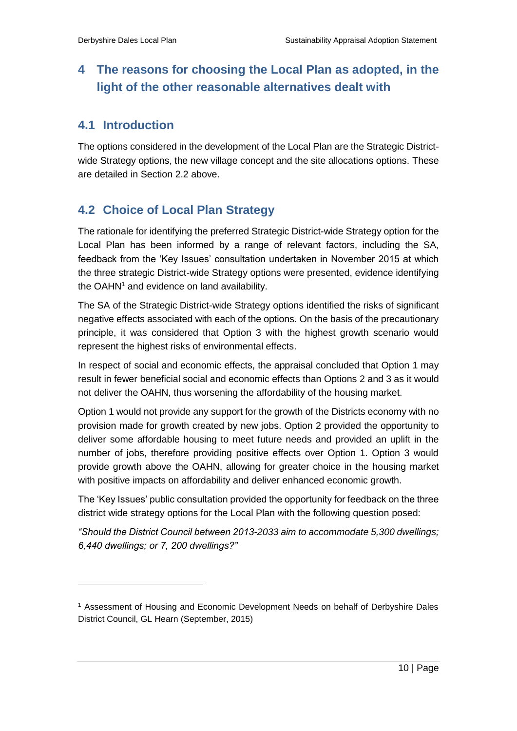## <span id="page-12-1"></span><span id="page-12-0"></span>**4 The reasons for choosing the Local Plan as adopted, in the light of the other reasonable alternatives dealt with**

## **4.1 Introduction**

<span id="page-12-2"></span>The options considered in the development of the Local Plan are the Strategic Districtwide Strategy options, the new village concept and the site allocations options. These are detailed in Section 2.2 above.

## **4.2 Choice of Local Plan Strategy**

The rationale for identifying the preferred Strategic District-wide Strategy option for the Local Plan has been informed by a range of relevant factors, including the SA, feedback from the 'Key Issues' consultation undertaken in November 2015 at which the three strategic District-wide Strategy options were presented, evidence identifying the OAHN<sup>1</sup> and evidence on land availability.

The SA of the Strategic District-wide Strategy options identified the risks of significant negative effects associated with each of the options. On the basis of the precautionary principle, it was considered that Option 3 with the highest growth scenario would represent the highest risks of environmental effects.

In respect of social and economic effects, the appraisal concluded that Option 1 may result in fewer beneficial social and economic effects than Options 2 and 3 as it would not deliver the OAHN, thus worsening the affordability of the housing market.

Option 1 would not provide any support for the growth of the Districts economy with no provision made for growth created by new jobs. Option 2 provided the opportunity to deliver some affordable housing to meet future needs and provided an uplift in the number of jobs, therefore providing positive effects over Option 1. Option 3 would provide growth above the OAHN, allowing for greater choice in the housing market with positive impacts on affordability and deliver enhanced economic growth.

The 'Key Issues' public consultation provided the opportunity for feedback on the three district wide strategy options for the Local Plan with the following question posed:

*"Should the District Council between 2013-2033 aim to accommodate 5,300 dwellings; 6,440 dwellings; or 7, 200 dwellings?"*

<sup>1</sup> Assessment of Housing and Economic Development Needs on behalf of Derbyshire Dales District Council, GL Hearn (September, 2015)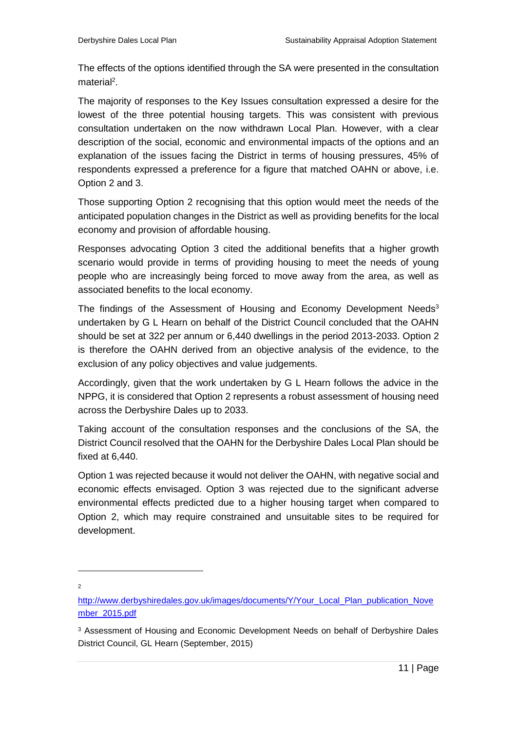The effects of the options identified through the SA were presented in the consultation material<sup>2</sup>.

The majority of responses to the Key Issues consultation expressed a desire for the lowest of the three potential housing targets. This was consistent with previous consultation undertaken on the now withdrawn Local Plan. However, with a clear description of the social, economic and environmental impacts of the options and an explanation of the issues facing the District in terms of housing pressures, 45% of respondents expressed a preference for a figure that matched OAHN or above, i.e. Option 2 and 3.

Those supporting Option 2 recognising that this option would meet the needs of the anticipated population changes in the District as well as providing benefits for the local economy and provision of affordable housing.

Responses advocating Option 3 cited the additional benefits that a higher growth scenario would provide in terms of providing housing to meet the needs of young people who are increasingly being forced to move away from the area, as well as associated benefits to the local economy.

The findings of the Assessment of Housing and Economy Development Needs<sup>3</sup> undertaken by G L Hearn on behalf of the District Council concluded that the OAHN should be set at 322 per annum or 6,440 dwellings in the period 2013-2033. Option 2 is therefore the OAHN derived from an objective analysis of the evidence, to the exclusion of any policy objectives and value judgements.

Accordingly, given that the work undertaken by G L Hearn follows the advice in the NPPG, it is considered that Option 2 represents a robust assessment of housing need across the Derbyshire Dales up to 2033.

Taking account of the consultation responses and the conclusions of the SA, the District Council resolved that the OAHN for the Derbyshire Dales Local Plan should be fixed at 6,440.

Option 1 was rejected because it would not deliver the OAHN, with negative social and economic effects envisaged. Option 3 was rejected due to the significant adverse environmental effects predicted due to a higher housing target when compared to Option 2, which may require constrained and unsuitable sites to be required for development.

[http://www.derbyshiredales.gov.uk/images/documents/Y/Your\\_Local\\_Plan\\_publication\\_Nove](http://www.derbyshiredales.gov.uk/images/documents/Y/Your_Local_Plan_publication_November_2015.pdf) [mber\\_2015.pdf](http://www.derbyshiredales.gov.uk/images/documents/Y/Your_Local_Plan_publication_November_2015.pdf)

<sup>&</sup>lt;sup>3</sup> Assessment of Housing and Economic Development Needs on behalf of Derbyshire Dales District Council, GL Hearn (September, 2015)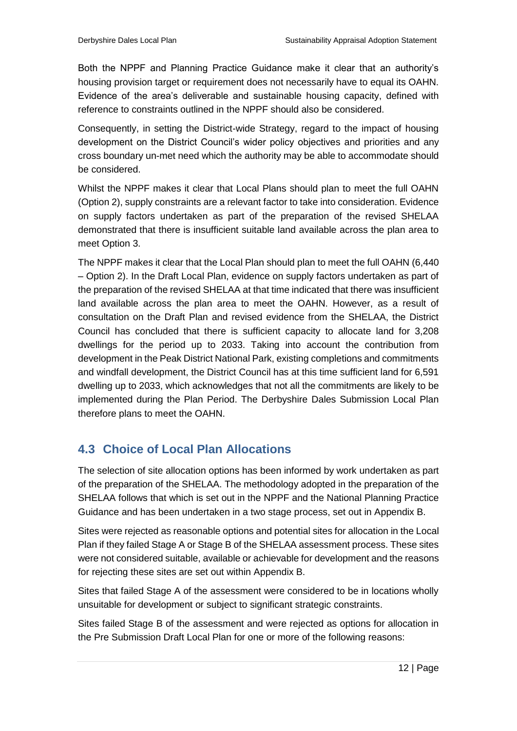Both the NPPF and Planning Practice Guidance make it clear that an authority's housing provision target or requirement does not necessarily have to equal its OAHN. Evidence of the area's deliverable and sustainable housing capacity, defined with reference to constraints outlined in the NPPF should also be considered.

Consequently, in setting the District-wide Strategy, regard to the impact of housing development on the District Council's wider policy objectives and priorities and any cross boundary un-met need which the authority may be able to accommodate should be considered.

Whilst the NPPF makes it clear that Local Plans should plan to meet the full OAHN (Option 2), supply constraints are a relevant factor to take into consideration. Evidence on supply factors undertaken as part of the preparation of the revised SHELAA demonstrated that there is insufficient suitable land available across the plan area to meet Option 3.

The NPPF makes it clear that the Local Plan should plan to meet the full OAHN (6,440 – Option 2). In the Draft Local Plan, evidence on supply factors undertaken as part of the preparation of the revised SHELAA at that time indicated that there was insufficient land available across the plan area to meet the OAHN. However, as a result of consultation on the Draft Plan and revised evidence from the SHELAA, the District Council has concluded that there is sufficient capacity to allocate land for 3,208 dwellings for the period up to 2033. Taking into account the contribution from development in the Peak District National Park, existing completions and commitments and windfall development, the District Council has at this time sufficient land for 6,591 dwelling up to 2033, which acknowledges that not all the commitments are likely to be implemented during the Plan Period. The Derbyshire Dales Submission Local Plan therefore plans to meet the OAHN.

## <span id="page-14-0"></span>**4.3 Choice of Local Plan Allocations**

The selection of site allocation options has been informed by work undertaken as part of the preparation of the SHELAA. The methodology adopted in the preparation of the SHELAA follows that which is set out in the NPPF and the National Planning Practice Guidance and has been undertaken in a two stage process, set out in Appendix B.

Sites were rejected as reasonable options and potential sites for allocation in the Local Plan if they failed Stage A or Stage B of the SHELAA assessment process. These sites were not considered suitable, available or achievable for development and the reasons for rejecting these sites are set out within Appendix B.

Sites that failed Stage A of the assessment were considered to be in locations wholly unsuitable for development or subject to significant strategic constraints.

Sites failed Stage B of the assessment and were rejected as options for allocation in the Pre Submission Draft Local Plan for one or more of the following reasons: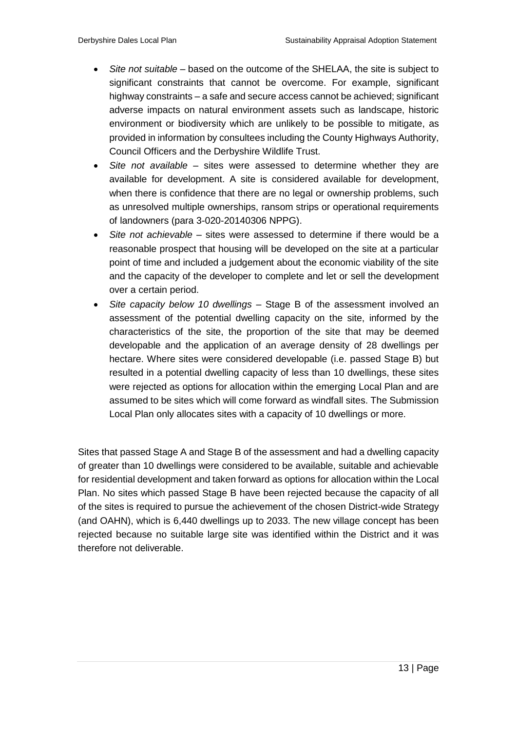- *Site not suitable* based on the outcome of the SHELAA, the site is subject to significant constraints that cannot be overcome. For example, significant highway constraints – a safe and secure access cannot be achieved; significant adverse impacts on natural environment assets such as landscape, historic environment or biodiversity which are unlikely to be possible to mitigate, as provided in information by consultees including the County Highways Authority, Council Officers and the Derbyshire Wildlife Trust.
- *Site not available* sites were assessed to determine whether they are available for development. A site is considered available for development, when there is confidence that there are no legal or ownership problems, such as unresolved multiple ownerships, ransom strips or operational requirements of landowners (para 3-020-20140306 NPPG).
- *Site not achievable*  sites were assessed to determine if there would be a reasonable prospect that housing will be developed on the site at a particular point of time and included a judgement about the economic viability of the site and the capacity of the developer to complete and let or sell the development over a certain period.
- *Site capacity below 10 dwellings –* Stage B of the assessment involved an assessment of the potential dwelling capacity on the site, informed by the characteristics of the site, the proportion of the site that may be deemed developable and the application of an average density of 28 dwellings per hectare. Where sites were considered developable (i.e. passed Stage B) but resulted in a potential dwelling capacity of less than 10 dwellings, these sites were rejected as options for allocation within the emerging Local Plan and are assumed to be sites which will come forward as windfall sites. The Submission Local Plan only allocates sites with a capacity of 10 dwellings or more.

Sites that passed Stage A and Stage B of the assessment and had a dwelling capacity of greater than 10 dwellings were considered to be available, suitable and achievable for residential development and taken forward as options for allocation within the Local Plan. No sites which passed Stage B have been rejected because the capacity of all of the sites is required to pursue the achievement of the chosen District-wide Strategy (and OAHN), which is 6,440 dwellings up to 2033. The new village concept has been rejected because no suitable large site was identified within the District and it was therefore not deliverable.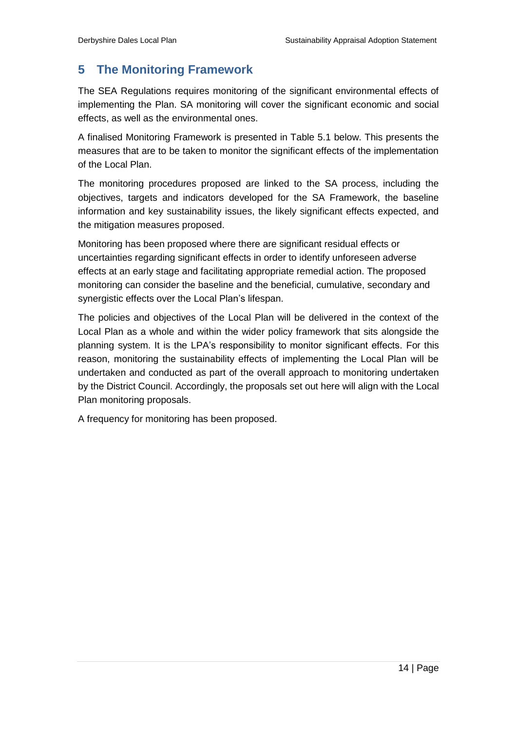## <span id="page-16-0"></span>**5 The Monitoring Framework**

The SEA Regulations requires monitoring of the significant environmental effects of implementing the Plan. SA monitoring will cover the significant economic and social effects, as well as the environmental ones.

A finalised Monitoring Framework is presented in Table 5.1 below. This presents the measures that are to be taken to monitor the significant effects of the implementation of the Local Plan.

The monitoring procedures proposed are linked to the SA process, including the objectives, targets and indicators developed for the SA Framework, the baseline information and key sustainability issues, the likely significant effects expected, and the mitigation measures proposed.

Monitoring has been proposed where there are significant residual effects or uncertainties regarding significant effects in order to identify unforeseen adverse effects at an early stage and facilitating appropriate remedial action. The proposed monitoring can consider the baseline and the beneficial, cumulative, secondary and synergistic effects over the Local Plan's lifespan.

The policies and objectives of the Local Plan will be delivered in the context of the Local Plan as a whole and within the wider policy framework that sits alongside the planning system. It is the LPA's responsibility to monitor significant effects. For this reason, monitoring the sustainability effects of implementing the Local Plan will be undertaken and conducted as part of the overall approach to monitoring undertaken by the District Council. Accordingly, the proposals set out here will align with the Local Plan monitoring proposals.

A frequency for monitoring has been proposed.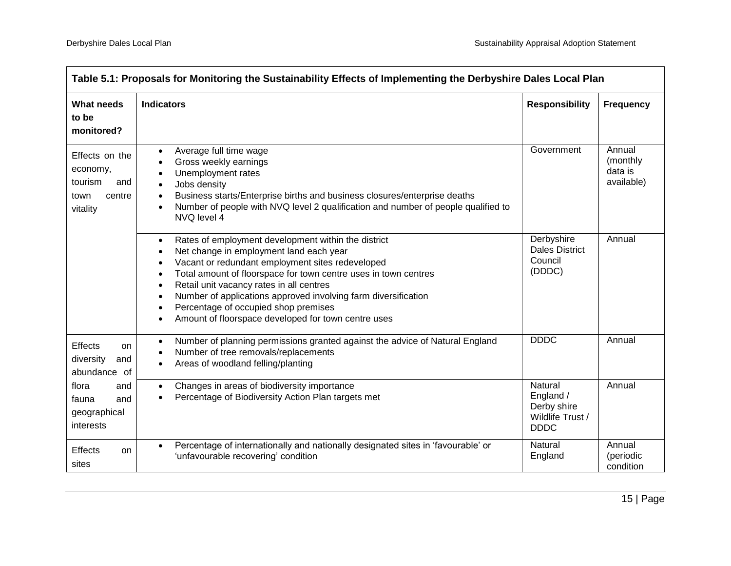| Table 5.1: Proposals for Monitoring the Sustainability Effects of Implementing the Derbyshire Dales Local Plan |                                                                                                                                                                                                                                                                                                                                                                                                                                                                                                                               |                                                                        |                                             |
|----------------------------------------------------------------------------------------------------------------|-------------------------------------------------------------------------------------------------------------------------------------------------------------------------------------------------------------------------------------------------------------------------------------------------------------------------------------------------------------------------------------------------------------------------------------------------------------------------------------------------------------------------------|------------------------------------------------------------------------|---------------------------------------------|
| <b>What needs</b><br>to be<br>monitored?                                                                       | <b>Indicators</b>                                                                                                                                                                                                                                                                                                                                                                                                                                                                                                             | <b>Responsibility</b>                                                  | <b>Frequency</b>                            |
| Effects on the<br>economy,<br>tourism<br>and<br>centre<br>town<br>vitality                                     | Average full time wage<br>$\bullet$<br>Gross weekly earnings<br>Unemployment rates<br>Jobs density<br>Business starts/Enterprise births and business closures/enterprise deaths<br>$\bullet$<br>Number of people with NVQ level 2 qualification and number of people qualified to<br>NVQ level 4                                                                                                                                                                                                                              | Government                                                             | Annual<br>(monthly<br>data is<br>available) |
|                                                                                                                | Rates of employment development within the district<br>$\bullet$<br>Net change in employment land each year<br>$\bullet$<br>Vacant or redundant employment sites redeveloped<br>$\bullet$<br>Total amount of floorspace for town centre uses in town centres<br>$\bullet$<br>Retail unit vacancy rates in all centres<br>$\bullet$<br>Number of applications approved involving farm diversification<br>$\bullet$<br>Percentage of occupied shop premises<br>$\bullet$<br>Amount of floorspace developed for town centre uses | Derbyshire<br><b>Dales District</b><br>Council<br>(DDDC)               | Annual                                      |
| <b>Effects</b><br>on<br>diversity<br>and<br>abundance of                                                       | Number of planning permissions granted against the advice of Natural England<br>$\bullet$<br>Number of tree removals/replacements<br>Areas of woodland felling/planting                                                                                                                                                                                                                                                                                                                                                       | <b>DDDC</b>                                                            | Annual                                      |
| flora<br>and<br>and<br>fauna<br>geographical<br>interests                                                      | Changes in areas of biodiversity importance<br>$\bullet$<br>Percentage of Biodiversity Action Plan targets met<br>$\bullet$                                                                                                                                                                                                                                                                                                                                                                                                   | Natural<br>England /<br>Derby shire<br>Wildlife Trust /<br><b>DDDC</b> | Annual                                      |
| Effects<br>on<br>sites                                                                                         | Percentage of internationally and nationally designated sites in 'favourable' or<br>$\bullet$<br>'unfavourable recovering' condition                                                                                                                                                                                                                                                                                                                                                                                          | <b>Natural</b><br>England                                              | Annual<br>(periodic<br>condition            |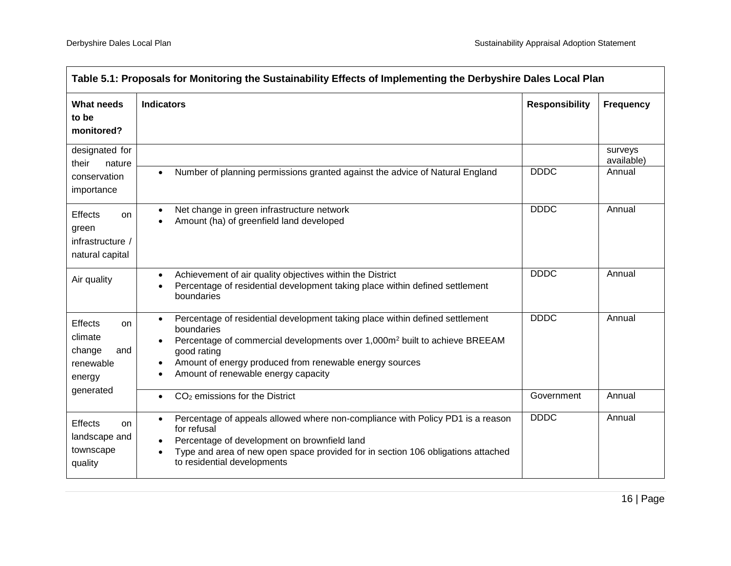| Table 5.1: Proposals for Monitoring the Sustainability Effects of Implementing the Derbyshire Dales Local Plan |                                                                                                                                                                                                                                                                                                                                 |                       |                                 |
|----------------------------------------------------------------------------------------------------------------|---------------------------------------------------------------------------------------------------------------------------------------------------------------------------------------------------------------------------------------------------------------------------------------------------------------------------------|-----------------------|---------------------------------|
| <b>What needs</b><br>to be<br>monitored?                                                                       | <b>Indicators</b>                                                                                                                                                                                                                                                                                                               | <b>Responsibility</b> | <b>Frequency</b>                |
| designated for<br>their<br>nature<br>conservation<br>importance                                                | Number of planning permissions granted against the advice of Natural England<br>$\bullet$                                                                                                                                                                                                                                       | <b>DDDC</b>           | surveys<br>available)<br>Annual |
| <b>Effects</b><br>on<br>green<br>infrastructure /<br>natural capital                                           | Net change in green infrastructure network<br>$\bullet$<br>Amount (ha) of greenfield land developed                                                                                                                                                                                                                             | <b>DDDC</b>           | Annual                          |
| Air quality                                                                                                    | Achievement of air quality objectives within the District<br>$\bullet$<br>Percentage of residential development taking place within defined settlement<br>$\bullet$<br>boundaries                                                                                                                                               | <b>DDDC</b>           | Annual                          |
| <b>Effects</b><br>on<br>climate<br>change<br>and<br>renewable<br>energy                                        | Percentage of residential development taking place within defined settlement<br>$\bullet$<br>boundaries<br>Percentage of commercial developments over 1,000m <sup>2</sup> built to achieve BREEAM<br>good rating<br>Amount of energy produced from renewable energy sources<br>$\bullet$<br>Amount of renewable energy capacity | <b>DDDC</b>           | Annual                          |
| generated                                                                                                      | CO <sub>2</sub> emissions for the District<br>$\bullet$                                                                                                                                                                                                                                                                         | Government            | Annual                          |
| Effects<br>on<br>landscape and<br>townscape<br>quality                                                         | Percentage of appeals allowed where non-compliance with Policy PD1 is a reason<br>$\bullet$<br>for refusal<br>Percentage of development on brownfield land<br>Type and area of new open space provided for in section 106 obligations attached<br>$\bullet$<br>to residential developments                                      | <b>DDDC</b>           | Annual                          |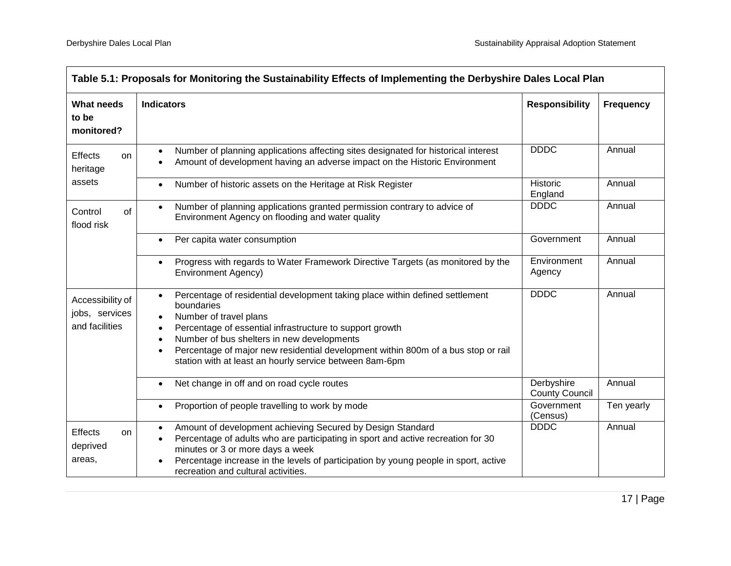| Table 5.1: Proposals for Monitoring the Sustainability Effects of Implementing the Derbyshire Dales Local Plan |                                                                                                                                                                                                                                                                                                                                                                                             |                                     |                  |
|----------------------------------------------------------------------------------------------------------------|---------------------------------------------------------------------------------------------------------------------------------------------------------------------------------------------------------------------------------------------------------------------------------------------------------------------------------------------------------------------------------------------|-------------------------------------|------------------|
| <b>What needs</b><br>to be<br>monitored?                                                                       | <b>Indicators</b>                                                                                                                                                                                                                                                                                                                                                                           | <b>Responsibility</b>               | <b>Frequency</b> |
| <b>Effects</b><br>on.<br>heritage                                                                              | Number of planning applications affecting sites designated for historical interest<br>$\bullet$<br>Amount of development having an adverse impact on the Historic Environment                                                                                                                                                                                                               | <b>DDDC</b>                         | Annual           |
| assets                                                                                                         | Number of historic assets on the Heritage at Risk Register                                                                                                                                                                                                                                                                                                                                  | Historic<br>England                 | Annual           |
| of<br>Control<br>flood risk                                                                                    | Number of planning applications granted permission contrary to advice of<br>Environment Agency on flooding and water quality                                                                                                                                                                                                                                                                | <b>DDDC</b>                         | Annual           |
|                                                                                                                | Per capita water consumption                                                                                                                                                                                                                                                                                                                                                                | Government                          | Annual           |
|                                                                                                                | Progress with regards to Water Framework Directive Targets (as monitored by the<br><b>Environment Agency)</b>                                                                                                                                                                                                                                                                               | Environment<br>Agency               | Annual           |
| Accessibility of<br>jobs, services<br>and facilities                                                           | Percentage of residential development taking place within defined settlement<br>$\bullet$<br>boundaries<br>Number of travel plans<br>Percentage of essential infrastructure to support growth<br>Number of bus shelters in new developments<br>Percentage of major new residential development within 800m of a bus stop or rail<br>station with at least an hourly service between 8am-6pm | <b>DDDC</b>                         | Annual           |
|                                                                                                                | Net change in off and on road cycle routes                                                                                                                                                                                                                                                                                                                                                  | Derbyshire<br><b>County Council</b> | Annual           |
|                                                                                                                | Proportion of people travelling to work by mode<br>$\bullet$                                                                                                                                                                                                                                                                                                                                | Government<br>(Census)              | Ten yearly       |
| <b>Effects</b><br>on<br>deprived<br>areas,                                                                     | Amount of development achieving Secured by Design Standard<br>$\bullet$<br>Percentage of adults who are participating in sport and active recreation for 30<br>$\bullet$<br>minutes or 3 or more days a week<br>Percentage increase in the levels of participation by young people in sport, active<br>recreation and cultural activities.                                                  | <b>DDDC</b>                         | Annual           |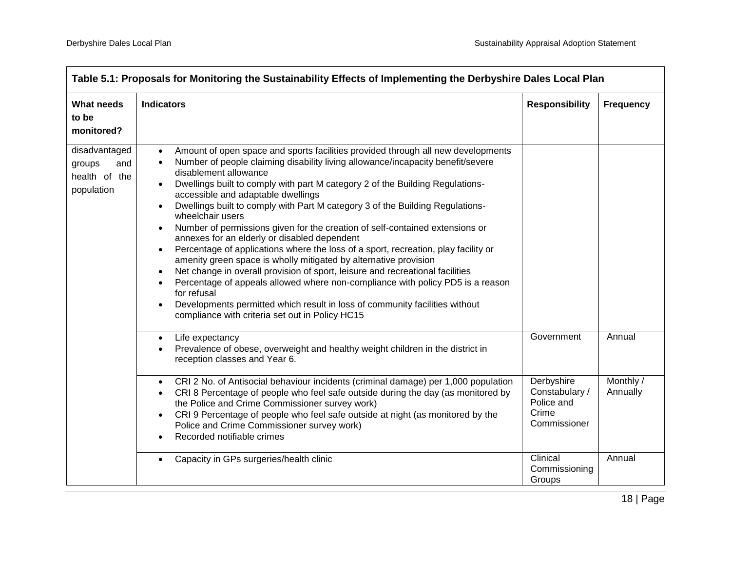|                                                               | Table 5.1: Proposals for Monitoring the Sustainability Effects of Implementing the Derbyshire Dales Local Plan                                                                                                                                                                                                                                                                                                                                                                                                                                                                                                                                                                                                                                                                                                                                                                                                                                                                                                                                                                                                                    |                                                                     |                       |  |
|---------------------------------------------------------------|-----------------------------------------------------------------------------------------------------------------------------------------------------------------------------------------------------------------------------------------------------------------------------------------------------------------------------------------------------------------------------------------------------------------------------------------------------------------------------------------------------------------------------------------------------------------------------------------------------------------------------------------------------------------------------------------------------------------------------------------------------------------------------------------------------------------------------------------------------------------------------------------------------------------------------------------------------------------------------------------------------------------------------------------------------------------------------------------------------------------------------------|---------------------------------------------------------------------|-----------------------|--|
| <b>What needs</b><br>to be<br>monitored?                      | <b>Indicators</b>                                                                                                                                                                                                                                                                                                                                                                                                                                                                                                                                                                                                                                                                                                                                                                                                                                                                                                                                                                                                                                                                                                                 | <b>Responsibility</b>                                               | <b>Frequency</b>      |  |
| disadvantaged<br>groups<br>and<br>health of the<br>population | Amount of open space and sports facilities provided through all new developments<br>$\bullet$<br>Number of people claiming disability living allowance/incapacity benefit/severe<br>$\bullet$<br>disablement allowance<br>Dwellings built to comply with part M category 2 of the Building Regulations-<br>$\bullet$<br>accessible and adaptable dwellings<br>Dwellings built to comply with Part M category 3 of the Building Regulations-<br>wheelchair users<br>Number of permissions given for the creation of self-contained extensions or<br>$\bullet$<br>annexes for an elderly or disabled dependent<br>Percentage of applications where the loss of a sport, recreation, play facility or<br>$\bullet$<br>amenity green space is wholly mitigated by alternative provision<br>Net change in overall provision of sport, leisure and recreational facilities<br>$\bullet$<br>Percentage of appeals allowed where non-compliance with policy PD5 is a reason<br>for refusal<br>Developments permitted which result in loss of community facilities without<br>$\bullet$<br>compliance with criteria set out in Policy HC15 |                                                                     |                       |  |
|                                                               | Life expectancy<br>$\bullet$<br>Prevalence of obese, overweight and healthy weight children in the district in<br>reception classes and Year 6.                                                                                                                                                                                                                                                                                                                                                                                                                                                                                                                                                                                                                                                                                                                                                                                                                                                                                                                                                                                   | Government                                                          | Annual                |  |
|                                                               | CRI 2 No. of Antisocial behaviour incidents (criminal damage) per 1,000 population<br>$\bullet$<br>CRI 8 Percentage of people who feel safe outside during the day (as monitored by<br>$\bullet$<br>the Police and Crime Commissioner survey work)<br>CRI 9 Percentage of people who feel safe outside at night (as monitored by the<br>Police and Crime Commissioner survey work)<br>Recorded notifiable crimes                                                                                                                                                                                                                                                                                                                                                                                                                                                                                                                                                                                                                                                                                                                  | Derbyshire<br>Constabulary /<br>Police and<br>Crime<br>Commissioner | Monthly /<br>Annually |  |
|                                                               | Capacity in GPs surgeries/health clinic                                                                                                                                                                                                                                                                                                                                                                                                                                                                                                                                                                                                                                                                                                                                                                                                                                                                                                                                                                                                                                                                                           | Clinical<br>Commissioning<br>Groups                                 | Annual                |  |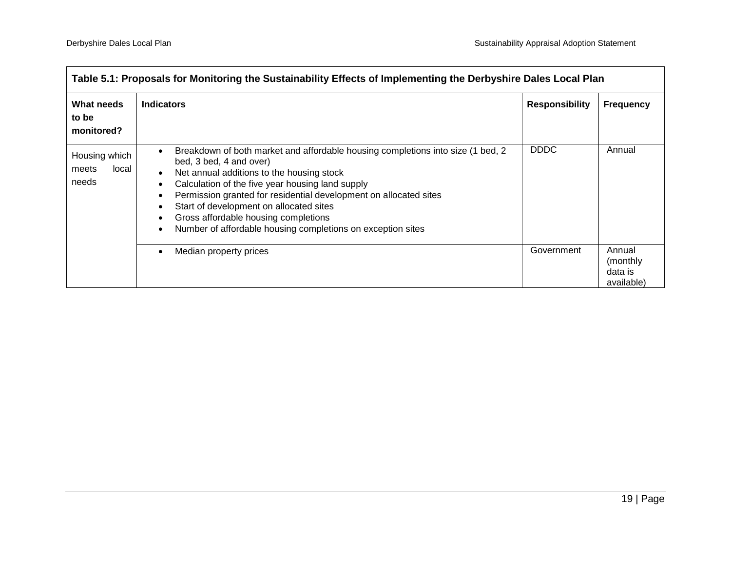| Table 5.1: Proposals for Monitoring the Sustainability Effects of Implementing the Derbyshire Dales Local Plan |                                                                                                                                                                                                                                                                                                                                                                                                                                    |                       |                                              |
|----------------------------------------------------------------------------------------------------------------|------------------------------------------------------------------------------------------------------------------------------------------------------------------------------------------------------------------------------------------------------------------------------------------------------------------------------------------------------------------------------------------------------------------------------------|-----------------------|----------------------------------------------|
| What needs<br>to be<br>monitored?                                                                              | <b>Indicators</b>                                                                                                                                                                                                                                                                                                                                                                                                                  | <b>Responsibility</b> | <b>Frequency</b>                             |
| Housing which<br>local<br>meets<br>needs                                                                       | Breakdown of both market and affordable housing completions into size (1 bed, 2<br>bed, 3 bed, 4 and over)<br>Net annual additions to the housing stock<br>Calculation of the five year housing land supply<br>Permission granted for residential development on allocated sites<br>Start of development on allocated sites<br>Gross affordable housing completions<br>Number of affordable housing completions on exception sites | <b>DDDC</b>           | Annual                                       |
|                                                                                                                | Median property prices                                                                                                                                                                                                                                                                                                                                                                                                             | Government            | Annual<br>(monthly)<br>data is<br>available) |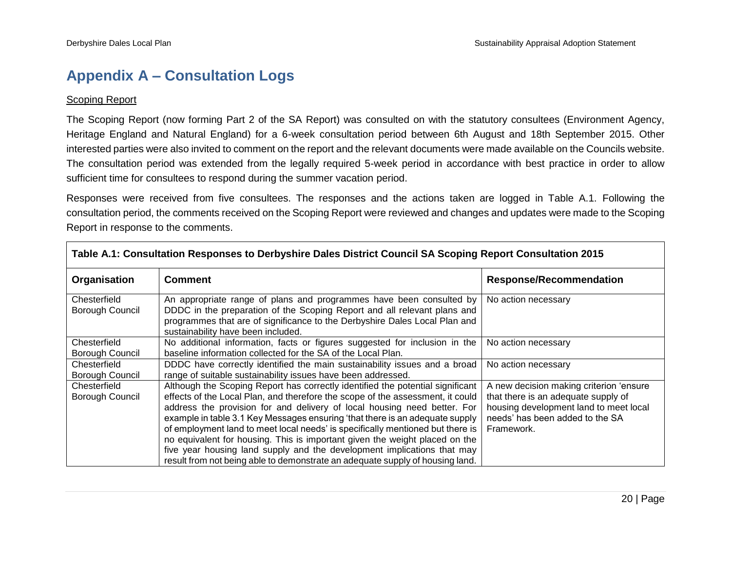# **Appendix A – Consultation Logs**

#### **Scoping Report**

The Scoping Report (now forming Part 2 of the SA Report) was consulted on with the statutory consultees (Environment Agency, Heritage England and Natural England) for a 6-week consultation period between 6th August and 18th September 2015. Other interested parties were also invited to comment on the report and the relevant documents were made available on the Councils website. The consultation period was extended from the legally required 5-week period in accordance with best practice in order to allow sufficient time for consultees to respond during the summer vacation period.

Responses were received from five consultees. The responses and the actions taken are logged in Table A.1. Following the consultation period, the comments received on the Scoping Report were reviewed and changes and updates were made to the Scoping Report in response to the comments.

| Table A.T. Consultation Responses to Derbyshire Dales District Council SA Scoping Report Consultation 2015 |                                                                                                                                                                                                                                                                                                                                                                                                                                                                                                                                                                                                                                                           |                                                                                                                                                                           |  |
|------------------------------------------------------------------------------------------------------------|-----------------------------------------------------------------------------------------------------------------------------------------------------------------------------------------------------------------------------------------------------------------------------------------------------------------------------------------------------------------------------------------------------------------------------------------------------------------------------------------------------------------------------------------------------------------------------------------------------------------------------------------------------------|---------------------------------------------------------------------------------------------------------------------------------------------------------------------------|--|
| Organisation                                                                                               | <b>Comment</b>                                                                                                                                                                                                                                                                                                                                                                                                                                                                                                                                                                                                                                            | <b>Response/Recommendation</b>                                                                                                                                            |  |
| Chesterfield<br>Borough Council                                                                            | An appropriate range of plans and programmes have been consulted by<br>DDDC in the preparation of the Scoping Report and all relevant plans and<br>programmes that are of significance to the Derbyshire Dales Local Plan and<br>sustainability have been included.                                                                                                                                                                                                                                                                                                                                                                                       | No action necessary                                                                                                                                                       |  |
| Chesterfield<br><b>Borough Council</b>                                                                     | No additional information, facts or figures suggested for inclusion in the<br>baseline information collected for the SA of the Local Plan.                                                                                                                                                                                                                                                                                                                                                                                                                                                                                                                | No action necessary                                                                                                                                                       |  |
| Chesterfield<br>Borough Council                                                                            | DDDC have correctly identified the main sustainability issues and a broad<br>range of suitable sustainability issues have been addressed.                                                                                                                                                                                                                                                                                                                                                                                                                                                                                                                 | No action necessary                                                                                                                                                       |  |
| Chesterfield<br>Borough Council                                                                            | Although the Scoping Report has correctly identified the potential significant<br>effects of the Local Plan, and therefore the scope of the assessment, it could<br>address the provision for and delivery of local housing need better. For<br>example in table 3.1 Key Messages ensuring 'that there is an adequate supply<br>of employment land to meet local needs' is specifically mentioned but there is<br>no equivalent for housing. This is important given the weight placed on the<br>five year housing land supply and the development implications that may<br>result from not being able to demonstrate an adequate supply of housing land. | A new decision making criterion 'ensure<br>that there is an adequate supply of<br>housing development land to meet local<br>needs' has been added to the SA<br>Framework. |  |

## <span id="page-22-0"></span>**Table A.1: Consultation Responses to Derbyshire Dales District Council SA Scoping Report Consultation 2015**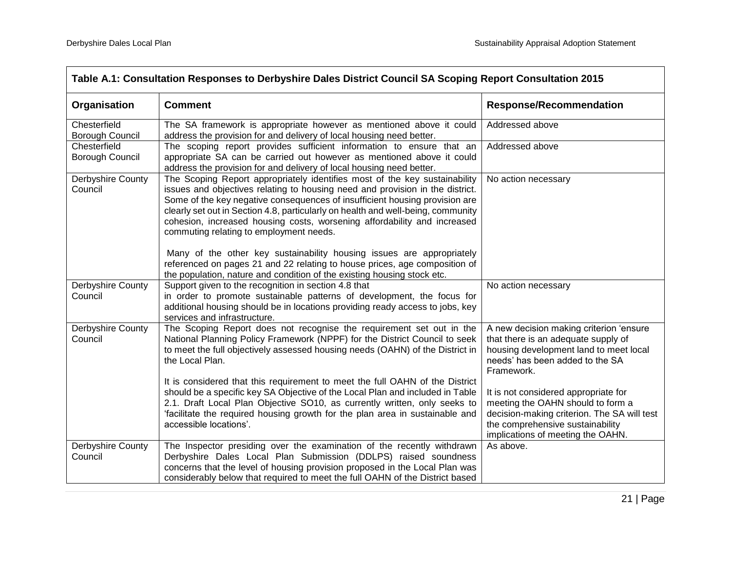| Table A.1: Consultation Responses to Derbyshire Dales District Council SA Scoping Report Consultation 2015 |                                                                                                                                                                                                                                                                                                                                                                                                                                                       |                                                                                                                                                                                                   |  |
|------------------------------------------------------------------------------------------------------------|-------------------------------------------------------------------------------------------------------------------------------------------------------------------------------------------------------------------------------------------------------------------------------------------------------------------------------------------------------------------------------------------------------------------------------------------------------|---------------------------------------------------------------------------------------------------------------------------------------------------------------------------------------------------|--|
| Organisation                                                                                               | <b>Comment</b>                                                                                                                                                                                                                                                                                                                                                                                                                                        | <b>Response/Recommendation</b>                                                                                                                                                                    |  |
| Chesterfield<br>Borough Council                                                                            | The SA framework is appropriate however as mentioned above it could<br>address the provision for and delivery of local housing need better.                                                                                                                                                                                                                                                                                                           | Addressed above                                                                                                                                                                                   |  |
| Chesterfield<br>Borough Council                                                                            | The scoping report provides sufficient information to ensure that an<br>appropriate SA can be carried out however as mentioned above it could<br>address the provision for and delivery of local housing need better.                                                                                                                                                                                                                                 | Addressed above                                                                                                                                                                                   |  |
| Derbyshire County<br>Council                                                                               | The Scoping Report appropriately identifies most of the key sustainability<br>issues and objectives relating to housing need and provision in the district.<br>Some of the key negative consequences of insufficient housing provision are<br>clearly set out in Section 4.8, particularly on health and well-being, community<br>cohesion, increased housing costs, worsening affordability and increased<br>commuting relating to employment needs. | No action necessary                                                                                                                                                                               |  |
|                                                                                                            | Many of the other key sustainability housing issues are appropriately<br>referenced on pages 21 and 22 relating to house prices, age composition of<br>the population, nature and condition of the existing housing stock etc.                                                                                                                                                                                                                        |                                                                                                                                                                                                   |  |
| Derbyshire County<br>Council                                                                               | Support given to the recognition in section 4.8 that<br>in order to promote sustainable patterns of development, the focus for<br>additional housing should be in locations providing ready access to jobs, key<br>services and infrastructure.                                                                                                                                                                                                       | No action necessary                                                                                                                                                                               |  |
| Derbyshire County<br>Council                                                                               | The Scoping Report does not recognise the requirement set out in the<br>National Planning Policy Framework (NPPF) for the District Council to seek<br>to meet the full objectively assessed housing needs (OAHN) of the District in<br>the Local Plan.                                                                                                                                                                                                | A new decision making criterion 'ensure<br>that there is an adequate supply of<br>housing development land to meet local<br>needs' has been added to the SA<br>Framework.                         |  |
|                                                                                                            | It is considered that this requirement to meet the full OAHN of the District<br>should be a specific key SA Objective of the Local Plan and included in Table<br>2.1. Draft Local Plan Objective SO10, as currently written, only seeks to<br>'facilitate the required housing growth for the plan area in sustainable and<br>accessible locations'.                                                                                                  | It is not considered appropriate for<br>meeting the OAHN should to form a<br>decision-making criterion. The SA will test<br>the comprehensive sustainability<br>implications of meeting the OAHN. |  |
| Derbyshire County<br>Council                                                                               | The Inspector presiding over the examination of the recently withdrawn<br>Derbyshire Dales Local Plan Submission (DDLPS) raised soundness<br>concerns that the level of housing provision proposed in the Local Plan was<br>considerably below that required to meet the full OAHN of the District based                                                                                                                                              | As above.                                                                                                                                                                                         |  |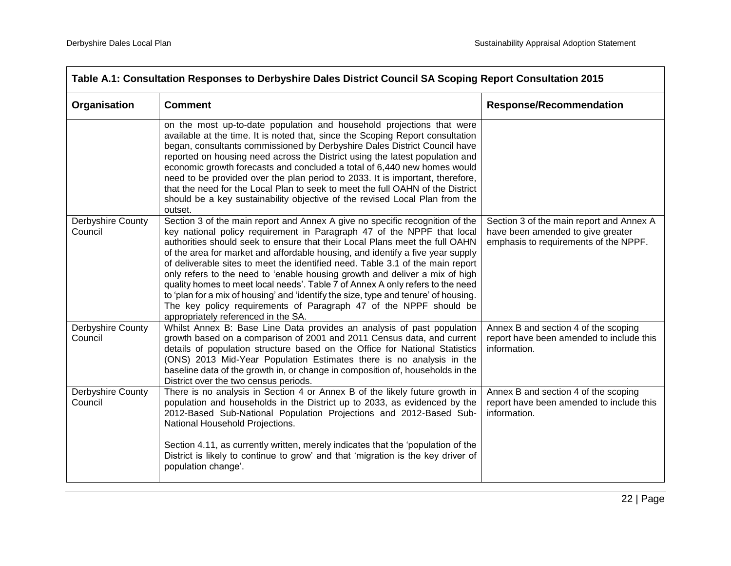| Table A.1: Consultation Responses to Derbyshire Dales District Council SA Scoping Report Consultation 2015                                                                                                                                                                                                                                                                                                                                                                                                                                                                                                                                                                                                                             |                                                                                                                        |  |
|----------------------------------------------------------------------------------------------------------------------------------------------------------------------------------------------------------------------------------------------------------------------------------------------------------------------------------------------------------------------------------------------------------------------------------------------------------------------------------------------------------------------------------------------------------------------------------------------------------------------------------------------------------------------------------------------------------------------------------------|------------------------------------------------------------------------------------------------------------------------|--|
| <b>Comment</b>                                                                                                                                                                                                                                                                                                                                                                                                                                                                                                                                                                                                                                                                                                                         | <b>Response/Recommendation</b>                                                                                         |  |
| on the most up-to-date population and household projections that were<br>available at the time. It is noted that, since the Scoping Report consultation<br>began, consultants commissioned by Derbyshire Dales District Council have<br>reported on housing need across the District using the latest population and<br>economic growth forecasts and concluded a total of 6,440 new homes would<br>need to be provided over the plan period to 2033. It is important, therefore,<br>that the need for the Local Plan to seek to meet the full OAHN of the District<br>should be a key sustainability objective of the revised Local Plan from the<br>outset.                                                                          |                                                                                                                        |  |
| Section 3 of the main report and Annex A give no specific recognition of the<br>key national policy requirement in Paragraph 47 of the NPPF that local<br>authorities should seek to ensure that their Local Plans meet the full OAHN<br>of the area for market and affordable housing, and identify a five year supply<br>of deliverable sites to meet the identified need. Table 3.1 of the main report<br>only refers to the need to 'enable housing growth and deliver a mix of high<br>quality homes to meet local needs'. Table 7 of Annex A only refers to the need<br>to 'plan for a mix of housing' and 'identify the size, type and tenure' of housing.<br>The key policy requirements of Paragraph 47 of the NPPF should be | Section 3 of the main report and Annex A<br>have been amended to give greater<br>emphasis to requirements of the NPPF. |  |
| Whilst Annex B: Base Line Data provides an analysis of past population<br>growth based on a comparison of 2001 and 2011 Census data, and current<br>details of population structure based on the Office for National Statistics<br>(ONS) 2013 Mid-Year Population Estimates there is no analysis in the<br>baseline data of the growth in, or change in composition of, households in the<br>District over the two census periods.                                                                                                                                                                                                                                                                                                     | Annex B and section 4 of the scoping<br>report have been amended to include this<br>information.                       |  |
| There is no analysis in Section 4 or Annex B of the likely future growth in<br>population and households in the District up to 2033, as evidenced by the<br>2012-Based Sub-National Population Projections and 2012-Based Sub-<br>National Household Projections.<br>Section 4.11, as currently written, merely indicates that the 'population of the<br>District is likely to continue to grow' and that 'migration is the key driver of                                                                                                                                                                                                                                                                                              | Annex B and section 4 of the scoping<br>report have been amended to include this<br>information.                       |  |
|                                                                                                                                                                                                                                                                                                                                                                                                                                                                                                                                                                                                                                                                                                                                        | appropriately referenced in the SA.<br>population change'.                                                             |  |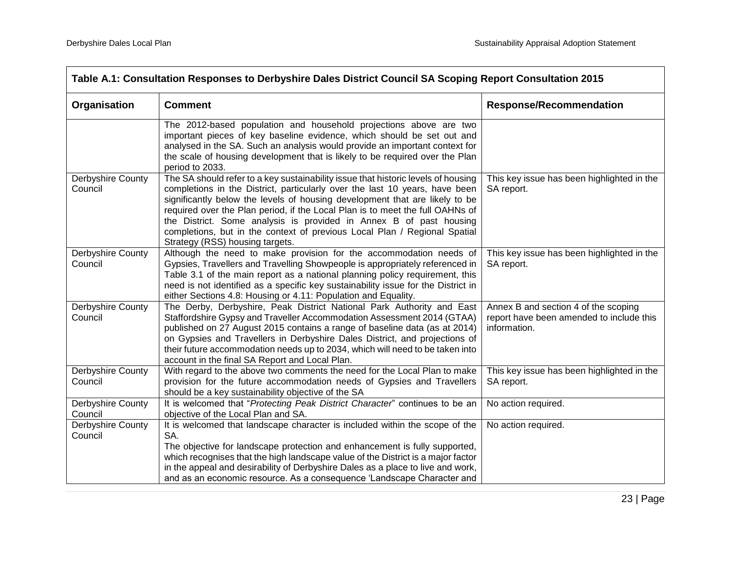| Table A.1: Consultation Responses to Derbyshire Dales District Council SA Scoping Report Consultation 2015 |                                                                                                                                                                                                                                                                                                                                                                                                                                                                                                                        |                                                                                                  |
|------------------------------------------------------------------------------------------------------------|------------------------------------------------------------------------------------------------------------------------------------------------------------------------------------------------------------------------------------------------------------------------------------------------------------------------------------------------------------------------------------------------------------------------------------------------------------------------------------------------------------------------|--------------------------------------------------------------------------------------------------|
| Organisation                                                                                               | <b>Comment</b>                                                                                                                                                                                                                                                                                                                                                                                                                                                                                                         | <b>Response/Recommendation</b>                                                                   |
|                                                                                                            | The 2012-based population and household projections above are two<br>important pieces of key baseline evidence, which should be set out and<br>analysed in the SA. Such an analysis would provide an important context for<br>the scale of housing development that is likely to be required over the Plan<br>period to 2033.                                                                                                                                                                                          |                                                                                                  |
| Derbyshire County<br>Council                                                                               | The SA should refer to a key sustainability issue that historic levels of housing<br>completions in the District, particularly over the last 10 years, have been<br>significantly below the levels of housing development that are likely to be<br>required over the Plan period, if the Local Plan is to meet the full OAHNs of<br>the District. Some analysis is provided in Annex B of past housing<br>completions, but in the context of previous Local Plan / Regional Spatial<br>Strategy (RSS) housing targets. | This key issue has been highlighted in the<br>SA report.                                         |
| Derbyshire County<br>Council                                                                               | Although the need to make provision for the accommodation needs of<br>Gypsies, Travellers and Travelling Showpeople is appropriately referenced in<br>Table 3.1 of the main report as a national planning policy requirement, this<br>need is not identified as a specific key sustainability issue for the District in<br>either Sections 4.8: Housing or 4.11: Population and Equality.                                                                                                                              | This key issue has been highlighted in the<br>SA report.                                         |
| Derbyshire County<br>Council                                                                               | The Derby, Derbyshire, Peak District National Park Authority and East<br>Staffordshire Gypsy and Traveller Accommodation Assessment 2014 (GTAA)<br>published on 27 August 2015 contains a range of baseline data (as at 2014)<br>on Gypsies and Travellers in Derbyshire Dales District, and projections of<br>their future accommodation needs up to 2034, which will need to be taken into<br>account in the final SA Report and Local Plan.                                                                         | Annex B and section 4 of the scoping<br>report have been amended to include this<br>information. |
| Derbyshire County<br>Council                                                                               | With regard to the above two comments the need for the Local Plan to make<br>provision for the future accommodation needs of Gypsies and Travellers<br>should be a key sustainability objective of the SA                                                                                                                                                                                                                                                                                                              | This key issue has been highlighted in the<br>SA report.                                         |
| Derbyshire County<br>Council                                                                               | It is welcomed that "Protecting Peak District Character" continues to be an<br>objective of the Local Plan and SA.                                                                                                                                                                                                                                                                                                                                                                                                     | No action required.                                                                              |
| Derbyshire County<br>Council                                                                               | It is welcomed that landscape character is included within the scope of the<br>SA.<br>The objective for landscape protection and enhancement is fully supported,<br>which recognises that the high landscape value of the District is a major factor<br>in the appeal and desirability of Derbyshire Dales as a place to live and work,<br>and as an economic resource. As a consequence 'Landscape Character and                                                                                                      | No action required.                                                                              |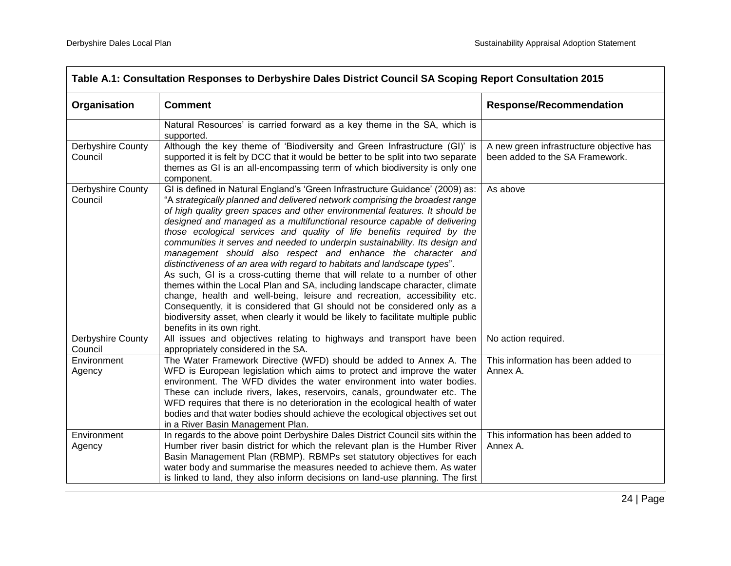| Table A.1: Consultation Responses to Derbyshire Dales District Council SA Scoping Report Consultation 2015 |                                                                                                                                                                                                                                                                                                                                                                                                                                                                                                                                                                                                                                                                                                                                                                                                                                                                                                                                                                                                                                                                         |                                                                             |
|------------------------------------------------------------------------------------------------------------|-------------------------------------------------------------------------------------------------------------------------------------------------------------------------------------------------------------------------------------------------------------------------------------------------------------------------------------------------------------------------------------------------------------------------------------------------------------------------------------------------------------------------------------------------------------------------------------------------------------------------------------------------------------------------------------------------------------------------------------------------------------------------------------------------------------------------------------------------------------------------------------------------------------------------------------------------------------------------------------------------------------------------------------------------------------------------|-----------------------------------------------------------------------------|
| Organisation                                                                                               | <b>Comment</b>                                                                                                                                                                                                                                                                                                                                                                                                                                                                                                                                                                                                                                                                                                                                                                                                                                                                                                                                                                                                                                                          | <b>Response/Recommendation</b>                                              |
|                                                                                                            | Natural Resources' is carried forward as a key theme in the SA, which is<br>supported.                                                                                                                                                                                                                                                                                                                                                                                                                                                                                                                                                                                                                                                                                                                                                                                                                                                                                                                                                                                  |                                                                             |
| Derbyshire County<br>Council                                                                               | Although the key theme of 'Biodiversity and Green Infrastructure (GI)' is<br>supported it is felt by DCC that it would be better to be split into two separate<br>themes as GI is an all-encompassing term of which biodiversity is only one<br>component.                                                                                                                                                                                                                                                                                                                                                                                                                                                                                                                                                                                                                                                                                                                                                                                                              | A new green infrastructure objective has<br>been added to the SA Framework. |
| Derbyshire County<br>Council                                                                               | GI is defined in Natural England's 'Green Infrastructure Guidance' (2009) as:<br>"A strategically planned and delivered network comprising the broadest range<br>of high quality green spaces and other environmental features. It should be<br>designed and managed as a multifunctional resource capable of delivering<br>those ecological services and quality of life benefits required by the<br>communities it serves and needed to underpin sustainability. Its design and<br>management should also respect and enhance the character and<br>distinctiveness of an area with regard to habitats and landscape types".<br>As such, GI is a cross-cutting theme that will relate to a number of other<br>themes within the Local Plan and SA, including landscape character, climate<br>change, health and well-being, leisure and recreation, accessibility etc.<br>Consequently, it is considered that GI should not be considered only as a<br>biodiversity asset, when clearly it would be likely to facilitate multiple public<br>benefits in its own right. | As above                                                                    |
| Derbyshire County<br>Council                                                                               | All issues and objectives relating to highways and transport have been<br>appropriately considered in the SA.                                                                                                                                                                                                                                                                                                                                                                                                                                                                                                                                                                                                                                                                                                                                                                                                                                                                                                                                                           | No action required.                                                         |
| Environment<br>Agency                                                                                      | The Water Framework Directive (WFD) should be added to Annex A. The<br>WFD is European legislation which aims to protect and improve the water<br>environment. The WFD divides the water environment into water bodies.<br>These can include rivers, lakes, reservoirs, canals, groundwater etc. The<br>WFD requires that there is no deterioration in the ecological health of water<br>bodies and that water bodies should achieve the ecological objectives set out<br>in a River Basin Management Plan.                                                                                                                                                                                                                                                                                                                                                                                                                                                                                                                                                             | This information has been added to<br>Annex A.                              |
| Environment<br>Agency                                                                                      | In regards to the above point Derbyshire Dales District Council sits within the<br>Humber river basin district for which the relevant plan is the Humber River<br>Basin Management Plan (RBMP). RBMPs set statutory objectives for each<br>water body and summarise the measures needed to achieve them. As water<br>is linked to land, they also inform decisions on land-use planning. The first                                                                                                                                                                                                                                                                                                                                                                                                                                                                                                                                                                                                                                                                      | This information has been added to<br>Annex A.                              |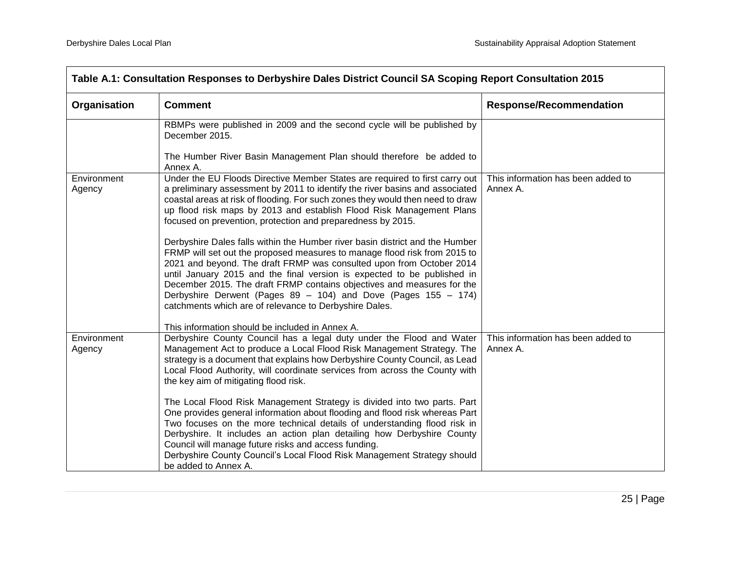| Table A.1: Consultation Responses to Derbyshire Dales District Council SA Scoping Report Consultation 2015 |                                                                                                                                                                                                                                                                                                                                                                                                                                                                                                                    |                                                |
|------------------------------------------------------------------------------------------------------------|--------------------------------------------------------------------------------------------------------------------------------------------------------------------------------------------------------------------------------------------------------------------------------------------------------------------------------------------------------------------------------------------------------------------------------------------------------------------------------------------------------------------|------------------------------------------------|
| Organisation                                                                                               | <b>Comment</b>                                                                                                                                                                                                                                                                                                                                                                                                                                                                                                     | <b>Response/Recommendation</b>                 |
|                                                                                                            | RBMPs were published in 2009 and the second cycle will be published by<br>December 2015.                                                                                                                                                                                                                                                                                                                                                                                                                           |                                                |
|                                                                                                            | The Humber River Basin Management Plan should therefore be added to<br>Annex A.                                                                                                                                                                                                                                                                                                                                                                                                                                    |                                                |
| Environment<br>Agency                                                                                      | Under the EU Floods Directive Member States are required to first carry out<br>a preliminary assessment by 2011 to identify the river basins and associated<br>coastal areas at risk of flooding. For such zones they would then need to draw<br>up flood risk maps by 2013 and establish Flood Risk Management Plans<br>focused on prevention, protection and preparedness by 2015.                                                                                                                               | This information has been added to<br>Annex A. |
|                                                                                                            | Derbyshire Dales falls within the Humber river basin district and the Humber<br>FRMP will set out the proposed measures to manage flood risk from 2015 to<br>2021 and beyond. The draft FRMP was consulted upon from October 2014<br>until January 2015 and the final version is expected to be published in<br>December 2015. The draft FRMP contains objectives and measures for the<br>Derbyshire Derwent (Pages 89 - 104) and Dove (Pages 155 - 174)<br>catchments which are of relevance to Derbyshire Dales. |                                                |
|                                                                                                            | This information should be included in Annex A.                                                                                                                                                                                                                                                                                                                                                                                                                                                                    |                                                |
| Environment<br>Agency                                                                                      | Derbyshire County Council has a legal duty under the Flood and Water<br>Management Act to produce a Local Flood Risk Management Strategy. The<br>strategy is a document that explains how Derbyshire County Council, as Lead<br>Local Flood Authority, will coordinate services from across the County with<br>the key aim of mitigating flood risk.                                                                                                                                                               | This information has been added to<br>Annex A. |
|                                                                                                            | The Local Flood Risk Management Strategy is divided into two parts. Part<br>One provides general information about flooding and flood risk whereas Part<br>Two focuses on the more technical details of understanding flood risk in<br>Derbyshire. It includes an action plan detailing how Derbyshire County<br>Council will manage future risks and access funding.<br>Derbyshire County Council's Local Flood Risk Management Strategy should<br>be added to Annex A.                                           |                                                |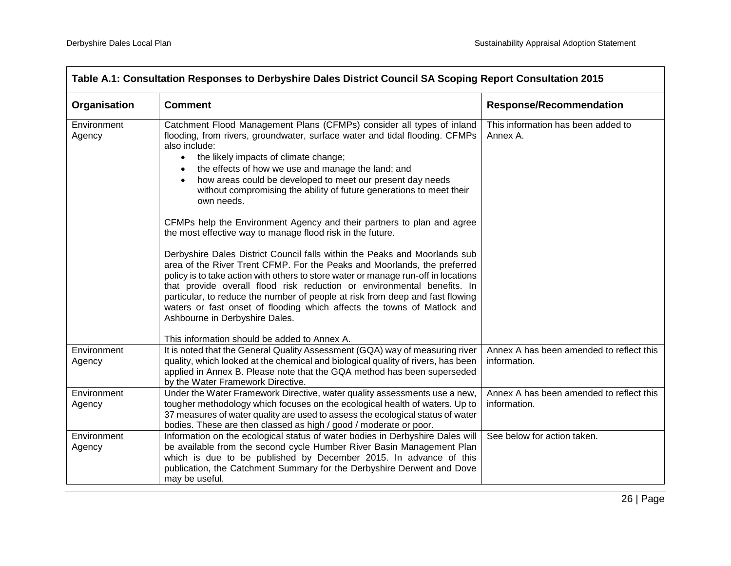| Organisation          | <b>Comment</b>                                                                                                                                                                                                                                                                                                                                                                                                                                                                                                                                                                                                                                                                                                                                                                                                                                                                                                                                                                                                                                                                                                                   | <b>Response/Recommendation</b>                           |
|-----------------------|----------------------------------------------------------------------------------------------------------------------------------------------------------------------------------------------------------------------------------------------------------------------------------------------------------------------------------------------------------------------------------------------------------------------------------------------------------------------------------------------------------------------------------------------------------------------------------------------------------------------------------------------------------------------------------------------------------------------------------------------------------------------------------------------------------------------------------------------------------------------------------------------------------------------------------------------------------------------------------------------------------------------------------------------------------------------------------------------------------------------------------|----------------------------------------------------------|
| Environment<br>Agency | Catchment Flood Management Plans (CFMPs) consider all types of inland<br>flooding, from rivers, groundwater, surface water and tidal flooding. CFMPs<br>also include:<br>the likely impacts of climate change;<br>$\bullet$<br>the effects of how we use and manage the land; and<br>$\bullet$<br>how areas could be developed to meet our present day needs<br>$\bullet$<br>without compromising the ability of future generations to meet their<br>own needs.<br>CFMPs help the Environment Agency and their partners to plan and agree<br>the most effective way to manage flood risk in the future.<br>Derbyshire Dales District Council falls within the Peaks and Moorlands sub<br>area of the River Trent CFMP. For the Peaks and Moorlands, the preferred<br>policy is to take action with others to store water or manage run-off in locations<br>that provide overall flood risk reduction or environmental benefits. In<br>particular, to reduce the number of people at risk from deep and fast flowing<br>waters or fast onset of flooding which affects the towns of Matlock and<br>Ashbourne in Derbyshire Dales. | This information has been added to<br>Annex A.           |
|                       | This information should be added to Annex A.                                                                                                                                                                                                                                                                                                                                                                                                                                                                                                                                                                                                                                                                                                                                                                                                                                                                                                                                                                                                                                                                                     |                                                          |
| Environment<br>Agency | It is noted that the General Quality Assessment (GQA) way of measuring river<br>quality, which looked at the chemical and biological quality of rivers, has been<br>applied in Annex B. Please note that the GQA method has been superseded<br>by the Water Framework Directive.                                                                                                                                                                                                                                                                                                                                                                                                                                                                                                                                                                                                                                                                                                                                                                                                                                                 | Annex A has been amended to reflect this<br>information. |
| Environment<br>Agency | Under the Water Framework Directive, water quality assessments use a new,<br>tougher methodology which focuses on the ecological health of waters. Up to<br>37 measures of water quality are used to assess the ecological status of water<br>bodies. These are then classed as high / good / moderate or poor.                                                                                                                                                                                                                                                                                                                                                                                                                                                                                                                                                                                                                                                                                                                                                                                                                  | Annex A has been amended to reflect this<br>information. |
| Environment<br>Agency | Information on the ecological status of water bodies in Derbyshire Dales will<br>be available from the second cycle Humber River Basin Management Plan<br>which is due to be published by December 2015. In advance of this<br>publication, the Catchment Summary for the Derbyshire Derwent and Dove<br>may be useful.                                                                                                                                                                                                                                                                                                                                                                                                                                                                                                                                                                                                                                                                                                                                                                                                          | See below for action taken.                              |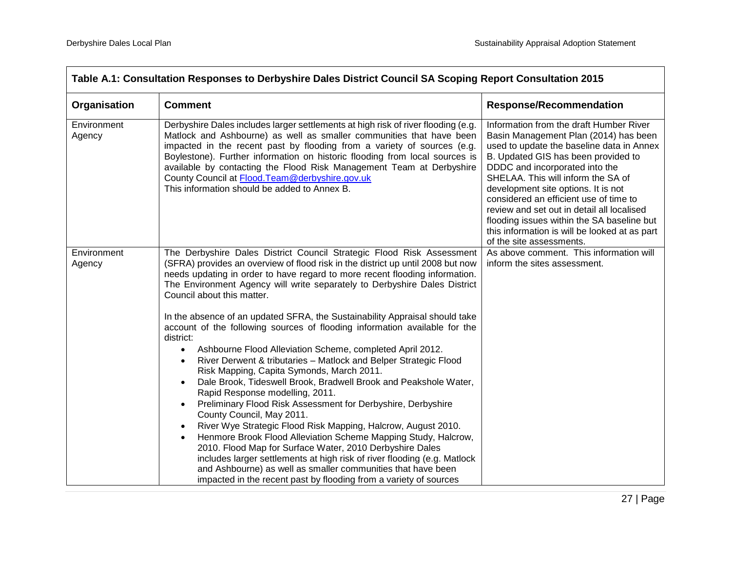| Table A.1: Consultation Responses to Derbyshire Dales District Council SA Scoping Report Consultation 2015                                                                                                                                                                                                                                                                                                                                                                                                                                                                                                                                                                                                                                                                                                                                                                                                                                                                                                                                                                                                                                                                                                                                                                                                                                                                                     |                                                                                                                                                                                                                                                                                                                                                                                                                                                                                                |                                                                                                                                                                                                                                                                                                                                                                                                                                                                                                        |
|------------------------------------------------------------------------------------------------------------------------------------------------------------------------------------------------------------------------------------------------------------------------------------------------------------------------------------------------------------------------------------------------------------------------------------------------------------------------------------------------------------------------------------------------------------------------------------------------------------------------------------------------------------------------------------------------------------------------------------------------------------------------------------------------------------------------------------------------------------------------------------------------------------------------------------------------------------------------------------------------------------------------------------------------------------------------------------------------------------------------------------------------------------------------------------------------------------------------------------------------------------------------------------------------------------------------------------------------------------------------------------------------|------------------------------------------------------------------------------------------------------------------------------------------------------------------------------------------------------------------------------------------------------------------------------------------------------------------------------------------------------------------------------------------------------------------------------------------------------------------------------------------------|--------------------------------------------------------------------------------------------------------------------------------------------------------------------------------------------------------------------------------------------------------------------------------------------------------------------------------------------------------------------------------------------------------------------------------------------------------------------------------------------------------|
| Organisation                                                                                                                                                                                                                                                                                                                                                                                                                                                                                                                                                                                                                                                                                                                                                                                                                                                                                                                                                                                                                                                                                                                                                                                                                                                                                                                                                                                   | <b>Comment</b>                                                                                                                                                                                                                                                                                                                                                                                                                                                                                 | <b>Response/Recommendation</b>                                                                                                                                                                                                                                                                                                                                                                                                                                                                         |
| Environment<br>Agency                                                                                                                                                                                                                                                                                                                                                                                                                                                                                                                                                                                                                                                                                                                                                                                                                                                                                                                                                                                                                                                                                                                                                                                                                                                                                                                                                                          | Derbyshire Dales includes larger settlements at high risk of river flooding (e.g.<br>Matlock and Ashbourne) as well as smaller communities that have been<br>impacted in the recent past by flooding from a variety of sources (e.g.<br>Boylestone). Further information on historic flooding from local sources is<br>available by contacting the Flood Risk Management Team at Derbyshire<br>County Council at Flood. Team@derbyshire.gov.uk<br>This information should be added to Annex B. | Information from the draft Humber River<br>Basin Management Plan (2014) has been<br>used to update the baseline data in Annex<br>B. Updated GIS has been provided to<br>DDDC and incorporated into the<br>SHELAA. This will inform the SA of<br>development site options. It is not<br>considered an efficient use of time to<br>review and set out in detail all localised<br>flooding issues within the SA baseline but<br>this information is will be looked at as part<br>of the site assessments. |
| The Derbyshire Dales District Council Strategic Flood Risk Assessment<br>Environment<br>(SFRA) provides an overview of flood risk in the district up until 2008 but now<br>Agency<br>needs updating in order to have regard to more recent flooding information.<br>The Environment Agency will write separately to Derbyshire Dales District<br>Council about this matter.<br>In the absence of an updated SFRA, the Sustainability Appraisal should take<br>account of the following sources of flooding information available for the<br>district:<br>Ashbourne Flood Alleviation Scheme, completed April 2012.<br>$\bullet$<br>River Derwent & tributaries - Matlock and Belper Strategic Flood<br>$\bullet$<br>Risk Mapping, Capita Symonds, March 2011.<br>Dale Brook, Tideswell Brook, Bradwell Brook and Peakshole Water,<br>Rapid Response modelling, 2011.<br>Preliminary Flood Risk Assessment for Derbyshire, Derbyshire<br>County Council, May 2011.<br>River Wye Strategic Flood Risk Mapping, Halcrow, August 2010.<br>Henmore Brook Flood Alleviation Scheme Mapping Study, Halcrow,<br>$\bullet$<br>2010. Flood Map for Surface Water, 2010 Derbyshire Dales<br>includes larger settlements at high risk of river flooding (e.g. Matlock<br>and Ashbourne) as well as smaller communities that have been<br>impacted in the recent past by flooding from a variety of sources | As above comment. This information will<br>inform the sites assessment.                                                                                                                                                                                                                                                                                                                                                                                                                        |                                                                                                                                                                                                                                                                                                                                                                                                                                                                                                        |
|                                                                                                                                                                                                                                                                                                                                                                                                                                                                                                                                                                                                                                                                                                                                                                                                                                                                                                                                                                                                                                                                                                                                                                                                                                                                                                                                                                                                |                                                                                                                                                                                                                                                                                                                                                                                                                                                                                                |                                                                                                                                                                                                                                                                                                                                                                                                                                                                                                        |
|                                                                                                                                                                                                                                                                                                                                                                                                                                                                                                                                                                                                                                                                                                                                                                                                                                                                                                                                                                                                                                                                                                                                                                                                                                                                                                                                                                                                |                                                                                                                                                                                                                                                                                                                                                                                                                                                                                                |                                                                                                                                                                                                                                                                                                                                                                                                                                                                                                        |
|                                                                                                                                                                                                                                                                                                                                                                                                                                                                                                                                                                                                                                                                                                                                                                                                                                                                                                                                                                                                                                                                                                                                                                                                                                                                                                                                                                                                |                                                                                                                                                                                                                                                                                                                                                                                                                                                                                                |                                                                                                                                                                                                                                                                                                                                                                                                                                                                                                        |
|                                                                                                                                                                                                                                                                                                                                                                                                                                                                                                                                                                                                                                                                                                                                                                                                                                                                                                                                                                                                                                                                                                                                                                                                                                                                                                                                                                                                |                                                                                                                                                                                                                                                                                                                                                                                                                                                                                                |                                                                                                                                                                                                                                                                                                                                                                                                                                                                                                        |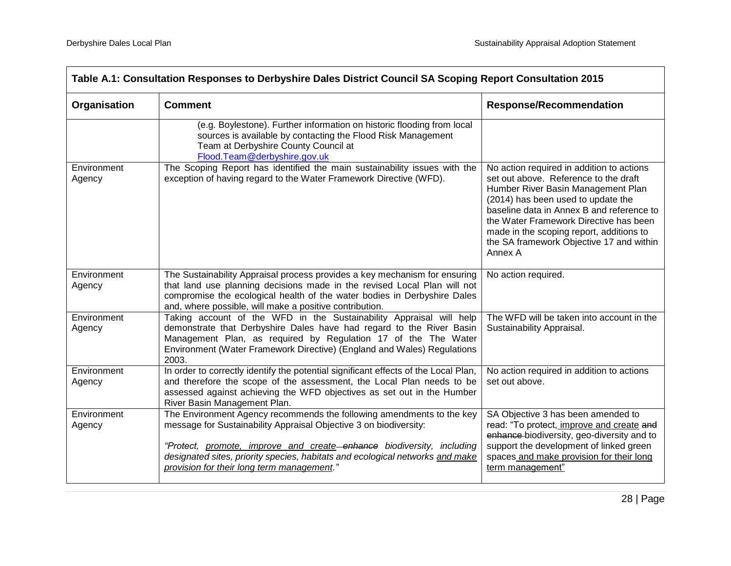| Table A.1: Consultation Responses to Derbyshire Dales District Council SA Scoping Report Consultation 2015 |                                                                                                                                                                                                                                                                                                                                                    |                                                                                                                                                                                                                                                                                                                                                          |
|------------------------------------------------------------------------------------------------------------|----------------------------------------------------------------------------------------------------------------------------------------------------------------------------------------------------------------------------------------------------------------------------------------------------------------------------------------------------|----------------------------------------------------------------------------------------------------------------------------------------------------------------------------------------------------------------------------------------------------------------------------------------------------------------------------------------------------------|
| Organisation                                                                                               | <b>Comment</b>                                                                                                                                                                                                                                                                                                                                     | <b>Response/Recommendation</b>                                                                                                                                                                                                                                                                                                                           |
|                                                                                                            | (e.g. Boylestone). Further information on historic flooding from local<br>sources is available by contacting the Flood Risk Management<br>Team at Derbyshire County Council at<br>Flood.Team@derbyshire.gov.uk                                                                                                                                     |                                                                                                                                                                                                                                                                                                                                                          |
| Environment<br>Agency                                                                                      | The Scoping Report has identified the main sustainability issues with the<br>exception of having regard to the Water Framework Directive (WFD).                                                                                                                                                                                                    | No action required in addition to actions<br>set out above. Reference to the draft<br>Humber River Basin Management Plan<br>(2014) has been used to update the<br>baseline data in Annex B and reference to<br>the Water Framework Directive has been<br>made in the scoping report, additions to<br>the SA framework Objective 17 and within<br>Annex A |
| Environment<br>Agency                                                                                      | The Sustainability Appraisal process provides a key mechanism for ensuring<br>that land use planning decisions made in the revised Local Plan will not<br>compromise the ecological health of the water bodies in Derbyshire Dales<br>and, where possible, will make a positive contribution.                                                      | No action required.                                                                                                                                                                                                                                                                                                                                      |
| Environment<br>Agency                                                                                      | Taking account of the WFD in the Sustainability Appraisal will help<br>demonstrate that Derbyshire Dales have had regard to the River Basin<br>Management Plan, as required by Regulation 17 of the The Water<br>Environment (Water Framework Directive) (England and Wales) Regulations<br>2003.                                                  | The WFD will be taken into account in the<br>Sustainability Appraisal.                                                                                                                                                                                                                                                                                   |
| Environment<br>Agency                                                                                      | In order to correctly identify the potential significant effects of the Local Plan,<br>and therefore the scope of the assessment, the Local Plan needs to be<br>assessed against achieving the WFD objectives as set out in the Humber<br>River Basin Management Plan.                                                                             | No action required in addition to actions<br>set out above.                                                                                                                                                                                                                                                                                              |
| Environment<br>Agency                                                                                      | The Environment Agency recommends the following amendments to the key<br>message for Sustainability Appraisal Objective 3 on biodiversity:<br>"Protect, promote, improve and create enhance biodiversity, including<br>designated sites, priority species, habitats and ecological networks and make<br>provision for their long term management." | SA Objective 3 has been amended to<br>read: "To protect, improve and create and<br>enhance-biodiversity, geo-diversity and to<br>support the development of linked green<br>spaces and make provision for their long<br>term management"                                                                                                                 |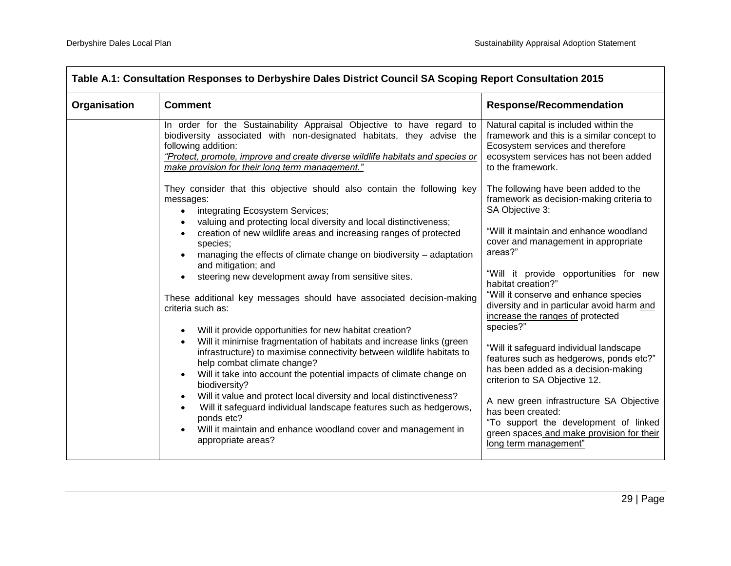| Table A.1: Consultation Responses to Derbyshire Dales District Council SA Scoping Report Consultation 2015 |                                                                                                                                                                                                                                                                                                                                                                                                                                                                                                                                                                                                                                                                                                                                                                                                                                                                                                                                                                                                                                                                                                                                                                                                                                                                                                                                                                                                                                                                                                                                                                        |                                                                                                                                                                                                                                                                                                                                                                                                                                                                                                                                                                                                                                                                                                                                                                                                                                                                                                                                                |
|------------------------------------------------------------------------------------------------------------|------------------------------------------------------------------------------------------------------------------------------------------------------------------------------------------------------------------------------------------------------------------------------------------------------------------------------------------------------------------------------------------------------------------------------------------------------------------------------------------------------------------------------------------------------------------------------------------------------------------------------------------------------------------------------------------------------------------------------------------------------------------------------------------------------------------------------------------------------------------------------------------------------------------------------------------------------------------------------------------------------------------------------------------------------------------------------------------------------------------------------------------------------------------------------------------------------------------------------------------------------------------------------------------------------------------------------------------------------------------------------------------------------------------------------------------------------------------------------------------------------------------------------------------------------------------------|------------------------------------------------------------------------------------------------------------------------------------------------------------------------------------------------------------------------------------------------------------------------------------------------------------------------------------------------------------------------------------------------------------------------------------------------------------------------------------------------------------------------------------------------------------------------------------------------------------------------------------------------------------------------------------------------------------------------------------------------------------------------------------------------------------------------------------------------------------------------------------------------------------------------------------------------|
| Organisation                                                                                               | <b>Comment</b>                                                                                                                                                                                                                                                                                                                                                                                                                                                                                                                                                                                                                                                                                                                                                                                                                                                                                                                                                                                                                                                                                                                                                                                                                                                                                                                                                                                                                                                                                                                                                         | <b>Response/Recommendation</b>                                                                                                                                                                                                                                                                                                                                                                                                                                                                                                                                                                                                                                                                                                                                                                                                                                                                                                                 |
|                                                                                                            | In order for the Sustainability Appraisal Objective to have regard to<br>biodiversity associated with non-designated habitats, they advise the<br>following addition:<br>"Protect, promote, improve and create diverse wildlife habitats and species or<br>make provision for their long term management."<br>They consider that this objective should also contain the following key<br>messages:<br>integrating Ecosystem Services;<br>$\bullet$<br>valuing and protecting local diversity and local distinctiveness;<br>creation of new wildlife areas and increasing ranges of protected<br>$\bullet$<br>species;<br>managing the effects of climate change on biodiversity - adaptation<br>$\bullet$<br>and mitigation; and<br>steering new development away from sensitive sites.<br>$\bullet$<br>These additional key messages should have associated decision-making<br>criteria such as:<br>Will it provide opportunities for new habitat creation?<br>$\bullet$<br>Will it minimise fragmentation of habitats and increase links (green<br>$\bullet$<br>infrastructure) to maximise connectivity between wildlife habitats to<br>help combat climate change?<br>Will it take into account the potential impacts of climate change on<br>$\bullet$<br>biodiversity?<br>Will it value and protect local diversity and local distinctiveness?<br>$\bullet$<br>Will it safeguard individual landscape features such as hedgerows,<br>$\bullet$<br>ponds etc?<br>Will it maintain and enhance woodland cover and management in<br>$\bullet$<br>appropriate areas? | Natural capital is included within the<br>framework and this is a similar concept to<br>Ecosystem services and therefore<br>ecosystem services has not been added<br>to the framework.<br>The following have been added to the<br>framework as decision-making criteria to<br>SA Objective 3:<br>"Will it maintain and enhance woodland<br>cover and management in appropriate<br>areas?"<br>"Will it provide opportunities for new<br>habitat creation?"<br>"Will it conserve and enhance species<br>diversity and in particular avoid harm and<br>increase the ranges of protected<br>species?"<br>"Will it safeguard individual landscape<br>features such as hedgerows, ponds etc?"<br>has been added as a decision-making<br>criterion to SA Objective 12.<br>A new green infrastructure SA Objective<br>has been created:<br>"To support the development of linked<br>green spaces and make provision for their<br>long term management" |
|                                                                                                            |                                                                                                                                                                                                                                                                                                                                                                                                                                                                                                                                                                                                                                                                                                                                                                                                                                                                                                                                                                                                                                                                                                                                                                                                                                                                                                                                                                                                                                                                                                                                                                        |                                                                                                                                                                                                                                                                                                                                                                                                                                                                                                                                                                                                                                                                                                                                                                                                                                                                                                                                                |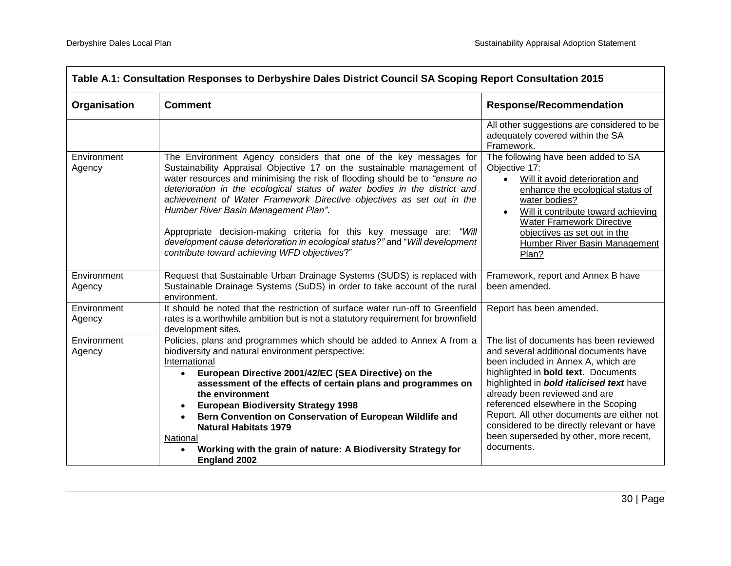| Table A.1: Consultation Responses to Derbyshire Dales District Council SA Scoping Report Consultation 2015 |                                                                                                                                                                                                                                                                                                                                                                                                                                                                                                                                                                                                                                   |                                                                                                                                                                                                                                                                                                                                                                                                                                                       |
|------------------------------------------------------------------------------------------------------------|-----------------------------------------------------------------------------------------------------------------------------------------------------------------------------------------------------------------------------------------------------------------------------------------------------------------------------------------------------------------------------------------------------------------------------------------------------------------------------------------------------------------------------------------------------------------------------------------------------------------------------------|-------------------------------------------------------------------------------------------------------------------------------------------------------------------------------------------------------------------------------------------------------------------------------------------------------------------------------------------------------------------------------------------------------------------------------------------------------|
| Organisation                                                                                               | <b>Comment</b>                                                                                                                                                                                                                                                                                                                                                                                                                                                                                                                                                                                                                    | <b>Response/Recommendation</b>                                                                                                                                                                                                                                                                                                                                                                                                                        |
|                                                                                                            |                                                                                                                                                                                                                                                                                                                                                                                                                                                                                                                                                                                                                                   | All other suggestions are considered to be<br>adequately covered within the SA<br>Framework.                                                                                                                                                                                                                                                                                                                                                          |
| Environment<br>Agency                                                                                      | The Environment Agency considers that one of the key messages for<br>Sustainability Appraisal Objective 17 on the sustainable management of<br>water resources and minimising the risk of flooding should be to "ensure no<br>deterioration in the ecological status of water bodies in the district and<br>achievement of Water Framework Directive objectives as set out in the<br>Humber River Basin Management Plan".<br>Appropriate decision-making criteria for this key message are: "Will<br>development cause deterioration in ecological status?" and "Will development<br>contribute toward achieving WFD objectives?" | The following have been added to SA<br>Objective 17:<br>Will it avoid deterioration and<br>enhance the ecological status of<br>water bodies?<br>Will it contribute toward achieving<br>$\bullet$<br><b>Water Framework Directive</b><br>objectives as set out in the<br><b>Humber River Basin Management</b><br>Plan?                                                                                                                                 |
| Environment<br>Agency                                                                                      | Request that Sustainable Urban Drainage Systems (SUDS) is replaced with<br>Sustainable Drainage Systems (SuDS) in order to take account of the rural<br>environment.                                                                                                                                                                                                                                                                                                                                                                                                                                                              | Framework, report and Annex B have<br>been amended.                                                                                                                                                                                                                                                                                                                                                                                                   |
| Environment<br>Agency                                                                                      | It should be noted that the restriction of surface water run-off to Greenfield<br>rates is a worthwhile ambition but is not a statutory requirement for brownfield<br>development sites.                                                                                                                                                                                                                                                                                                                                                                                                                                          | Report has been amended.                                                                                                                                                                                                                                                                                                                                                                                                                              |
| Environment<br>Agency                                                                                      | Policies, plans and programmes which should be added to Annex A from a<br>biodiversity and natural environment perspective:<br>International<br>European Directive 2001/42/EC (SEA Directive) on the<br>$\bullet$<br>assessment of the effects of certain plans and programmes on<br>the environment<br><b>European Biodiversity Strategy 1998</b><br>$\bullet$<br>Bern Convention on Conservation of European Wildlife and<br>$\bullet$<br><b>Natural Habitats 1979</b><br>National<br>Working with the grain of nature: A Biodiversity Strategy for<br><b>England 2002</b>                                                      | The list of documents has been reviewed<br>and several additional documents have<br>been included in Annex A, which are<br>highlighted in <b>bold text</b> . Documents<br>highlighted in <b>bold italicised text</b> have<br>already been reviewed and are<br>referenced elsewhere in the Scoping<br>Report. All other documents are either not<br>considered to be directly relevant or have<br>been superseded by other, more recent,<br>documents. |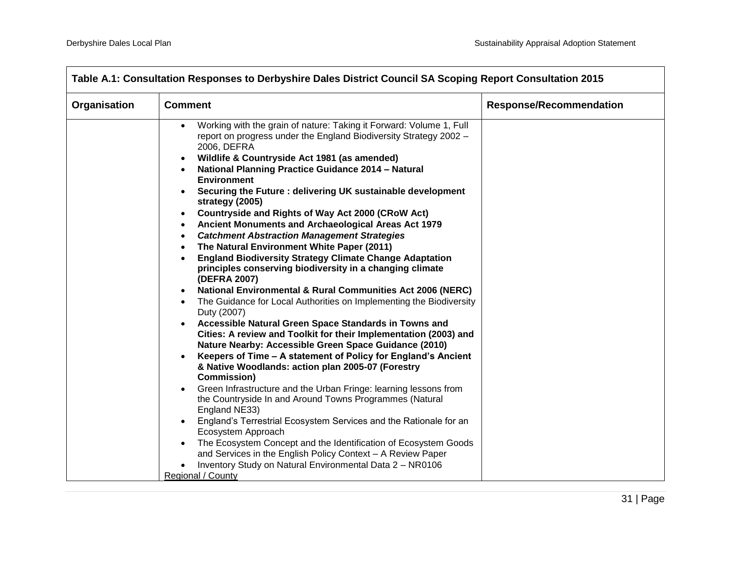| Organisation | <b>Comment</b>                                                                                                                                                                                                       | <b>Response/Recommendation</b> |
|--------------|----------------------------------------------------------------------------------------------------------------------------------------------------------------------------------------------------------------------|--------------------------------|
|              | Working with the grain of nature: Taking it Forward: Volume 1, Full<br>report on progress under the England Biodiversity Strategy 2002 -<br>2006, DEFRA<br>Wildlife & Countryside Act 1981 (as amended)<br>$\bullet$ |                                |
|              | National Planning Practice Guidance 2014 - Natural<br><b>Environment</b>                                                                                                                                             |                                |
|              | Securing the Future : delivering UK sustainable development<br>strategy (2005)                                                                                                                                       |                                |
|              | <b>Countryside and Rights of Way Act 2000 (CRoW Act)</b><br>$\bullet$<br>Ancient Monuments and Archaeological Areas Act 1979<br>$\bullet$                                                                            |                                |
|              | <b>Catchment Abstraction Management Strategies</b><br>$\bullet$<br>The Natural Environment White Paper (2011)<br>$\bullet$                                                                                           |                                |
|              | <b>England Biodiversity Strategy Climate Change Adaptation</b><br>$\bullet$<br>principles conserving biodiversity in a changing climate<br>(DEFRA 2007)                                                              |                                |
|              | <b>National Environmental &amp; Rural Communities Act 2006 (NERC)</b><br>$\bullet$                                                                                                                                   |                                |
|              | The Guidance for Local Authorities on Implementing the Biodiversity<br>$\bullet$<br>Duty (2007)                                                                                                                      |                                |
|              | Accessible Natural Green Space Standards in Towns and<br>Cities: A review and Toolkit for their Implementation (2003) and<br>Nature Nearby: Accessible Green Space Guidance (2010)                                   |                                |
|              | Keepers of Time - A statement of Policy for England's Ancient<br>& Native Woodlands: action plan 2005-07 (Forestry<br><b>Commission</b> )                                                                            |                                |
|              | Green Infrastructure and the Urban Fringe: learning lessons from<br>the Countryside In and Around Towns Programmes (Natural<br>England NE33)                                                                         |                                |
|              | England's Terrestrial Ecosystem Services and the Rationale for an<br>Ecosystem Approach                                                                                                                              |                                |
|              | The Ecosystem Concept and the Identification of Ecosystem Goods<br>and Services in the English Policy Context - A Review Paper                                                                                       |                                |
|              | Inventory Study on Natural Environmental Data 2 - NR0106<br>Regional / County                                                                                                                                        |                                |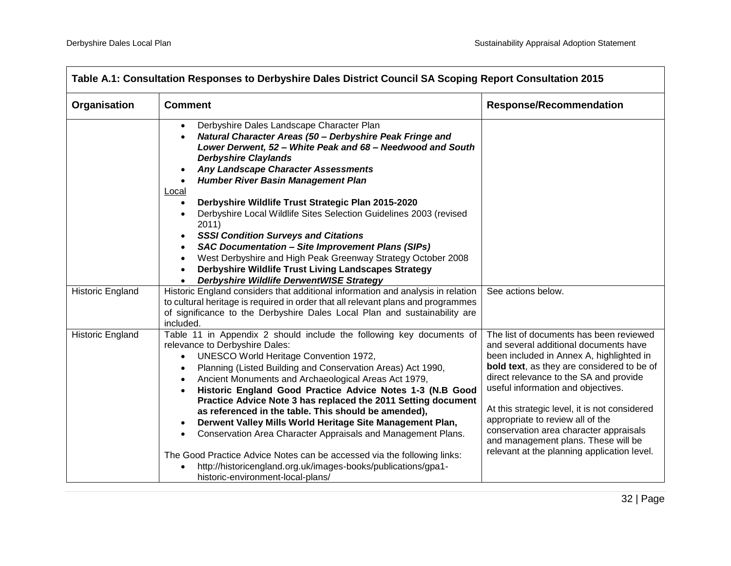| Table A.1: Consultation Responses to Derbyshire Dales District Council SA Scoping Report Consultation 2015 |                                                                                                                                                                                                                                                                                                                                                                                                                                                                                                                                                                                                                                                                                                                                                                                                                                                                        |                                                                                                                                                                                                                                                                                                                                                                                                                                                                                 |
|------------------------------------------------------------------------------------------------------------|------------------------------------------------------------------------------------------------------------------------------------------------------------------------------------------------------------------------------------------------------------------------------------------------------------------------------------------------------------------------------------------------------------------------------------------------------------------------------------------------------------------------------------------------------------------------------------------------------------------------------------------------------------------------------------------------------------------------------------------------------------------------------------------------------------------------------------------------------------------------|---------------------------------------------------------------------------------------------------------------------------------------------------------------------------------------------------------------------------------------------------------------------------------------------------------------------------------------------------------------------------------------------------------------------------------------------------------------------------------|
| Organisation                                                                                               | <b>Comment</b>                                                                                                                                                                                                                                                                                                                                                                                                                                                                                                                                                                                                                                                                                                                                                                                                                                                         | <b>Response/Recommendation</b>                                                                                                                                                                                                                                                                                                                                                                                                                                                  |
|                                                                                                            | Derbyshire Dales Landscape Character Plan<br>$\bullet$<br>Natural Character Areas (50 - Derbyshire Peak Fringe and<br>$\bullet$<br>Lower Derwent, 52 - White Peak and 68 - Needwood and South<br><b>Derbyshire Claylands</b><br>Any Landscape Character Assessments<br>Humber River Basin Management Plan<br>$\bullet$<br>Local<br>Derbyshire Wildlife Trust Strategic Plan 2015-2020<br>$\bullet$<br>Derbyshire Local Wildlife Sites Selection Guidelines 2003 (revised<br>$\bullet$<br>2011)<br><b>SSSI Condition Surveys and Citations</b><br><b>SAC Documentation - Site Improvement Plans (SIPs)</b><br>$\bullet$<br>West Derbyshire and High Peak Greenway Strategy October 2008<br>$\bullet$<br>Derbyshire Wildlife Trust Living Landscapes Strategy<br>$\bullet$<br><b>Derbyshire Wildlife DerwentWISE Strategy</b><br>$\bullet$                               |                                                                                                                                                                                                                                                                                                                                                                                                                                                                                 |
| <b>Historic England</b>                                                                                    | Historic England considers that additional information and analysis in relation<br>to cultural heritage is required in order that all relevant plans and programmes<br>of significance to the Derbyshire Dales Local Plan and sustainability are<br>included.                                                                                                                                                                                                                                                                                                                                                                                                                                                                                                                                                                                                          | See actions below.                                                                                                                                                                                                                                                                                                                                                                                                                                                              |
| <b>Historic England</b>                                                                                    | Table 11 in Appendix 2 should include the following key documents of<br>relevance to Derbyshire Dales:<br>UNESCO World Heritage Convention 1972,<br>$\bullet$<br>Planning (Listed Building and Conservation Areas) Act 1990,<br>$\bullet$<br>Ancient Monuments and Archaeological Areas Act 1979,<br>$\bullet$<br>Historic England Good Practice Advice Notes 1-3 (N.B Good<br>$\bullet$<br>Practice Advice Note 3 has replaced the 2011 Setting document<br>as referenced in the table. This should be amended),<br>Derwent Valley Mills World Heritage Site Management Plan,<br>$\bullet$<br>Conservation Area Character Appraisals and Management Plans.<br>$\bullet$<br>The Good Practice Advice Notes can be accessed via the following links:<br>http://historicengland.org.uk/images-books/publications/gpa1-<br>$\bullet$<br>historic-environment-local-plans/ | The list of documents has been reviewed<br>and several additional documents have<br>been included in Annex A, highlighted in<br>bold text, as they are considered to be of<br>direct relevance to the SA and provide<br>useful information and objectives.<br>At this strategic level, it is not considered<br>appropriate to review all of the<br>conservation area character appraisals<br>and management plans. These will be<br>relevant at the planning application level. |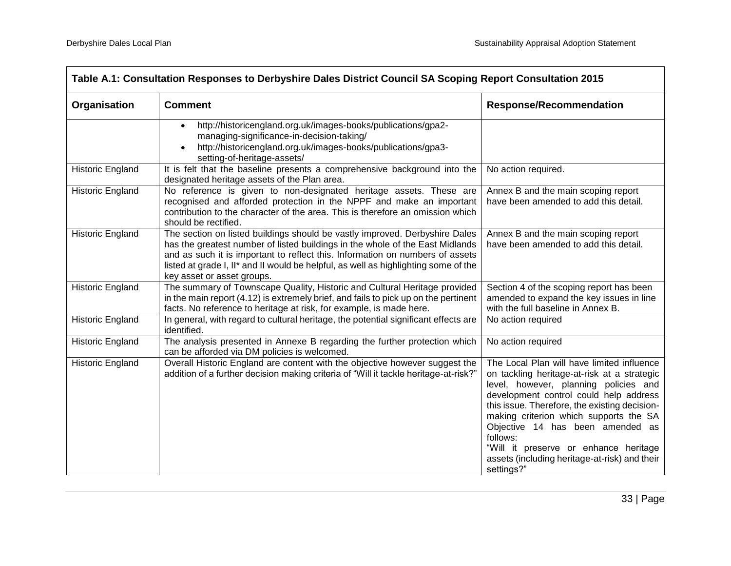| Table A.1: Consultation Responses to Derbyshire Dales District Council SA Scoping Report Consultation 2015 |                                                                                                                                                                                                                                                                                                                                                                    |                                                                                                                                                                                                                                                                                                                                                                                                                                 |
|------------------------------------------------------------------------------------------------------------|--------------------------------------------------------------------------------------------------------------------------------------------------------------------------------------------------------------------------------------------------------------------------------------------------------------------------------------------------------------------|---------------------------------------------------------------------------------------------------------------------------------------------------------------------------------------------------------------------------------------------------------------------------------------------------------------------------------------------------------------------------------------------------------------------------------|
| Organisation                                                                                               | <b>Comment</b>                                                                                                                                                                                                                                                                                                                                                     | <b>Response/Recommendation</b>                                                                                                                                                                                                                                                                                                                                                                                                  |
|                                                                                                            | http://historicengland.org.uk/images-books/publications/gpa2-<br>managing-significance-in-decision-taking/<br>http://historicengland.org.uk/images-books/publications/gpa3-<br>setting-of-heritage-assets/                                                                                                                                                         |                                                                                                                                                                                                                                                                                                                                                                                                                                 |
| Historic England                                                                                           | It is felt that the baseline presents a comprehensive background into the<br>designated heritage assets of the Plan area.                                                                                                                                                                                                                                          | No action required.                                                                                                                                                                                                                                                                                                                                                                                                             |
| <b>Historic England</b>                                                                                    | No reference is given to non-designated heritage assets. These are<br>recognised and afforded protection in the NPPF and make an important<br>contribution to the character of the area. This is therefore an omission which<br>should be rectified.                                                                                                               | Annex B and the main scoping report<br>have been amended to add this detail.                                                                                                                                                                                                                                                                                                                                                    |
| <b>Historic England</b>                                                                                    | The section on listed buildings should be vastly improved. Derbyshire Dales<br>has the greatest number of listed buildings in the whole of the East Midlands<br>and as such it is important to reflect this. Information on numbers of assets<br>listed at grade I, II* and II would be helpful, as well as highlighting some of the<br>key asset or asset groups. | Annex B and the main scoping report<br>have been amended to add this detail.                                                                                                                                                                                                                                                                                                                                                    |
| Historic England                                                                                           | The summary of Townscape Quality, Historic and Cultural Heritage provided<br>in the main report (4.12) is extremely brief, and fails to pick up on the pertinent<br>facts. No reference to heritage at risk, for example, is made here.                                                                                                                            | Section 4 of the scoping report has been<br>amended to expand the key issues in line<br>with the full baseline in Annex B.                                                                                                                                                                                                                                                                                                      |
| <b>Historic England</b>                                                                                    | In general, with regard to cultural heritage, the potential significant effects are<br>identified.                                                                                                                                                                                                                                                                 | No action required                                                                                                                                                                                                                                                                                                                                                                                                              |
| Historic England                                                                                           | The analysis presented in Annexe B regarding the further protection which<br>can be afforded via DM policies is welcomed.                                                                                                                                                                                                                                          | No action required                                                                                                                                                                                                                                                                                                                                                                                                              |
| Historic England                                                                                           | Overall Historic England are content with the objective however suggest the<br>addition of a further decision making criteria of "Will it tackle heritage-at-risk?"                                                                                                                                                                                                | The Local Plan will have limited influence<br>on tackling heritage-at-risk at a strategic<br>level, however, planning policies and<br>development control could help address<br>this issue. Therefore, the existing decision-<br>making criterion which supports the SA<br>Objective 14 has been amended as<br>follows:<br>"Will it preserve or enhance heritage<br>assets (including heritage-at-risk) and their<br>settings?" |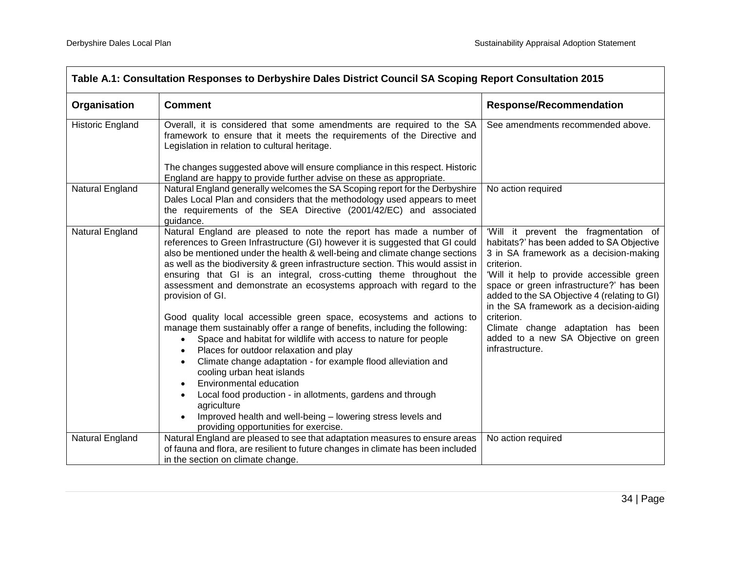| Table A.1: Consultation Responses to Derbyshire Dales District Council SA Scoping Report Consultation 2015                                                                                                                                                                                                                                                                                                                                                                                                    |                                                                                                                                                                                                                                                                                                                                                                                                                                                                                                                                                                  |                                                                                                                                                                                                                                                                                                                                 |  |
|---------------------------------------------------------------------------------------------------------------------------------------------------------------------------------------------------------------------------------------------------------------------------------------------------------------------------------------------------------------------------------------------------------------------------------------------------------------------------------------------------------------|------------------------------------------------------------------------------------------------------------------------------------------------------------------------------------------------------------------------------------------------------------------------------------------------------------------------------------------------------------------------------------------------------------------------------------------------------------------------------------------------------------------------------------------------------------------|---------------------------------------------------------------------------------------------------------------------------------------------------------------------------------------------------------------------------------------------------------------------------------------------------------------------------------|--|
| Organisation                                                                                                                                                                                                                                                                                                                                                                                                                                                                                                  | <b>Comment</b>                                                                                                                                                                                                                                                                                                                                                                                                                                                                                                                                                   | <b>Response/Recommendation</b>                                                                                                                                                                                                                                                                                                  |  |
| Historic England                                                                                                                                                                                                                                                                                                                                                                                                                                                                                              | Overall, it is considered that some amendments are required to the SA<br>framework to ensure that it meets the requirements of the Directive and<br>Legislation in relation to cultural heritage.                                                                                                                                                                                                                                                                                                                                                                | See amendments recommended above.                                                                                                                                                                                                                                                                                               |  |
|                                                                                                                                                                                                                                                                                                                                                                                                                                                                                                               | The changes suggested above will ensure compliance in this respect. Historic<br>England are happy to provide further advise on these as appropriate.                                                                                                                                                                                                                                                                                                                                                                                                             |                                                                                                                                                                                                                                                                                                                                 |  |
| Natural England                                                                                                                                                                                                                                                                                                                                                                                                                                                                                               | Natural England generally welcomes the SA Scoping report for the Derbyshire<br>Dales Local Plan and considers that the methodology used appears to meet<br>the requirements of the SEA Directive (2001/42/EC) and associated<br>quidance.                                                                                                                                                                                                                                                                                                                        | No action required                                                                                                                                                                                                                                                                                                              |  |
| Natural England<br>Natural England are pleased to note the report has made a number of<br>references to Green Infrastructure (GI) however it is suggested that GI could<br>also be mentioned under the health & well-being and climate change sections<br>as well as the biodiversity & green infrastructure section. This would assist in<br>ensuring that GI is an integral, cross-cutting theme throughout the<br>assessment and demonstrate an ecosystems approach with regard to the<br>provision of GI. |                                                                                                                                                                                                                                                                                                                                                                                                                                                                                                                                                                  | 'Will it prevent the fragmentation of<br>habitats?' has been added to SA Objective<br>3 in SA framework as a decision-making<br>criterion.<br>'Will it help to provide accessible green<br>space or green infrastructure?' has been<br>added to the SA Objective 4 (relating to GI)<br>in the SA framework as a decision-aiding |  |
|                                                                                                                                                                                                                                                                                                                                                                                                                                                                                                               | Good quality local accessible green space, ecosystems and actions to<br>manage them sustainably offer a range of benefits, including the following:<br>Space and habitat for wildlife with access to nature for people<br>$\bullet$<br>Places for outdoor relaxation and play<br>Climate change adaptation - for example flood alleviation and<br>cooling urban heat islands<br>Environmental education<br>$\bullet$<br>Local food production - in allotments, gardens and through<br>agriculture<br>Improved health and well-being - lowering stress levels and | criterion.<br>Climate change adaptation has been<br>added to a new SA Objective on green<br>infrastructure.                                                                                                                                                                                                                     |  |
| Natural England                                                                                                                                                                                                                                                                                                                                                                                                                                                                                               | providing opportunities for exercise.<br>Natural England are pleased to see that adaptation measures to ensure areas<br>of fauna and flora, are resilient to future changes in climate has been included<br>in the section on climate change.                                                                                                                                                                                                                                                                                                                    | No action required                                                                                                                                                                                                                                                                                                              |  |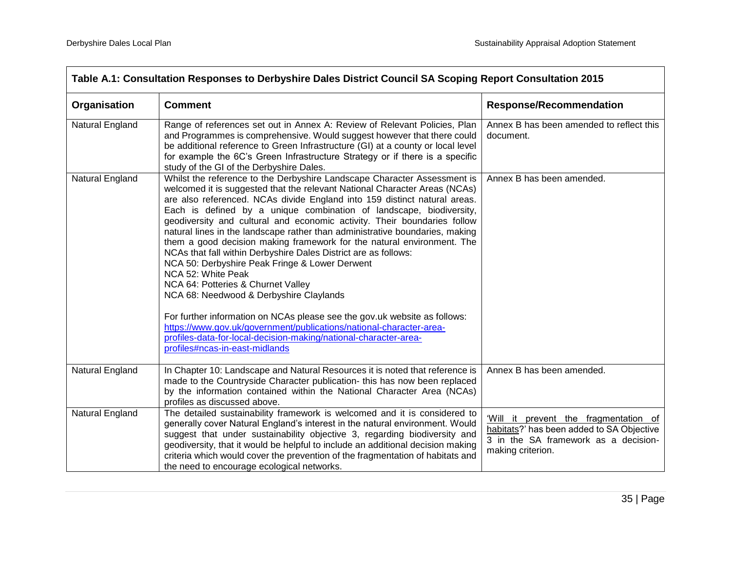| Table A.1: Consultation Responses to Derbyshire Dales District Council SA Scoping Report Consultation 2015 |                                                                                                                                                                                                                                                                                                                                                                                                                                                                                                                                                                                                                                                                                                                                                                                                                                                                                                                                                                                                                                        |                                                                                                                                                 |  |
|------------------------------------------------------------------------------------------------------------|----------------------------------------------------------------------------------------------------------------------------------------------------------------------------------------------------------------------------------------------------------------------------------------------------------------------------------------------------------------------------------------------------------------------------------------------------------------------------------------------------------------------------------------------------------------------------------------------------------------------------------------------------------------------------------------------------------------------------------------------------------------------------------------------------------------------------------------------------------------------------------------------------------------------------------------------------------------------------------------------------------------------------------------|-------------------------------------------------------------------------------------------------------------------------------------------------|--|
| Organisation                                                                                               | <b>Comment</b>                                                                                                                                                                                                                                                                                                                                                                                                                                                                                                                                                                                                                                                                                                                                                                                                                                                                                                                                                                                                                         | <b>Response/Recommendation</b>                                                                                                                  |  |
| Natural England                                                                                            | Range of references set out in Annex A: Review of Relevant Policies, Plan<br>and Programmes is comprehensive. Would suggest however that there could<br>be additional reference to Green Infrastructure (GI) at a county or local level<br>for example the 6C's Green Infrastructure Strategy or if there is a specific<br>study of the GI of the Derbyshire Dales.                                                                                                                                                                                                                                                                                                                                                                                                                                                                                                                                                                                                                                                                    | Annex B has been amended to reflect this<br>document.                                                                                           |  |
| Natural England                                                                                            | Whilst the reference to the Derbyshire Landscape Character Assessment is<br>welcomed it is suggested that the relevant National Character Areas (NCAs)<br>are also referenced. NCAs divide England into 159 distinct natural areas.<br>Each is defined by a unique combination of landscape, biodiversity,<br>geodiversity and cultural and economic activity. Their boundaries follow<br>natural lines in the landscape rather than administrative boundaries, making<br>them a good decision making framework for the natural environment. The<br>NCAs that fall within Derbyshire Dales District are as follows:<br>NCA 50: Derbyshire Peak Fringe & Lower Derwent<br>NCA 52: White Peak<br>NCA 64: Potteries & Churnet Valley<br>NCA 68: Needwood & Derbyshire Claylands<br>For further information on NCAs please see the gov.uk website as follows:<br>https://www.gov.uk/government/publications/national-character-area-<br>profiles-data-for-local-decision-making/national-character-area-<br>profiles#ncas-in-east-midlands | Annex B has been amended.                                                                                                                       |  |
| Natural England                                                                                            | In Chapter 10: Landscape and Natural Resources it is noted that reference is<br>made to the Countryside Character publication- this has now been replaced<br>by the information contained within the National Character Area (NCAs)<br>profiles as discussed above.                                                                                                                                                                                                                                                                                                                                                                                                                                                                                                                                                                                                                                                                                                                                                                    | Annex B has been amended.                                                                                                                       |  |
| Natural England                                                                                            | The detailed sustainability framework is welcomed and it is considered to<br>generally cover Natural England's interest in the natural environment. Would<br>suggest that under sustainability objective 3, regarding biodiversity and<br>geodiversity, that it would be helpful to include an additional decision making<br>criteria which would cover the prevention of the fragmentation of habitats and<br>the need to encourage ecological networks.                                                                                                                                                                                                                                                                                                                                                                                                                                                                                                                                                                              | 'Will it prevent the fragmentation of<br>habitats?' has been added to SA Objective<br>3 in the SA framework as a decision-<br>making criterion. |  |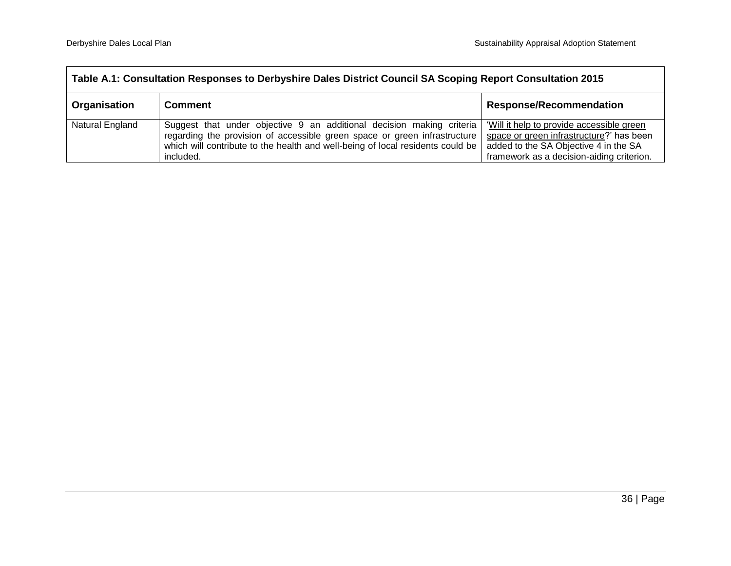| Table A.1: Consultation Responses to Derbyshire Dales District Council SA Scoping Report Consultation 2015 |                                                                                                                                                                                                                                                   |                                                                                                                                                                             |  |
|------------------------------------------------------------------------------------------------------------|---------------------------------------------------------------------------------------------------------------------------------------------------------------------------------------------------------------------------------------------------|-----------------------------------------------------------------------------------------------------------------------------------------------------------------------------|--|
| <b>Organisation</b>                                                                                        | <b>Comment</b>                                                                                                                                                                                                                                    | <b>Response/Recommendation</b>                                                                                                                                              |  |
| Natural England                                                                                            | Suggest that under objective 9 an additional decision making criteria<br>regarding the provision of accessible green space or green infrastructure<br>which will contribute to the health and well-being of local residents could be<br>included. | 'Will it help to provide accessible green<br>space or green infrastructure?' has been<br>added to the SA Objective 4 in the SA<br>framework as a decision-aiding criterion. |  |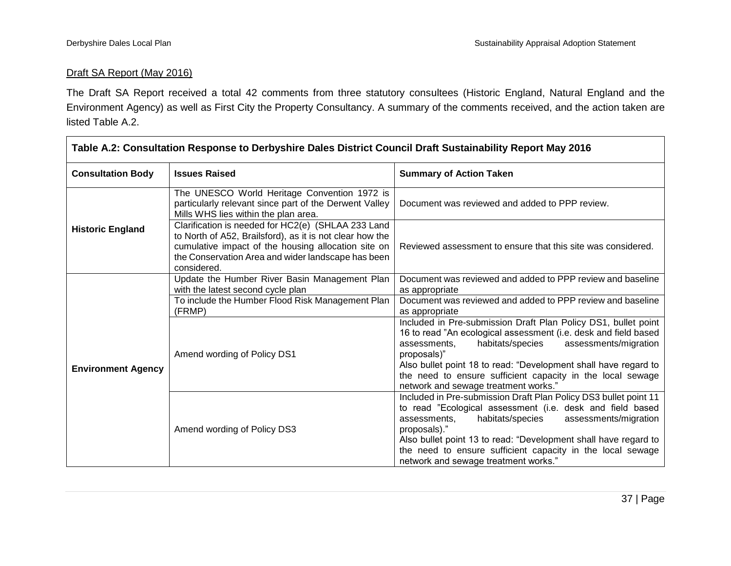#### Draft SA Report (May 2016)

The Draft SA Report received a total 42 comments from three statutory consultees (Historic England, Natural England and the Environment Agency) as well as First City the Property Consultancy. A summary of the comments received, and the action taken are listed Table A.2.

| Table A.2: Consultation Response to Derbyshire Dales District Council Draft Sustainability Report May 2016 |                                                                                                                                                                                                                                            |                                                                                                                                                                                                                                                                                                                                                                                        |  |
|------------------------------------------------------------------------------------------------------------|--------------------------------------------------------------------------------------------------------------------------------------------------------------------------------------------------------------------------------------------|----------------------------------------------------------------------------------------------------------------------------------------------------------------------------------------------------------------------------------------------------------------------------------------------------------------------------------------------------------------------------------------|--|
| <b>Consultation Body</b>                                                                                   | <b>Issues Raised</b>                                                                                                                                                                                                                       | <b>Summary of Action Taken</b>                                                                                                                                                                                                                                                                                                                                                         |  |
|                                                                                                            | The UNESCO World Heritage Convention 1972 is<br>particularly relevant since part of the Derwent Valley<br>Mills WHS lies within the plan area.                                                                                             | Document was reviewed and added to PPP review.                                                                                                                                                                                                                                                                                                                                         |  |
| <b>Historic England</b>                                                                                    | Clarification is needed for HC2(e) (SHLAA 233 Land<br>to North of A52, Brailsford), as it is not clear how the<br>cumulative impact of the housing allocation site on<br>the Conservation Area and wider landscape has been<br>considered. | Reviewed assessment to ensure that this site was considered.                                                                                                                                                                                                                                                                                                                           |  |
|                                                                                                            | Update the Humber River Basin Management Plan<br>with the latest second cycle plan                                                                                                                                                         | Document was reviewed and added to PPP review and baseline<br>as appropriate                                                                                                                                                                                                                                                                                                           |  |
|                                                                                                            | To include the Humber Flood Risk Management Plan<br>(FRMP)                                                                                                                                                                                 | Document was reviewed and added to PPP review and baseline<br>as appropriate                                                                                                                                                                                                                                                                                                           |  |
| <b>Environment Agency</b>                                                                                  | Amend wording of Policy DS1                                                                                                                                                                                                                | Included in Pre-submission Draft Plan Policy DS1, bullet point<br>16 to read "An ecological assessment (i.e. desk and field based<br>assessments/migration<br>assessments,<br>habitats/species<br>proposals)"<br>Also bullet point 18 to read: "Development shall have regard to<br>the need to ensure sufficient capacity in the local sewage<br>network and sewage treatment works." |  |
|                                                                                                            | Amend wording of Policy DS3                                                                                                                                                                                                                | Included in Pre-submission Draft Plan Policy DS3 bullet point 11<br>to read "Ecological assessment (i.e. desk and field based<br>habitats/species<br>assessments/migration<br>assessments,<br>proposals)."<br>Also bullet point 13 to read: "Development shall have regard to<br>the need to ensure sufficient capacity in the local sewage<br>network and sewage treatment works."    |  |

ㄱ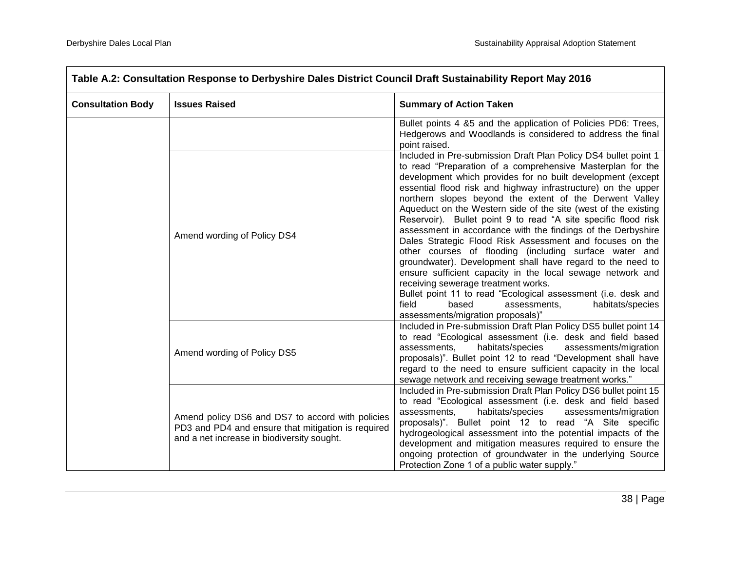$\overline{\phantom{0}}$ 

| Table A.2: Consultation Response to Derbyshire Dales District Council Draft Sustainability Report May 2016 |                                                                                                                                                      |                                                                                                                                                                                                                                                                                                                                                                                                                                                                                                                                                                                                                                                                                                                                                                                                                                                                                                                                                                                   |  |
|------------------------------------------------------------------------------------------------------------|------------------------------------------------------------------------------------------------------------------------------------------------------|-----------------------------------------------------------------------------------------------------------------------------------------------------------------------------------------------------------------------------------------------------------------------------------------------------------------------------------------------------------------------------------------------------------------------------------------------------------------------------------------------------------------------------------------------------------------------------------------------------------------------------------------------------------------------------------------------------------------------------------------------------------------------------------------------------------------------------------------------------------------------------------------------------------------------------------------------------------------------------------|--|
| <b>Consultation Body</b>                                                                                   | <b>Issues Raised</b>                                                                                                                                 | <b>Summary of Action Taken</b>                                                                                                                                                                                                                                                                                                                                                                                                                                                                                                                                                                                                                                                                                                                                                                                                                                                                                                                                                    |  |
|                                                                                                            |                                                                                                                                                      | Bullet points 4 &5 and the application of Policies PD6: Trees,<br>Hedgerows and Woodlands is considered to address the final<br>point raised.                                                                                                                                                                                                                                                                                                                                                                                                                                                                                                                                                                                                                                                                                                                                                                                                                                     |  |
|                                                                                                            | Amend wording of Policy DS4                                                                                                                          | Included in Pre-submission Draft Plan Policy DS4 bullet point 1<br>to read "Preparation of a comprehensive Masterplan for the<br>development which provides for no built development (except<br>essential flood risk and highway infrastructure) on the upper<br>northern slopes beyond the extent of the Derwent Valley<br>Aqueduct on the Western side of the site (west of the existing<br>Reservoir). Bullet point 9 to read "A site specific flood risk<br>assessment in accordance with the findings of the Derbyshire<br>Dales Strategic Flood Risk Assessment and focuses on the<br>other courses of flooding (including surface water and<br>groundwater). Development shall have regard to the need to<br>ensure sufficient capacity in the local sewage network and<br>receiving sewerage treatment works.<br>Bullet point 11 to read "Ecological assessment (i.e. desk and<br>habitats/species<br>field<br>based<br>assessments,<br>assessments/migration proposals)" |  |
|                                                                                                            | Amend wording of Policy DS5                                                                                                                          | Included in Pre-submission Draft Plan Policy DS5 bullet point 14<br>to read "Ecological assessment (i.e. desk and field based<br>habitats/species<br>assessments.<br>assessments/migration<br>proposals)". Bullet point 12 to read "Development shall have<br>regard to the need to ensure sufficient capacity in the local<br>sewage network and receiving sewage treatment works."                                                                                                                                                                                                                                                                                                                                                                                                                                                                                                                                                                                              |  |
|                                                                                                            | Amend policy DS6 and DS7 to accord with policies<br>PD3 and PD4 and ensure that mitigation is required<br>and a net increase in biodiversity sought. | Included in Pre-submission Draft Plan Policy DS6 bullet point 15<br>to read "Ecological assessment (i.e. desk and field based<br>assessments,<br>habitats/species<br>assessments/migration<br>proposals)". Bullet point 12 to read "A Site specific<br>hydrogeological assessment into the potential impacts of the<br>development and mitigation measures required to ensure the<br>ongoing protection of groundwater in the underlying Source<br>Protection Zone 1 of a public water supply."                                                                                                                                                                                                                                                                                                                                                                                                                                                                                   |  |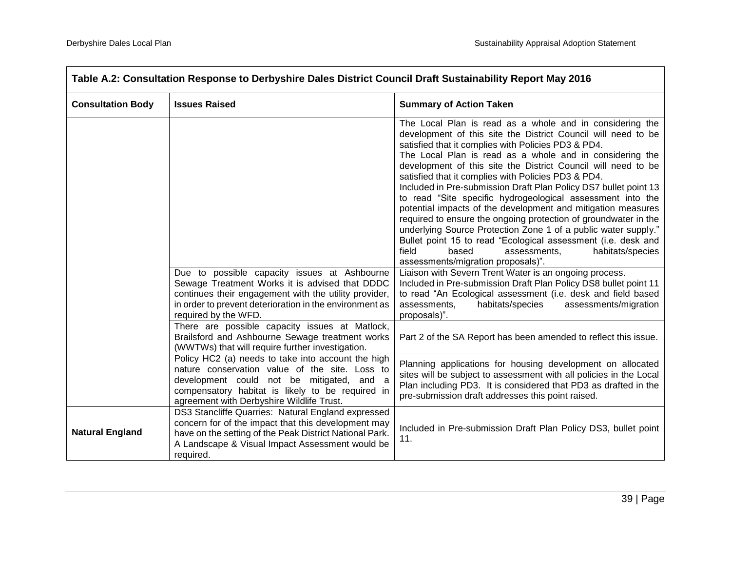$\overline{\phantom{0}}$ 

| Table A.2: Consultation Response to Derbyshire Dales District Council Draft Sustainability Report May 2016 |                                                                                                                                                                                                                                                    |                                                                                                                                                                                                                                                                                                                                                                                                                                                                                                                                                                                                                                                                                                                                                                                                                                                                          |  |
|------------------------------------------------------------------------------------------------------------|----------------------------------------------------------------------------------------------------------------------------------------------------------------------------------------------------------------------------------------------------|--------------------------------------------------------------------------------------------------------------------------------------------------------------------------------------------------------------------------------------------------------------------------------------------------------------------------------------------------------------------------------------------------------------------------------------------------------------------------------------------------------------------------------------------------------------------------------------------------------------------------------------------------------------------------------------------------------------------------------------------------------------------------------------------------------------------------------------------------------------------------|--|
| <b>Consultation Body</b>                                                                                   | <b>Issues Raised</b>                                                                                                                                                                                                                               | <b>Summary of Action Taken</b>                                                                                                                                                                                                                                                                                                                                                                                                                                                                                                                                                                                                                                                                                                                                                                                                                                           |  |
|                                                                                                            |                                                                                                                                                                                                                                                    | The Local Plan is read as a whole and in considering the<br>development of this site the District Council will need to be<br>satisfied that it complies with Policies PD3 & PD4.<br>The Local Plan is read as a whole and in considering the<br>development of this site the District Council will need to be<br>satisfied that it complies with Policies PD3 & PD4.<br>Included in Pre-submission Draft Plan Policy DS7 bullet point 13<br>to read "Site specific hydrogeological assessment into the<br>potential impacts of the development and mitigation measures<br>required to ensure the ongoing protection of groundwater in the<br>underlying Source Protection Zone 1 of a public water supply."<br>Bullet point 15 to read "Ecological assessment (i.e. desk and<br>field<br>based<br>habitats/species<br>assessments,<br>assessments/migration proposals)". |  |
|                                                                                                            | Due to possible capacity issues at Ashbourne<br>Sewage Treatment Works it is advised that DDDC<br>continues their engagement with the utility provider,<br>in order to prevent deterioration in the environment as<br>required by the WFD.         | Liaison with Severn Trent Water is an ongoing process.<br>Included in Pre-submission Draft Plan Policy DS8 bullet point 11<br>to read "An Ecological assessment (i.e. desk and field based<br>assessments,<br>habitats/species<br>assessments/migration<br>proposals)".                                                                                                                                                                                                                                                                                                                                                                                                                                                                                                                                                                                                  |  |
|                                                                                                            | There are possible capacity issues at Matlock,<br>Brailsford and Ashbourne Sewage treatment works<br>(WWTWs) that will require further investigation.                                                                                              | Part 2 of the SA Report has been amended to reflect this issue.                                                                                                                                                                                                                                                                                                                                                                                                                                                                                                                                                                                                                                                                                                                                                                                                          |  |
|                                                                                                            | Policy HC2 (a) needs to take into account the high<br>nature conservation value of the site. Loss to<br>development could not be mitigated, and a<br>compensatory habitat is likely to be required in<br>agreement with Derbyshire Wildlife Trust. | Planning applications for housing development on allocated<br>sites will be subject to assessment with all policies in the Local<br>Plan including PD3. It is considered that PD3 as drafted in the<br>pre-submission draft addresses this point raised.                                                                                                                                                                                                                                                                                                                                                                                                                                                                                                                                                                                                                 |  |
| <b>Natural England</b>                                                                                     | DS3 Stancliffe Quarries: Natural England expressed<br>concern for of the impact that this development may<br>have on the setting of the Peak District National Park.<br>A Landscape & Visual Impact Assessment would be<br>required.               | Included in Pre-submission Draft Plan Policy DS3, bullet point<br>11.                                                                                                                                                                                                                                                                                                                                                                                                                                                                                                                                                                                                                                                                                                                                                                                                    |  |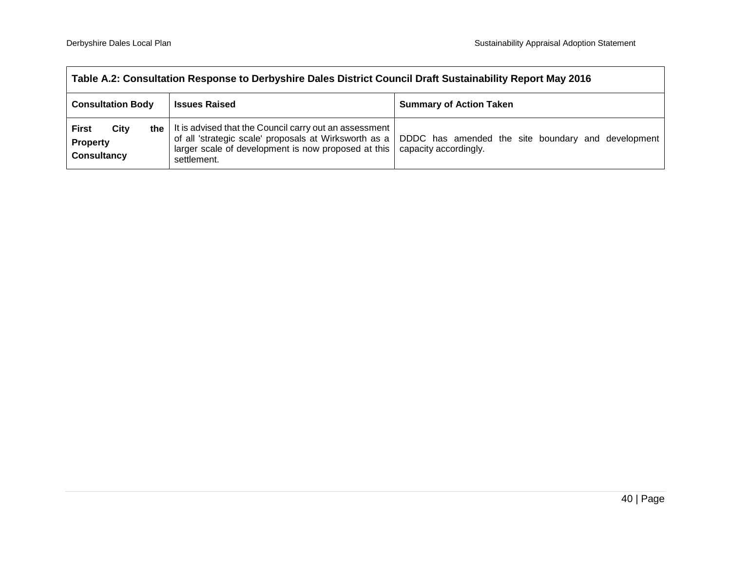| Table A.2: Consultation Response to Derbyshire Dales District Council Draft Sustainability Report May 2016 |                                                                                                                                                                                                   |                                                                             |  |
|------------------------------------------------------------------------------------------------------------|---------------------------------------------------------------------------------------------------------------------------------------------------------------------------------------------------|-----------------------------------------------------------------------------|--|
| <b>Consultation Body</b><br><b>Issues Raised</b>                                                           |                                                                                                                                                                                                   | <b>Summary of Action Taken</b>                                              |  |
| City<br><b>First</b><br><b>Property</b><br><b>Consultancy</b>                                              | the $\vert$ It is advised that the Council carry out an assessment<br>of all 'strategic scale' proposals at Wirksworth as a<br>larger scale of development is now proposed at this<br>settlement. | DDDC has amended the site boundary and development<br>capacity accordingly. |  |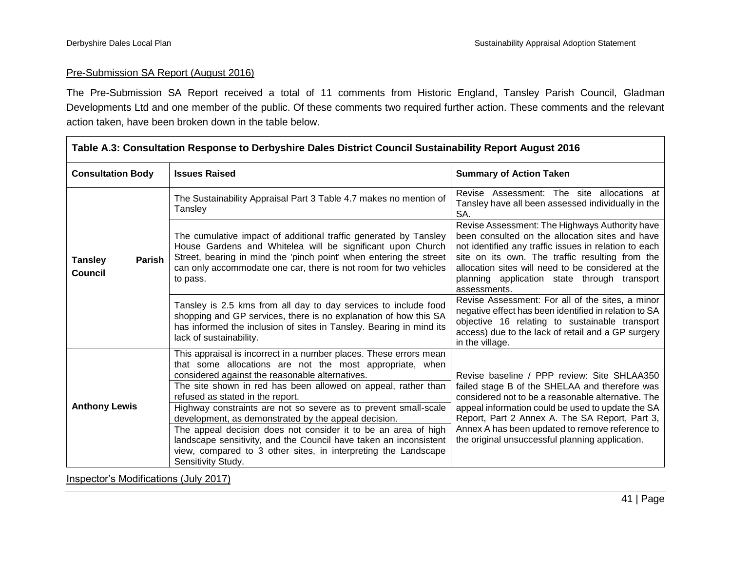$\overline{\phantom{0}}$ 

#### Pre-Submission SA Report (August 2016)

The Pre-Submission SA Report received a total of 11 comments from Historic England, Tansley Parish Council, Gladman Developments Ltd and one member of the public. Of these comments two required further action. These comments and the relevant action taken, have been broken down in the table below.

| Table A.3: Consultation Response to Derbyshire Dales District Council Sustainability Report August 2016 |                                                                                                                                                                                                                                                                                                                                                                                                                                                                                                                                                                                                                                                 |                                                                                                                                                                                                                                                                                                                                                                  |  |
|---------------------------------------------------------------------------------------------------------|-------------------------------------------------------------------------------------------------------------------------------------------------------------------------------------------------------------------------------------------------------------------------------------------------------------------------------------------------------------------------------------------------------------------------------------------------------------------------------------------------------------------------------------------------------------------------------------------------------------------------------------------------|------------------------------------------------------------------------------------------------------------------------------------------------------------------------------------------------------------------------------------------------------------------------------------------------------------------------------------------------------------------|--|
| <b>Consultation Body</b>                                                                                | <b>Issues Raised</b>                                                                                                                                                                                                                                                                                                                                                                                                                                                                                                                                                                                                                            | <b>Summary of Action Taken</b>                                                                                                                                                                                                                                                                                                                                   |  |
| <b>Tansley</b><br>Parish<br><b>Council</b>                                                              | The Sustainability Appraisal Part 3 Table 4.7 makes no mention of<br>Tansley                                                                                                                                                                                                                                                                                                                                                                                                                                                                                                                                                                    | Revise Assessment: The site allocations at<br>Tansley have all been assessed individually in the<br>SA.                                                                                                                                                                                                                                                          |  |
|                                                                                                         | Revise Assessment: The Highways Authority have<br>been consulted on the allocation sites and have<br>The cumulative impact of additional traffic generated by Tansley<br>House Gardens and Whitelea will be significant upon Church<br>not identified any traffic issues in relation to each<br>Street, bearing in mind the 'pinch point' when entering the street<br>site on its own. The traffic resulting from the<br>can only accommodate one car, there is not room for two vehicles<br>allocation sites will need to be considered at the<br>planning application state through transport<br>to pass.<br>assessments.                     |                                                                                                                                                                                                                                                                                                                                                                  |  |
|                                                                                                         | Tansley is 2.5 kms from all day to day services to include food<br>shopping and GP services, there is no explanation of how this SA<br>has informed the inclusion of sites in Tansley. Bearing in mind its<br>lack of sustainability.                                                                                                                                                                                                                                                                                                                                                                                                           | Revise Assessment: For all of the sites, a minor<br>negative effect has been identified in relation to SA<br>objective 16 relating to sustainable transport<br>access) due to the lack of retail and a GP surgery<br>in the village.                                                                                                                             |  |
| <b>Anthony Lewis</b>                                                                                    | This appraisal is incorrect in a number places. These errors mean<br>that some allocations are not the most appropriate, when<br>considered against the reasonable alternatives.<br>The site shown in red has been allowed on appeal, rather than<br>refused as stated in the report.<br>Highway constraints are not so severe as to prevent small-scale<br>development, as demonstrated by the appeal decision.<br>The appeal decision does not consider it to be an area of high<br>landscape sensitivity, and the Council have taken an inconsistent<br>view, compared to 3 other sites, in interpreting the Landscape<br>Sensitivity Study. | Revise baseline / PPP review: Site SHLAA350<br>failed stage B of the SHELAA and therefore was<br>considered not to be a reasonable alternative. The<br>appeal information could be used to update the SA<br>Report, Part 2 Annex A. The SA Report, Part 3,<br>Annex A has been updated to remove reference to<br>the original unsuccessful planning application. |  |

Inspector's Modifications (July 2017)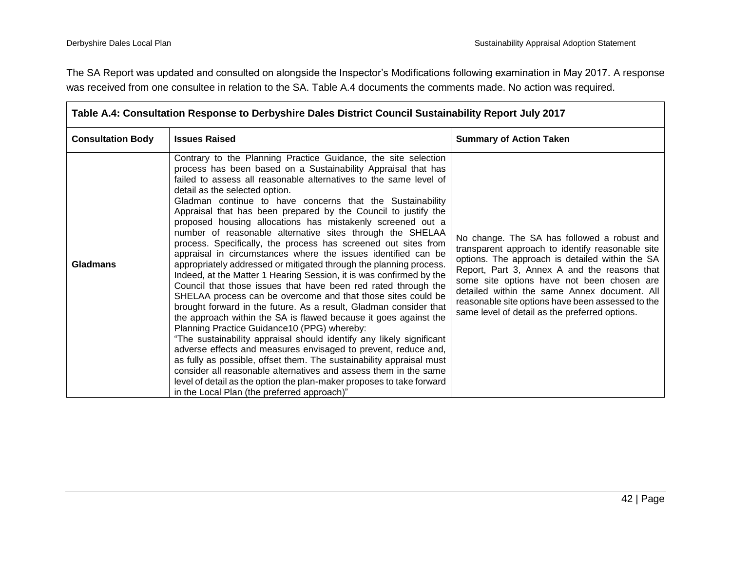The SA Report was updated and consulted on alongside the Inspector's Modifications following examination in May 2017. A response was received from one consultee in relation to the SA. Table A.4 documents the comments made. No action was required.

| <b>Consultation Body</b> | <b>Issues Raised</b>                                                                                                                                                                                                                                                                                                                                                                                                                                                                                                                                                                                                                                                                                                                                                                                                                                                                                                                                                                                                                                                                                                                                                                                                                                                                                                                                                                                                                                                                                                     | <b>Summary of Action Taken</b>                                                                                                                                                                                                                                                                                                                                                                          |
|--------------------------|--------------------------------------------------------------------------------------------------------------------------------------------------------------------------------------------------------------------------------------------------------------------------------------------------------------------------------------------------------------------------------------------------------------------------------------------------------------------------------------------------------------------------------------------------------------------------------------------------------------------------------------------------------------------------------------------------------------------------------------------------------------------------------------------------------------------------------------------------------------------------------------------------------------------------------------------------------------------------------------------------------------------------------------------------------------------------------------------------------------------------------------------------------------------------------------------------------------------------------------------------------------------------------------------------------------------------------------------------------------------------------------------------------------------------------------------------------------------------------------------------------------------------|---------------------------------------------------------------------------------------------------------------------------------------------------------------------------------------------------------------------------------------------------------------------------------------------------------------------------------------------------------------------------------------------------------|
| <b>Gladmans</b>          | Contrary to the Planning Practice Guidance, the site selection<br>process has been based on a Sustainability Appraisal that has<br>failed to assess all reasonable alternatives to the same level of<br>detail as the selected option.<br>Gladman continue to have concerns that the Sustainability<br>Appraisal that has been prepared by the Council to justify the<br>proposed housing allocations has mistakenly screened out a<br>number of reasonable alternative sites through the SHELAA<br>process. Specifically, the process has screened out sites from<br>appraisal in circumstances where the issues identified can be<br>appropriately addressed or mitigated through the planning process.<br>Indeed, at the Matter 1 Hearing Session, it is was confirmed by the<br>Council that those issues that have been red rated through the<br>SHELAA process can be overcome and that those sites could be<br>brought forward in the future. As a result, Gladman consider that<br>the approach within the SA is flawed because it goes against the<br>Planning Practice Guidance10 (PPG) whereby:<br>"The sustainability appraisal should identify any likely significant<br>adverse effects and measures envisaged to prevent, reduce and,<br>as fully as possible, offset them. The sustainability appraisal must<br>consider all reasonable alternatives and assess them in the same<br>level of detail as the option the plan-maker proposes to take forward<br>in the Local Plan (the preferred approach)" | No change. The SA has followed a robust and<br>transparent approach to identify reasonable site<br>options. The approach is detailed within the SA<br>Report, Part 3, Annex A and the reasons that<br>some site options have not been chosen are<br>detailed within the same Annex document. All<br>reasonable site options have been assessed to the<br>same level of detail as the preferred options. |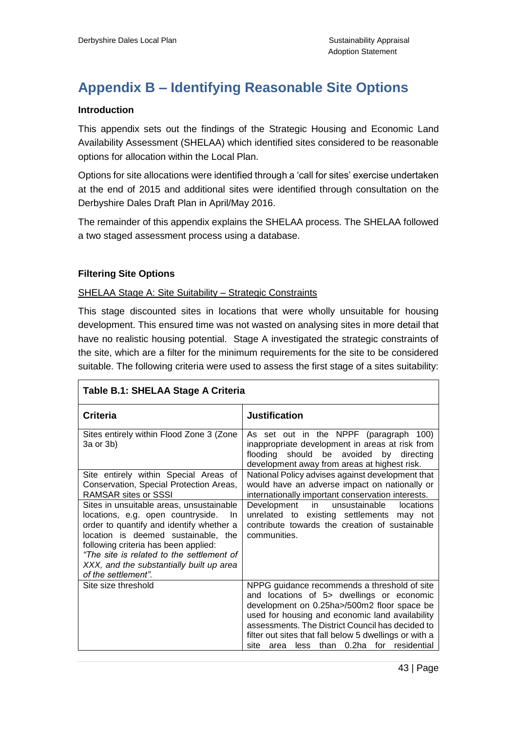# <span id="page-45-0"></span>**Appendix B – Identifying Reasonable Site Options**

#### **Introduction**

This appendix sets out the findings of the Strategic Housing and Economic Land Availability Assessment (SHELAA) which identified sites considered to be reasonable options for allocation within the Local Plan.

Options for site allocations were identified through a 'call for sites' exercise undertaken at the end of 2015 and additional sites were identified through consultation on the Derbyshire Dales Draft Plan in April/May 2016.

The remainder of this appendix explains the SHELAA process. The SHELAA followed a two staged assessment process using a database.

#### **Filtering Site Options**

#### SHELAA Stage A: Site Suitability – Strategic Constraints

This stage discounted sites in locations that were wholly unsuitable for housing development. This ensured time was not wasted on analysing sites in more detail that have no realistic housing potential. Stage A investigated the strategic constraints of the site, which are a filter for the minimum requirements for the site to be considered suitable. The following criteria were used to assess the first stage of a sites suitability:

| <b>Criteria</b>                                                                                                                                                                                                                                                                                                                 | <b>Justification</b>                                                                                                                                                                                                                                                                                                                                                     |
|---------------------------------------------------------------------------------------------------------------------------------------------------------------------------------------------------------------------------------------------------------------------------------------------------------------------------------|--------------------------------------------------------------------------------------------------------------------------------------------------------------------------------------------------------------------------------------------------------------------------------------------------------------------------------------------------------------------------|
| Sites entirely within Flood Zone 3 (Zone<br>3a or 3b)                                                                                                                                                                                                                                                                           | As set out in the NPPF (paragraph 100)<br>inappropriate development in areas at risk from<br>flooding should be avoided by<br>directing<br>development away from areas at highest risk.                                                                                                                                                                                  |
| Site entirely within Special Areas of<br>Conservation, Special Protection Areas,<br><b>RAMSAR sites or SSSI</b>                                                                                                                                                                                                                 | National Policy advises against development that<br>would have an adverse impact on nationally or<br>internationally important conservation interests.                                                                                                                                                                                                                   |
| Sites in unsuitable areas, unsustainable<br>locations, e.g. open countryside.<br>-In<br>order to quantify and identify whether a<br>location is deemed sustainable, the<br>following criteria has been applied:<br>"The site is related to the settlement of<br>XXX, and the substantially built up area<br>of the settlement". | Development in unsustainable<br>locations<br>unrelated to existing settlements may not<br>contribute towards the creation of sustainable<br>communities.                                                                                                                                                                                                                 |
| Site size threshold                                                                                                                                                                                                                                                                                                             | NPPG guidance recommends a threshold of site<br>and locations of 5> dwellings or economic<br>development on 0.25ha>/500m2 floor space be<br>used for housing and economic land availability<br>assessments. The District Council has decided to<br>filter out sites that fall below 5 dwellings or with a<br>than<br>0.2ha<br>residential<br>site<br>for<br>less<br>area |

#### **Table B.1: SHELAA Stage A Criteria**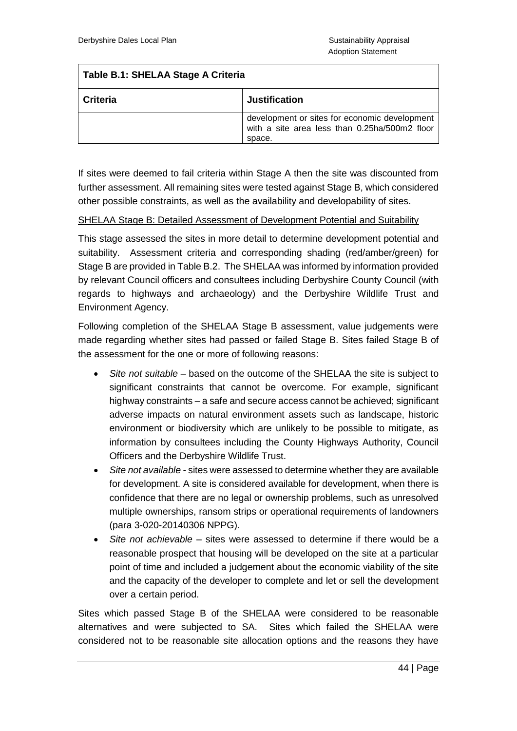### **Table B.1: SHELAA Stage A Criteria**

| <b>Criteria</b> | <b>Justification</b>                                                                                     |  |
|-----------------|----------------------------------------------------------------------------------------------------------|--|
|                 | development or sites for economic development<br>with a site area less than 0.25ha/500m2 floor<br>space. |  |

If sites were deemed to fail criteria within Stage A then the site was discounted from further assessment. All remaining sites were tested against Stage B, which considered other possible constraints, as well as the availability and developability of sites.

#### SHELAA Stage B: Detailed Assessment of Development Potential and Suitability

This stage assessed the sites in more detail to determine development potential and suitability. Assessment criteria and corresponding shading (red/amber/green) for Stage B are provided in Table B.2. The SHELAA was informed by information provided by relevant Council officers and consultees including Derbyshire County Council (with regards to highways and archaeology) and the Derbyshire Wildlife Trust and Environment Agency.

Following completion of the SHELAA Stage B assessment, value judgements were made regarding whether sites had passed or failed Stage B. Sites failed Stage B of the assessment for the one or more of following reasons:

- *Site not suitable* based on the outcome of the SHELAA the site is subject to significant constraints that cannot be overcome. For example, significant highway constraints – a safe and secure access cannot be achieved; significant adverse impacts on natural environment assets such as landscape, historic environment or biodiversity which are unlikely to be possible to mitigate, as information by consultees including the County Highways Authority, Council Officers and the Derbyshire Wildlife Trust.
- *Site not available* sites were assessed to determine whether they are available for development. A site is considered available for development, when there is confidence that there are no legal or ownership problems, such as unresolved multiple ownerships, ransom strips or operational requirements of landowners (para 3-020-20140306 NPPG).
- *Site not achievable –* sites were assessed to determine if there would be a reasonable prospect that housing will be developed on the site at a particular point of time and included a judgement about the economic viability of the site and the capacity of the developer to complete and let or sell the development over a certain period.

Sites which passed Stage B of the SHELAA were considered to be reasonable alternatives and were subjected to SA. Sites which failed the SHELAA were considered not to be reasonable site allocation options and the reasons they have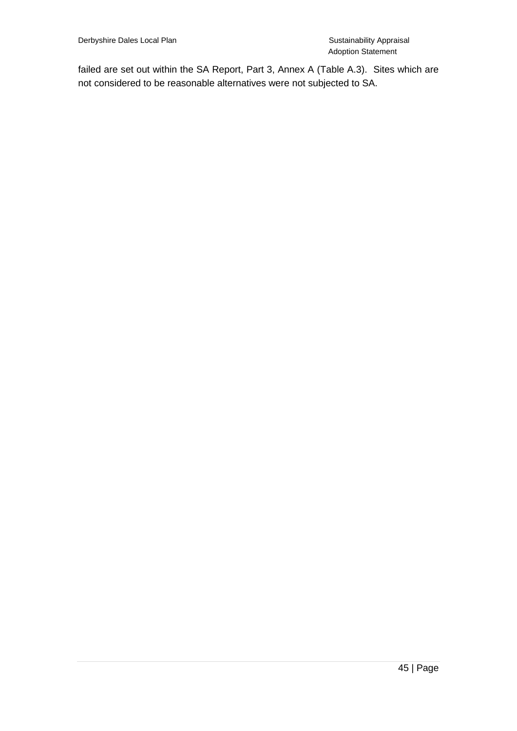failed are set out within the SA Report, Part 3, Annex A (Table A.3). Sites which are not considered to be reasonable alternatives were not subjected to SA.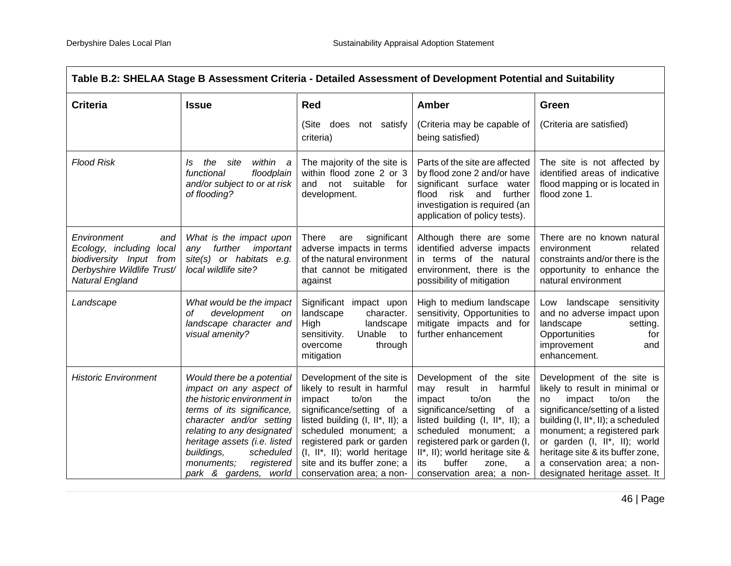| Table B.2: SHELAA Stage B Assessment Criteria - Detailed Assessment of Development Potential and Suitability                     |                                                                                                                                                                                                                                                                                              |                                                                                                                                                                                                                                                                                                           |                                                                                                                                                                                                                                                                                                                  |                                                                                                                                                                                                                                                                                                                                            |
|----------------------------------------------------------------------------------------------------------------------------------|----------------------------------------------------------------------------------------------------------------------------------------------------------------------------------------------------------------------------------------------------------------------------------------------|-----------------------------------------------------------------------------------------------------------------------------------------------------------------------------------------------------------------------------------------------------------------------------------------------------------|------------------------------------------------------------------------------------------------------------------------------------------------------------------------------------------------------------------------------------------------------------------------------------------------------------------|--------------------------------------------------------------------------------------------------------------------------------------------------------------------------------------------------------------------------------------------------------------------------------------------------------------------------------------------|
| <b>Criteria</b>                                                                                                                  | <b>Issue</b>                                                                                                                                                                                                                                                                                 | <b>Red</b>                                                                                                                                                                                                                                                                                                | Amber                                                                                                                                                                                                                                                                                                            | Green                                                                                                                                                                                                                                                                                                                                      |
|                                                                                                                                  |                                                                                                                                                                                                                                                                                              | (Site<br>does<br>not satisfy<br>criteria)                                                                                                                                                                                                                                                                 | (Criteria may be capable of<br>being satisfied)                                                                                                                                                                                                                                                                  | (Criteria are satisfied)                                                                                                                                                                                                                                                                                                                   |
| <b>Flood Risk</b>                                                                                                                | within a<br>the<br>site<br>Is<br>functional<br>floodplain<br>and/or subject to or at risk<br>of flooding?                                                                                                                                                                                    | The majority of the site is<br>within flood zone 2 or 3<br>and<br>not suitable<br>for<br>development.                                                                                                                                                                                                     | Parts of the site are affected<br>by flood zone 2 and/or have<br>significant surface water<br>risk<br>and<br>further<br>flood<br>investigation is required (an<br>application of policy tests).                                                                                                                  | The site is not affected by<br>identified areas of indicative<br>flood mapping or is located in<br>flood zone 1.                                                                                                                                                                                                                           |
| Environment<br>and<br>Ecology, including<br>local<br>biodiversity Input<br>from<br>Derbyshire Wildlife Trust/<br>Natural England | What is the impact upon<br><i>important</i><br>further<br>any<br>site(s) or habitats e.g.<br>local wildlife site?                                                                                                                                                                            | significant<br>There<br>are<br>adverse impacts in terms<br>of the natural environment<br>that cannot be mitigated<br>against                                                                                                                                                                              | Although there are some<br>identified adverse impacts<br>in terms of the natural<br>environment, there is the<br>possibility of mitigation                                                                                                                                                                       | There are no known natural<br>environment<br>related<br>constraints and/or there is the<br>opportunity to enhance the<br>natural environment                                                                                                                                                                                               |
| Landscape                                                                                                                        | What would be the impact<br>development<br>οf<br>on<br>landscape character and<br>visual amenity?                                                                                                                                                                                            | Significant<br>impact upon<br>landscape<br>character.<br>High<br>landscape<br>Unable<br>sensitivity.<br>to<br>overcome<br>through<br>mitigation                                                                                                                                                           | High to medium landscape<br>sensitivity, Opportunities to<br>mitigate impacts and for<br>further enhancement                                                                                                                                                                                                     | landscape sensitivity<br>Low<br>and no adverse impact upon<br>landscape<br>setting.<br>Opportunities<br>for<br>improvement<br>and<br>enhancement.                                                                                                                                                                                          |
| <b>Historic Environment</b>                                                                                                      | Would there be a potential<br>impact on any aspect of<br>the historic environment in<br>terms of its significance,<br>character and/or setting<br>relating to any designated<br>heritage assets (i.e. listed<br>buildings,<br>scheduled<br>registered<br>monuments;<br>park & gardens, world | Development of the site is<br>likely to result in harmful<br>impact<br>to/on<br>the<br>significance/setting of a<br>listed building $(I, II^*, II)$ ; a<br>scheduled monument; a<br>registered park or garden<br>(I, II*, II); world heritage<br>site and its buffer zone; a<br>conservation area; a non- | Development of the site<br>may result in<br>harmful<br>to/on<br>impact<br>the<br>significance/setting<br>of<br>a<br>listed building $(I, II^*, II)$ ; a<br>scheduled monument; a<br>registered park or garden (I,<br>II*, II); world heritage site &<br>buffer<br>its<br>zone,<br>a<br>conservation area; a non- | Development of the site is<br>likely to result in minimal or<br>impact<br>to/on<br>the<br>no<br>significance/setting of a listed<br>building (I, II*, II); a scheduled<br>monument; a registered park<br>or garden (I, II*, II); world<br>heritage site & its buffer zone,<br>a conservation area; a non-<br>designated heritage asset. It |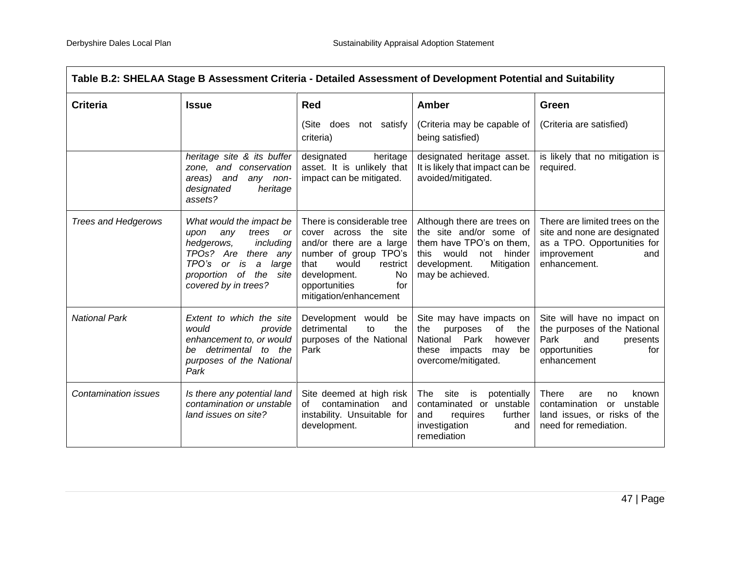| Table B.2: SHELAA Stage B Assessment Criteria - Detailed Assessment of Development Potential and Suitability |                                                                                                                                                                                                                  |                                                                                                                                                                                                               |                                                                                                                                                                        |                                                                                                                                     |
|--------------------------------------------------------------------------------------------------------------|------------------------------------------------------------------------------------------------------------------------------------------------------------------------------------------------------------------|---------------------------------------------------------------------------------------------------------------------------------------------------------------------------------------------------------------|------------------------------------------------------------------------------------------------------------------------------------------------------------------------|-------------------------------------------------------------------------------------------------------------------------------------|
| <b>Criteria</b>                                                                                              | <b>Issue</b>                                                                                                                                                                                                     | <b>Red</b>                                                                                                                                                                                                    | <b>Amber</b>                                                                                                                                                           | Green                                                                                                                               |
|                                                                                                              |                                                                                                                                                                                                                  | (Site<br>does<br>not satisfy<br>criteria)                                                                                                                                                                     | (Criteria may be capable of<br>being satisfied)                                                                                                                        | (Criteria are satisfied)                                                                                                            |
|                                                                                                              | heritage site & its buffer<br>zone, and conservation<br>areas) and<br>any non-<br>designated<br>heritage<br>assets?                                                                                              | designated<br>heritage<br>asset. It is unlikely that<br>impact can be mitigated.                                                                                                                              | designated heritage asset.<br>It is likely that impact can be<br>avoided/mitigated.                                                                                    | is likely that no mitigation is<br>required.                                                                                        |
| <b>Trees and Hedgerows</b>                                                                                   | What would the impact be<br>trees<br>upon<br>any<br><b>or</b><br>including<br>hedgerows,<br>TPOs? Are there any<br>TPO's or<br>$\boldsymbol{a}$<br>large<br>is<br>proportion of the site<br>covered by in trees? | There is considerable tree<br>cover across the site<br>and/or there are a large<br>number of group TPO's<br>would<br>that<br>restrict<br>development.<br>No<br>for<br>opportunities<br>mitigation/enhancement | Although there are trees on<br>the site and/or some of<br>them have TPO's on them,<br>would<br>hinder<br>this<br>not<br>development.<br>Mitigation<br>may be achieved. | There are limited trees on the<br>site and none are designated<br>as a TPO. Opportunities for<br>improvement<br>and<br>enhancement. |
| <b>National Park</b>                                                                                         | Extent to which the site<br>would<br>provide<br>enhancement to, or would<br>be detrimental to the<br>purposes of the National<br>Park                                                                            | Development would be<br>detrimental<br>the<br>to<br>purposes of the National<br>Park                                                                                                                          | Site may have impacts on<br>the<br>purposes<br>of<br>the<br>National Park<br>however<br>these impacts<br>may<br>be<br>overcome/mitigated.                              | Site will have no impact on<br>the purposes of the National<br>Park<br>presents<br>and<br>opportunities<br>for<br>enhancement       |
| <b>Contamination issues</b>                                                                                  | Is there any potential land<br>contamination or unstable<br>land issues on site?                                                                                                                                 | Site deemed at high risk<br>contamination<br>of<br>and<br>instability. Unsuitable for<br>development.                                                                                                         | The<br>site<br>potentially<br>is<br>contaminated or unstable<br>further<br>and<br>requires<br>investigation<br>and<br>remediation                                      | <b>There</b><br>known<br>are<br>no<br>unstable<br>contamination<br>or<br>land issues, or risks of the<br>need for remediation.      |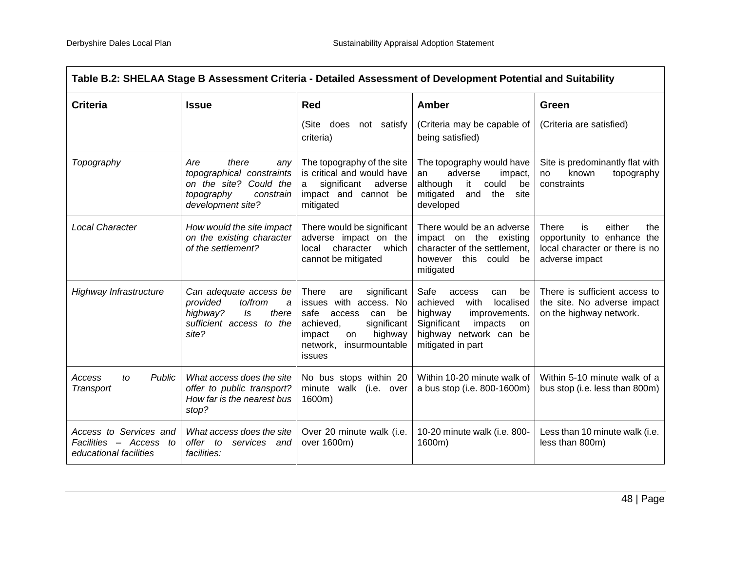| Table B.2: SHELAA Stage B Assessment Criteria - Detailed Assessment of Development Potential and Suitability |                                                                                                                            |                                                                                                                                                                                     |                                                                                                                                                                         |                                                                                                                |
|--------------------------------------------------------------------------------------------------------------|----------------------------------------------------------------------------------------------------------------------------|-------------------------------------------------------------------------------------------------------------------------------------------------------------------------------------|-------------------------------------------------------------------------------------------------------------------------------------------------------------------------|----------------------------------------------------------------------------------------------------------------|
| <b>Criteria</b>                                                                                              | <b>Issue</b>                                                                                                               | <b>Red</b>                                                                                                                                                                          | Amber                                                                                                                                                                   | Green                                                                                                          |
|                                                                                                              |                                                                                                                            | (Site<br>does<br>not satisfy<br>criteria)                                                                                                                                           | (Criteria may be capable of<br>being satisfied)                                                                                                                         | (Criteria are satisfied)                                                                                       |
| Topography                                                                                                   | Are<br>there<br>any<br>topographical constraints<br>on the site? Could the<br>topography<br>constrain<br>development site? | The topography of the site<br>is critical and would have<br>significant<br>adverse<br>a<br>impact and cannot be<br>mitigated                                                        | The topography would have<br>adverse<br>an<br>impact,<br>although<br>could<br>it<br>be<br>mitigated<br>and<br>the<br>site<br>developed                                  | Site is predominantly flat with<br>known<br>topography<br>no<br>constraints                                    |
| <b>Local Character</b>                                                                                       | How would the site impact<br>on the existing character<br>of the settlement?                                               | There would be significant<br>adverse impact on the<br>local<br>character<br>which<br>cannot be mitigated                                                                           | There would be an adverse<br>impact on the existing<br>character of the settlement,<br>however this could be<br>mitigated                                               | either<br>There<br>is<br>the<br>opportunity to enhance the<br>local character or there is no<br>adverse impact |
| Highway Infrastructure                                                                                       | Can adequate access be<br>to/from<br>provided<br>a<br>there<br>highway?<br>Is<br>sufficient access to the<br>site?         | significant<br>There<br>are<br>issues with access. No<br>safe<br>be<br>access<br>can<br>significant<br>achieved,<br>highway<br>impact<br>on<br>insurmountable<br>network,<br>issues | Safe<br>access<br>can<br>be<br>localised<br>achieved<br>with<br>highway<br>improvements.<br>Significant<br>impacts<br>on<br>highway network can be<br>mitigated in part | There is sufficient access to<br>the site. No adverse impact<br>on the highway network.                        |
| Public<br>Access<br>to<br>Transport                                                                          | What access does the site<br>offer to public transport?<br>How far is the nearest bus<br>stop?                             | No bus stops within 20<br>minute walk (i.e. over<br>1600m)                                                                                                                          | Within 10-20 minute walk of<br>a bus stop (i.e. 800-1600m)                                                                                                              | Within 5-10 minute walk of a<br>bus stop (i.e. less than 800m)                                                 |
| Access to Services and<br>Facilities - Access to<br>educational facilities                                   | What access does the site<br>offer to<br>services and<br>facilities:                                                       | Over 20 minute walk (i.e.<br>over 1600m)                                                                                                                                            | 10-20 minute walk (i.e. 800-<br>1600m)                                                                                                                                  | Less than 10 minute walk (i.e.<br>less than 800m)                                                              |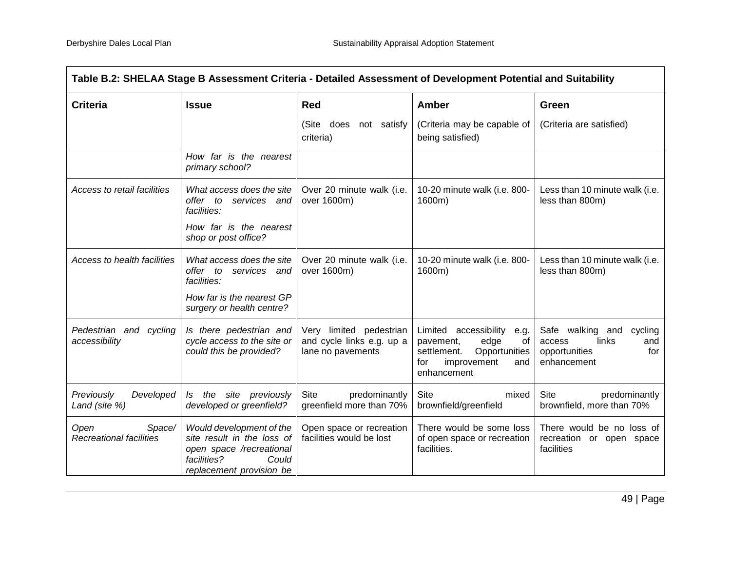| Table B.2: SHELAA Stage B Assessment Criteria - Detailed Assessment of Development Potential and Suitability |                                                                                                                                        |                                                                           |                                                                                                                                         |                                                                                              |
|--------------------------------------------------------------------------------------------------------------|----------------------------------------------------------------------------------------------------------------------------------------|---------------------------------------------------------------------------|-----------------------------------------------------------------------------------------------------------------------------------------|----------------------------------------------------------------------------------------------|
| <b>Criteria</b>                                                                                              | <b>Issue</b>                                                                                                                           | <b>Red</b>                                                                | Amber                                                                                                                                   | Green                                                                                        |
|                                                                                                              |                                                                                                                                        | (Site<br>does<br>not satisfy<br>criteria)                                 | (Criteria may be capable of<br>being satisfied)                                                                                         | (Criteria are satisfied)                                                                     |
|                                                                                                              | How far is the nearest<br>primary school?                                                                                              |                                                                           |                                                                                                                                         |                                                                                              |
| Access to retail facilities                                                                                  | What access does the site<br>offer to services and<br>facilities:                                                                      | Over 20 minute walk (i.e.<br>over 1600m)                                  | 10-20 minute walk (i.e. 800-<br>1600m)                                                                                                  | Less than 10 minute walk (i.e.<br>less than 800m)                                            |
|                                                                                                              | How far is the nearest<br>shop or post office?                                                                                         |                                                                           |                                                                                                                                         |                                                                                              |
| Access to health facilities                                                                                  | What access does the site<br>offer to services and<br>facilities:                                                                      | Over 20 minute walk (i.e.<br>over 1600m)                                  | 10-20 minute walk (i.e. 800-<br>1600m)                                                                                                  | Less than 10 minute walk (i.e.<br>less than 800m)                                            |
|                                                                                                              | How far is the nearest GP<br>surgery or health centre?                                                                                 |                                                                           |                                                                                                                                         |                                                                                              |
| Pedestrian and cycling<br>accessibility                                                                      | Is there pedestrian and<br>cycle access to the site or<br>could this be provided?                                                      | Very limited pedestrian<br>and cycle links e.g. up a<br>lane no pavements | Limited<br>accessibility<br>e.g.<br>pavement,<br>edge<br>0f<br>settlement.<br>Opportunities<br>improvement<br>for<br>and<br>enhancement | Safe walking and<br>cycling<br>links<br>access<br>and<br>opportunities<br>for<br>enhancement |
| Previously<br>Developed<br>Land (site %)                                                                     | the site previously<br>ls.<br>developed or greenfield?                                                                                 | Site<br>predominantly<br>greenfield more than 70%                         | <b>Site</b><br>mixed<br>brownfield/greenfield                                                                                           | <b>Site</b><br>predominantly<br>brownfield, more than 70%                                    |
| Open<br>Space/<br>Recreational facilities                                                                    | Would development of the<br>site result in the loss of<br>open space /recreational<br>facilities?<br>Could<br>replacement provision be | Open space or recreation<br>facilities would be lost                      | There would be some loss<br>of open space or recreation<br>facilities.                                                                  | There would be no loss of<br>recreation or open space<br>facilities                          |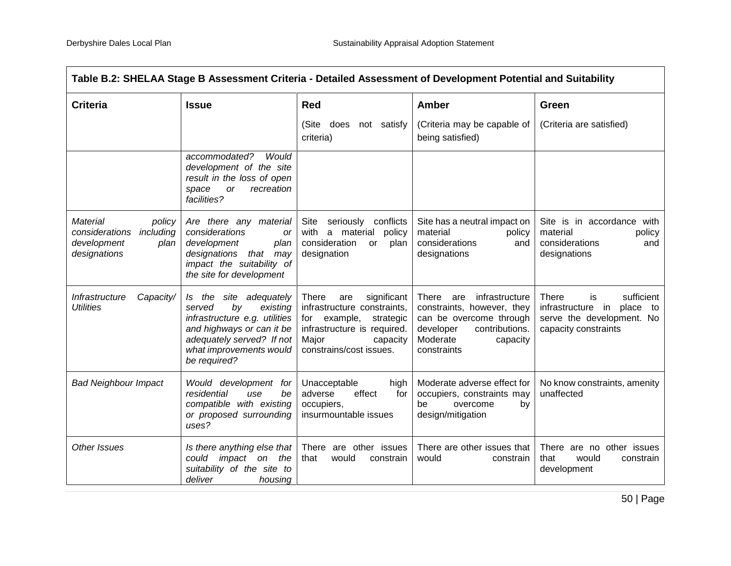| Table B.2: SHELAA Stage B Assessment Criteria - Detailed Assessment of Development Potential and Suitability |                                                                                                                                                                                          |                                                                                                                                                                           |                                                                                                                                                               |                                                                                                                    |
|--------------------------------------------------------------------------------------------------------------|------------------------------------------------------------------------------------------------------------------------------------------------------------------------------------------|---------------------------------------------------------------------------------------------------------------------------------------------------------------------------|---------------------------------------------------------------------------------------------------------------------------------------------------------------|--------------------------------------------------------------------------------------------------------------------|
| <b>Criteria</b>                                                                                              | <b>Issue</b>                                                                                                                                                                             | <b>Red</b>                                                                                                                                                                | <b>Amber</b>                                                                                                                                                  | Green                                                                                                              |
|                                                                                                              |                                                                                                                                                                                          | (Site<br>does<br>not satisfy<br>criteria)                                                                                                                                 | (Criteria may be capable of<br>being satisfied)                                                                                                               | (Criteria are satisfied)                                                                                           |
|                                                                                                              | accommodated?<br>Would<br>development of the site<br>result in the loss of open<br>or<br>recreation<br>space<br>facilities?                                                              |                                                                                                                                                                           |                                                                                                                                                               |                                                                                                                    |
| Material<br>policy<br>including<br>considerations<br>development<br>plan<br>designations                     | Are there any material<br>considerations<br><b>or</b><br>development<br>plan<br>designations that<br>may<br>impact the suitability of<br>the site for development                        | Site<br>seriously conflicts<br>a material<br>with<br>policy<br>consideration<br>or<br>plan<br>designation                                                                 | Site has a neutral impact on<br>material<br>policy<br>considerations<br>and<br>designations                                                                   | Site is in accordance with<br>material<br>policy<br>considerations<br>and<br>designations                          |
| Infrastructure<br>Capacity/<br><b>Utilities</b>                                                              | Is the site adequately<br>by<br>existing<br>served<br>infrastructure e.g. utilities<br>and highways or can it be<br>adequately served? If not<br>what improvements would<br>be required? | There<br>significant<br>are<br>infrastructure constraints,<br>example,<br>strategic<br>for<br>infrastructure is required.<br>Major<br>capacity<br>constrains/cost issues. | There<br>infrastructure<br>are<br>constraints, however, they<br>can be overcome through<br>developer<br>contributions.<br>Moderate<br>capacity<br>constraints | There<br>sufficient<br>is<br>infrastructure in<br>place<br>to<br>serve the development. No<br>capacity constraints |
| <b>Bad Neighbour Impact</b>                                                                                  | Would development<br>for<br>residential<br>be<br>use<br>compatible with existing<br>or proposed surrounding<br>uses?                                                                     | Unacceptable<br>high<br>effect<br>adverse<br>for<br>occupiers,<br>insurmountable issues                                                                                   | Moderate adverse effect for<br>occupiers, constraints may<br>be<br>overcome<br>by<br>design/mitigation                                                        | No know constraints, amenity<br>unaffected                                                                         |
| Other Issues                                                                                                 | Is there anything else that  <br>could impact on<br>the<br>suitability of the site to<br>deliver<br>housing                                                                              | There are other issues<br>would<br>that<br>constrain                                                                                                                      | There are other issues that<br>would<br>constrain                                                                                                             | There are no other issues<br>that<br>would<br>constrain<br>development                                             |

50 | Page